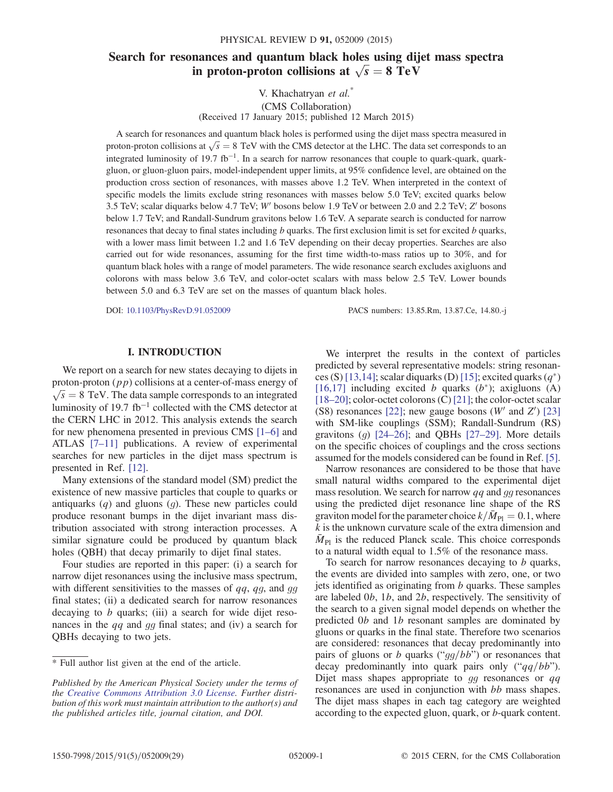# Search for resonances and quantum black holes using dijet mass spectra in proton-proton collisions at  $\sqrt{s} = 8 \text{ TeV}$

V. Khachatryan et al.\*

(CMS Collaboration)

(Received 17 January 2015; published 12 March 2015)

A search for resonances and quantum black holes is performed using the dijet mass spectra measured in proton-proton collisions at  $\sqrt{s} = 8$  TeV with the CMS detector at the LHC. The data set corresponds to an integrated luminosity of 19.7 fb<sup>-1</sup>. In a search for narrow resonances that couple to quark-quark, quarkgluon, or gluon-gluon pairs, model-independent upper limits, at 95% confidence level, are obtained on the production cross section of resonances, with masses above 1.2 TeV. When interpreted in the context of specific models the limits exclude string resonances with masses below 5.0 TeV; excited quarks below 3.5 TeV; scalar diquarks below 4.7 TeV;  $W'$  bosons below 1.9 TeV or between 2.0 and 2.2 TeV; Z' bosons below 1.7 TeV; and Randall-Sundrum gravitons below 1.6 TeV. A separate search is conducted for narrow resonances that decay to final states including  $b$  quarks. The first exclusion limit is set for excited  $b$  quarks, with a lower mass limit between 1.2 and 1.6 TeV depending on their decay properties. Searches are also carried out for wide resonances, assuming for the first time width-to-mass ratios up to 30%, and for quantum black holes with a range of model parameters. The wide resonance search excludes axigluons and colorons with mass below 3.6 TeV, and color-octet scalars with mass below 2.5 TeV. Lower bounds between 5.0 and 6.3 TeV are set on the masses of quantum black holes.

DOI: [10.1103/PhysRevD.91.052009](http://dx.doi.org/10.1103/PhysRevD.91.052009) PACS numbers: 13.85.Rm, 13.87.Ce, 14.80.-j

## I. INTRODUCTION

We report on a search for new states decaying to dijets in proton-proton (pp) collisions at a center-of-mass energy of  $\sqrt{s} = 8$  TeV. The data sample corresponds to an integrated luminosity of 19.7 fb<sup>-1</sup> collected with the CMS detector at the CERN LHC in 2012. This analysis extends the search for new phenomena presented in previous CMS [\[1](#page-17-0)–6] and ATLAS [7–[11\]](#page-17-1) publications. A review of experimental searches for new particles in the dijet mass spectrum is presented in Ref. [\[12\].](#page-17-2)

Many extensions of the standard model (SM) predict the existence of new massive particles that couple to quarks or antiquarks  $(q)$  and gluons  $(q)$ . These new particles could produce resonant bumps in the dijet invariant mass distribution associated with strong interaction processes. A similar signature could be produced by quantum black holes (QBH) that decay primarily to dijet final states.

Four studies are reported in this paper: (i) a search for narrow dijet resonances using the inclusive mass spectrum, with different sensitivities to the masses of  $qq$ ,  $qg$ , and  $gg$ final states; (ii) a dedicated search for narrow resonances decaying to  $b$  quarks; (iii) a search for wide dijet resonances in the  $qq$  and  $gg$  final states; and (iv) a search for QBHs decaying to two jets.

We interpret the results in the context of particles predicted by several representative models: string resonan-ces (S) [\[13,14\]](#page-17-3); scalar diquarks (D) [\[15\]](#page-17-4); excited quarks  $(q^*)$ [\[16,17\]](#page-17-5) including excited *b* quarks  $(b^*)$ ; axigluons  $(A)$ [\[18](#page-18-0)–20]; color-octet colorons (C) [\[21\]](#page-18-1); the color-octet scalar (S8) resonances [\[22\]](#page-18-2); new gauge bosons  $(W'$  and  $Z'$ ) [\[23\]](#page-18-3) with SM-like couplings (SSM); Randall-Sundrum (RS) gravitons  $(g)$  [24–[26\];](#page-18-4) and QBHs [27–[29\].](#page-18-5) More details on the specific choices of couplings and the cross sections assumed for the models considered can be found in Ref. [\[5\]](#page-17-6).

Narrow resonances are considered to be those that have small natural widths compared to the experimental dijet mass resolution. We search for narrow  $qq$  and  $gg$  resonances using the predicted dijet resonance line shape of the RS graviton model for the parameter choice  $k/\bar{M}_{\rm Pl} = 0.1$ , where  $k$  is the unknown curvature scale of the extra dimension and  $\bar{M}_{\rm Pl}$  is the reduced Planck scale. This choice corresponds to a natural width equal to 1.5% of the resonance mass.

To search for narrow resonances decaying to b quarks, the events are divided into samples with zero, one, or two jets identified as originating from b quarks. These samples are labeled 0b, 1b, and 2b, respectively. The sensitivity of the search to a given signal model depends on whether the predicted 0b and 1b resonant samples are dominated by gluons or quarks in the final state. Therefore two scenarios are considered: resonances that decay predominantly into pairs of gluons or b quarks (" $gg/bb$ ") or resonances that decay predominantly into quark pairs only (" $qq/bb$ "). Dijet mass shapes appropriate to gg resonances or qq resonances are used in conjunction with bb mass shapes. The dijet mass shapes in each tag category are weighted according to the expected gluon, quark, or b-quark content.

<sup>\*</sup> Full author list given at the end of the article.

Published by the American Physical Society under the terms of the [Creative Commons Attribution 3.0 License.](http://creativecommons.org/licenses/by/3.0/) Further distribution of this work must maintain attribution to the author(s) and the published articles title, journal citation, and DOI.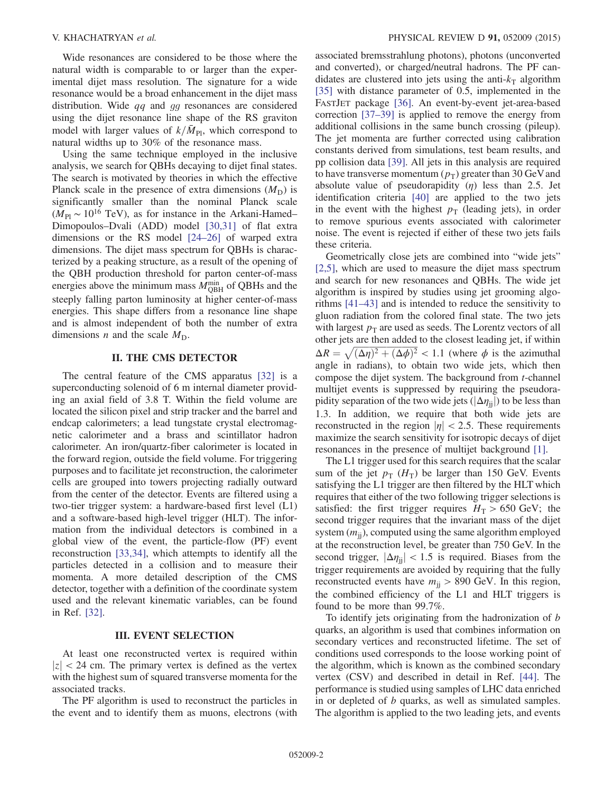Wide resonances are considered to be those where the natural width is comparable to or larger than the experimental dijet mass resolution. The signature for a wide resonance would be a broad enhancement in the dijet mass distribution. Wide qq and gg resonances are considered using the dijet resonance line shape of the RS graviton model with larger values of  $k/\bar{M}_{\rm Pl}$ , which correspond to natural widths up to 30% of the resonance mass.

Using the same technique employed in the inclusive analysis, we search for QBHs decaying to dijet final states. The search is motivated by theories in which the effective Planck scale in the presence of extra dimensions  $(M_D)$  is significantly smaller than the nominal Planck scale  $(M_{\text{Pl}} \sim 10^{16} \text{ TeV})$ , as for instance in the Arkani-Hamed– Dimopoulos–Dvali (ADD) model [\[30,31\]](#page-18-6) of flat extra dimensions or the RS model [\[24](#page-18-4)–26] of warped extra dimensions. The dijet mass spectrum for QBHs is characterized by a peaking structure, as a result of the opening of the QBH production threshold for parton center-of-mass energies above the minimum mass  $M_{\text{QBH}}^{\text{min}}$  of QBHs and the steeply falling parton luminosity at higher center-of-mass energies. This shape differs from a resonance line shape and is almost independent of both the number of extra dimensions *n* and the scale  $M_D$ .

### II. THE CMS DETECTOR

The central feature of the CMS apparatus [\[32\]](#page-18-7) is a superconducting solenoid of 6 m internal diameter providing an axial field of 3.8 T. Within the field volume are located the silicon pixel and strip tracker and the barrel and endcap calorimeters; a lead tungstate crystal electromagnetic calorimeter and a brass and scintillator hadron calorimeter. An iron/quartz-fiber calorimeter is located in the forward region, outside the field volume. For triggering purposes and to facilitate jet reconstruction, the calorimeter cells are grouped into towers projecting radially outward from the center of the detector. Events are filtered using a two-tier trigger system: a hardware-based first level (L1) and a software-based high-level trigger (HLT). The information from the individual detectors is combined in a global view of the event, the particle-flow (PF) event reconstruction [\[33,34\],](#page-18-8) which attempts to identify all the particles detected in a collision and to measure their momenta. A more detailed description of the CMS detector, together with a definition of the coordinate system used and the relevant kinematic variables, can be found in Ref. [\[32\]](#page-18-7).

### III. EVENT SELECTION

<span id="page-1-0"></span>At least one reconstructed vertex is required within  $|z|$  < 24 cm. The primary vertex is defined as the vertex with the highest sum of squared transverse momenta for the associated tracks.

The PF algorithm is used to reconstruct the particles in the event and to identify them as muons, electrons (with associated bremsstrahlung photons), photons (unconverted and converted), or charged/neutral hadrons. The PF candidates are clustered into jets using the anti- $k<sub>T</sub>$  algorithm [\[35\]](#page-18-9) with distance parameter of 0.5, implemented in the FASTJET package [\[36\].](#page-18-10) An event-by-event jet-area-based correction [\[37](#page-18-11)–39] is applied to remove the energy from additional collisions in the same bunch crossing (pileup). The jet momenta are further corrected using calibration constants derived from simulations, test beam results, and pp collision data [\[39\].](#page-18-12) All jets in this analysis are required to have transverse momentum  $(p_T)$  greater than 30 GeV and absolute value of pseudorapidity  $(\eta)$  less than 2.5. Jet identification criteria [\[40\]](#page-18-13) are applied to the two jets in the event with the highest  $p_T$  (leading jets), in order to remove spurious events associated with calorimeter noise. The event is rejected if either of these two jets fails these criteria.

Geometrically close jets are combined into "wide jets" [\[2,5\],](#page-17-7) which are used to measure the dijet mass spectrum and search for new resonances and QBHs. The wide jet algorithm is inspired by studies using jet grooming algorithms [41–[43\]](#page-18-14) and is intended to reduce the sensitivity to gluon radiation from the colored final state. The two jets with largest  $p_T$  are used as seeds. The Lorentz vectors of all other jets are then added to the closest leading jet, if within  $\Delta R = \sqrt{(\Delta \eta)^2 + (\Delta \phi)^2} < 1.1$  (where  $\phi$  is the azimuthal angle in radians), to obtain two wide jets, which then compose the dijet system. The background from t-channel multijet events is suppressed by requiring the pseudorapidity separation of the two wide jets ( $|\Delta \eta_{ij}|$ ) to be less than 1.3. In addition, we require that both wide jets are reconstructed in the region  $|\eta| < 2.5$ . These requirements maximize the search sensitivity for isotropic decays of dijet resonances in the presence of multijet background [\[1\]](#page-17-0).

The L1 trigger used for this search requires that the scalar sum of the jet  $p_T$  (H<sub>T</sub>) be larger than 150 GeV. Events satisfying the L1 trigger are then filtered by the HLT which requires that either of the two following trigger selections is satisfied: the first trigger requires  $H<sub>T</sub> > 650$  GeV; the second trigger requires that the invariant mass of the dijet system  $(m_{ii})$ , computed using the same algorithm employed at the reconstruction level, be greater than 750 GeV. In the second trigger,  $|\Delta \eta_{ij}| < 1.5$  is required. Biases from the trigger requirements are avoided by requiring that the fully reconstructed events have  $m_{ij} > 890$  GeV. In this region, the combined efficiency of the L1 and HLT triggers is found to be more than 99.7%.

To identify jets originating from the hadronization of b quarks, an algorithm is used that combines information on secondary vertices and reconstructed lifetime. The set of conditions used corresponds to the loose working point of the algorithm, which is known as the combined secondary vertex (CSV) and described in detail in Ref. [\[44\]](#page-18-15). The performance is studied using samples of LHC data enriched in or depleted of b quarks, as well as simulated samples. The algorithm is applied to the two leading jets, and events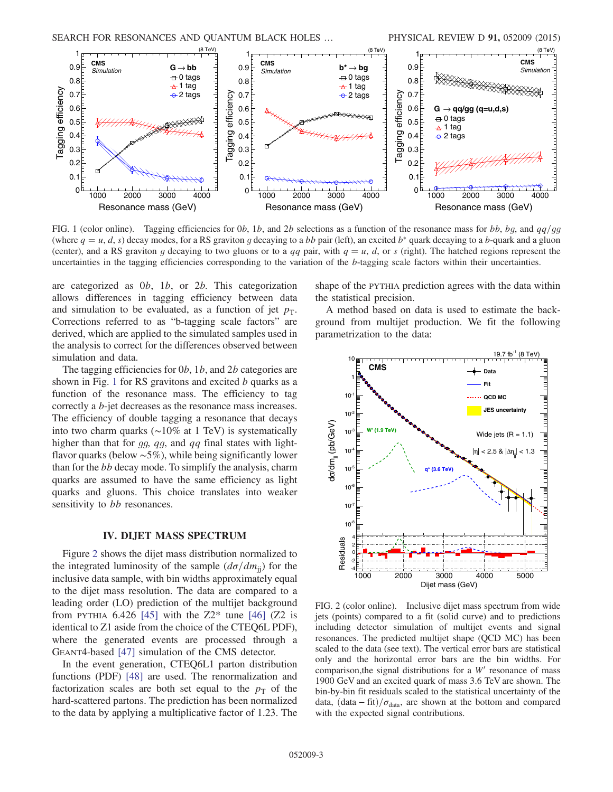<span id="page-2-0"></span>

FIG. 1 (color online). Tagging efficiencies for 0b, 1b, and 2b selections as a function of the resonance mass for bb, bg, and  $qq/gg$ (where  $q = u, d, s$ ) decay modes, for a RS graviton g decaying to a bb pair (left), an excited b<sup>\*</sup> quark decaying to a b-quark and a gluon (center), and a RS graviton g decaying to two gluons or to a  $qq$  pair, with  $q = u$ , d, or s (right). The hatched regions represent the uncertainties in the tagging efficiencies corresponding to the variation of the b-tagging scale factors within their uncertainties.

are categorized as 0b, 1b, or 2b. This categorization allows differences in tagging efficiency between data and simulation to be evaluated, as a function of jet  $p_T$ . Corrections referred to as "b-tagging scale factors" are derived, which are applied to the simulated samples used in the analysis to correct for the differences observed between simulation and data.

The tagging efficiencies for 0*b*, 1*b*, and 2*b* categories are shown in Fig. [1](#page-2-0) for RS gravitons and excited  $b$  quarks as a function of the resonance mass. The efficiency to tag correctly a b-jet decreases as the resonance mass increases. The efficiency of double tagging a resonance that decays into two charm quarks (∼10% at 1 TeV) is systematically higher than that for  $qq$ ,  $qq$ , and  $qq$  final states with lightflavor quarks (below ∼5%), while being significantly lower than for the bb decay mode. To simplify the analysis, charm quarks are assumed to have the same efficiency as light quarks and gluons. This choice translates into weaker sensitivity to *bb* resonances.

### IV. DIJET MASS SPECTRUM

Figure [2](#page-2-1) shows the dijet mass distribution normalized to the integrated luminosity of the sample  $(d\sigma/dm_{ii})$  for the inclusive data sample, with bin widths approximately equal to the dijet mass resolution. The data are compared to a leading order (LO) prediction of the multijet background from PYTHIA  $6.426$  [\[45\]](#page-18-16) with the Z2\* tune [\[46\]](#page-18-17) (Z2 is identical to Z1 aside from the choice of the CTEQ6L PDF), where the generated events are processed through a GEANT4-based [\[47\]](#page-18-18) simulation of the CMS detector.

In the event generation, CTEQ6L1 parton distribution functions (PDF) [\[48\]](#page-18-19) are used. The renormalization and factorization scales are both set equal to the  $p<sub>T</sub>$  of the hard-scattered partons. The prediction has been normalized to the data by applying a multiplicative factor of 1.23. The

shape of the PYTHIA prediction agrees with the data within the statistical precision.

A method based on data is used to estimate the background from multijet production. We fit the following parametrization to the data:

<span id="page-2-2"></span><span id="page-2-1"></span>

FIG. 2 (color online). Inclusive dijet mass spectrum from wide jets (points) compared to a fit (solid curve) and to predictions including detector simulation of multijet events and signal resonances. The predicted multijet shape (QCD MC) has been scaled to the data (see text). The vertical error bars are statistical only and the horizontal error bars are the bin widths. For comparison, the signal distributions for a  $W'$  resonance of mass 1900 GeV and an excited quark of mass 3.6 TeV are shown. The bin-by-bin fit residuals scaled to the statistical uncertainty of the data,  $(data - fit)/\sigma_{data}$ , are shown at the bottom and compared with the expected signal contributions.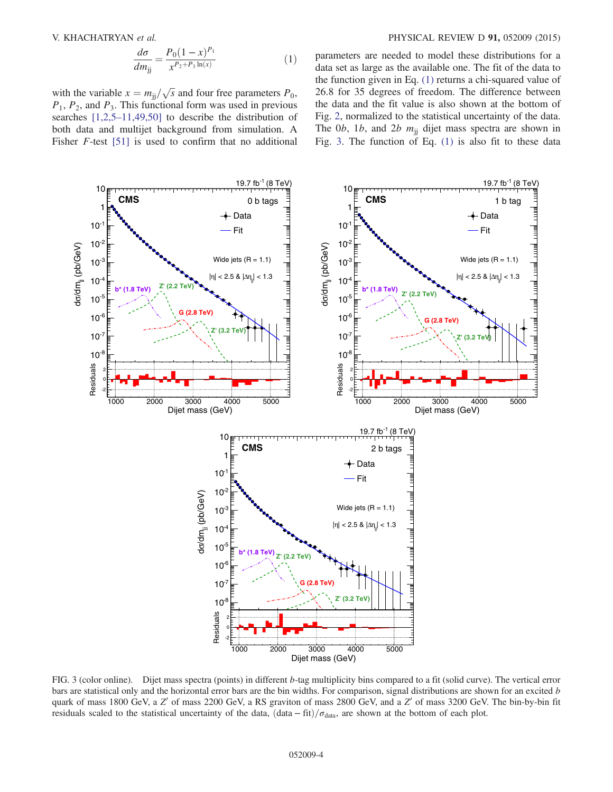$$
\frac{d\sigma}{dm_{jj}} = \frac{P_0(1-x)^{P_1}}{x^{P_2 + P_3 \ln(x)}}\tag{1}
$$

with the variable  $x = m_{jj}/\sqrt{s}$  and four free parameters  $P_0$ ,  $P_1$ ,  $P_2$ , and  $P_3$ . This functional form was used in previous searches [1,2,5–[11,49,50\]](#page-17-0) to describe the distribution of both data and multijet background from simulation. A Fisher  $F$ -test [\[51\]](#page-18-20) is used to confirm that no additional parameters are needed to model these distributions for a data set as large as the available one. The fit of the data to the function given in Eq. [\(1\)](#page-2-2) returns a chi-squared value of 26.8 for 35 degrees of freedom. The difference between the data and the fit value is also shown at the bottom of Fig. [2,](#page-2-1) normalized to the statistical uncertainty of the data. The 0b, 1b, and 2b  $m_{ij}$  dijet mass spectra are shown in Fig. [3](#page-3-0). The function of Eq. [\(1\)](#page-2-2) is also fit to these data

<span id="page-3-0"></span>

FIG. 3 (color online). Dijet mass spectra (points) in different b-tag multiplicity bins compared to a fit (solid curve). The vertical error bars are statistical only and the horizontal error bars are the bin widths. For comparison, signal distributions are shown for an excited b quark of mass  $1800$  GeV, a  $Z'$  of mass  $2200$  GeV, a RS graviton of mass  $2800$  GeV, and a  $Z'$  of mass  $3200$  GeV. The bin-by-bin fit residuals scaled to the statistical uncertainty of the data,  $(data - fit)/\sigma_{data}$ , are shown at the bottom of each plot.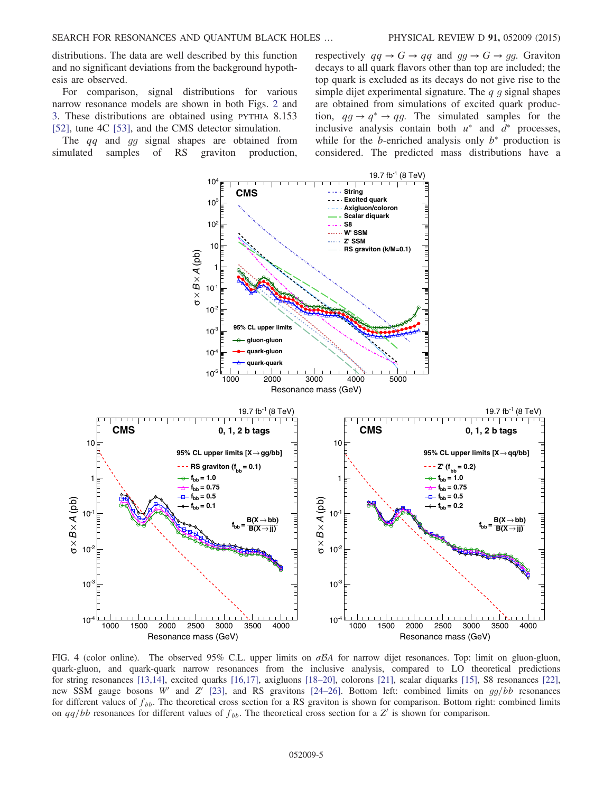distributions. The data are well described by this function and no significant deviations from the background hypothesis are observed.

For comparison, signal distributions for various narrow resonance models are shown in both Figs. [2](#page-2-1) and [3](#page-3-0). These distributions are obtained using PYTHIA 8.153 [\[52\]](#page-18-21), tune 4C [\[53\]](#page-18-22), and the CMS detector simulation.

The qq and gg signal shapes are obtained from simulated samples of RS graviton production, respectively  $qq \rightarrow G \rightarrow qq$  and  $gg \rightarrow G \rightarrow gg$ . Graviton decays to all quark flavors other than top are included; the top quark is excluded as its decays do not give rise to the simple dijet experimental signature. The  $q \, q$  signal shapes are obtained from simulations of excited quark production,  $qg \rightarrow q^* \rightarrow qg$ . The simulated samples for the inclusive analysis contain both  $u^*$  and  $d^*$  processes, while for the *b*-enriched analysis only  $b^*$  production is considered. The predicted mass distributions have a

<span id="page-4-0"></span>

FIG. 4 (color online). The observed 95% C.L. upper limits on  $\sigma\beta A$  for narrow dijet resonances. Top: limit on gluon-gluon, quark-gluon, and quark-quark narrow resonances from the inclusive analysis, compared to LO theoretical predictions for string resonances [\[13,14\],](#page-17-3) excited quarks [\[16,17\]](#page-17-5), axigluons [18–[20\],](#page-18-0) colorons [\[21\]](#page-18-1), scalar diquarks [\[15\],](#page-17-4) S8 resonances [\[22\],](#page-18-2) new SSM gauge bosons W' and Z' [\[23\],](#page-18-3) and RS gravitons [\[24](#page-18-4)–26]. Bottom left: combined limits on  $gg/bb$  resonances for different values of  $f_{bb}$ . The theoretical cross section for a RS graviton is shown for comparison. Bottom right: combined limits on  $qq/bb$  resonances for different values of  $f_{bb}$ . The theoretical cross section for a Z' is shown for comparison.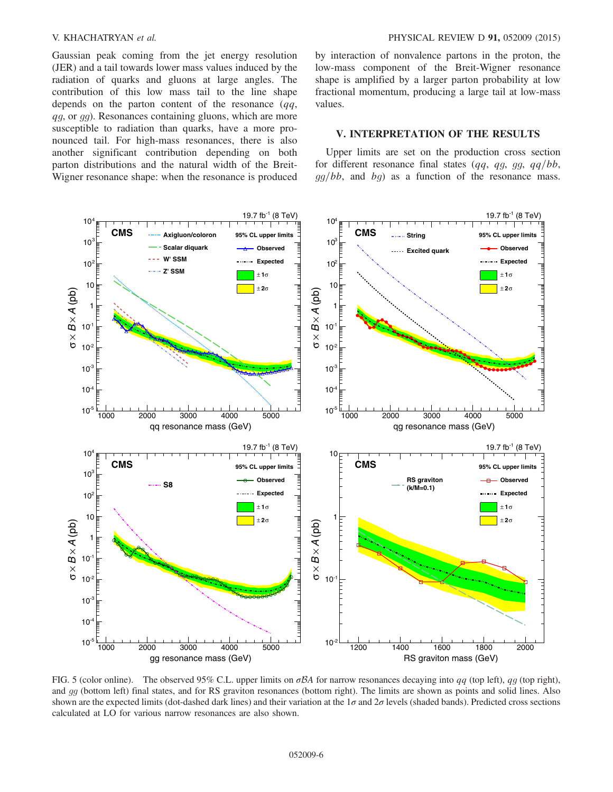Gaussian peak coming from the jet energy resolution (JER) and a tail towards lower mass values induced by the radiation of quarks and gluons at large angles. The contribution of this low mass tail to the line shape depends on the parton content of the resonance  $(qq,$ qg, or gg). Resonances containing gluons, which are more susceptible to radiation than quarks, have a more pronounced tail. For high-mass resonances, there is also another significant contribution depending on both parton distributions and the natural width of the Breit-Wigner resonance shape: when the resonance is produced by interaction of nonvalence partons in the proton, the low-mass component of the Breit-Wigner resonance shape is amplified by a larger parton probability at low fractional momentum, producing a large tail at low-mass values.

### V. INTERPRETATION OF THE RESULTS

Upper limits are set on the production cross section for different resonance final states  $(qq, qg, gg, qq/bb,$  $gg/bb$ , and  $bg$ ) as a function of the resonance mass.

<span id="page-5-0"></span>

FIG. 5 (color online). The observed 95% C.L. upper limits on  $\sigma B\mathcal{A}$  for narrow resonances decaying into  $qq$  (top left),  $qg$  (top right), and gg (bottom left) final states, and for RS graviton resonances (bottom right). The limits are shown as points and solid lines. Also shown are the expected limits (dot-dashed dark lines) and their variation at the  $1\sigma$  and  $2\sigma$  levels (shaded bands). Predicted cross sections calculated at LO for various narrow resonances are also shown.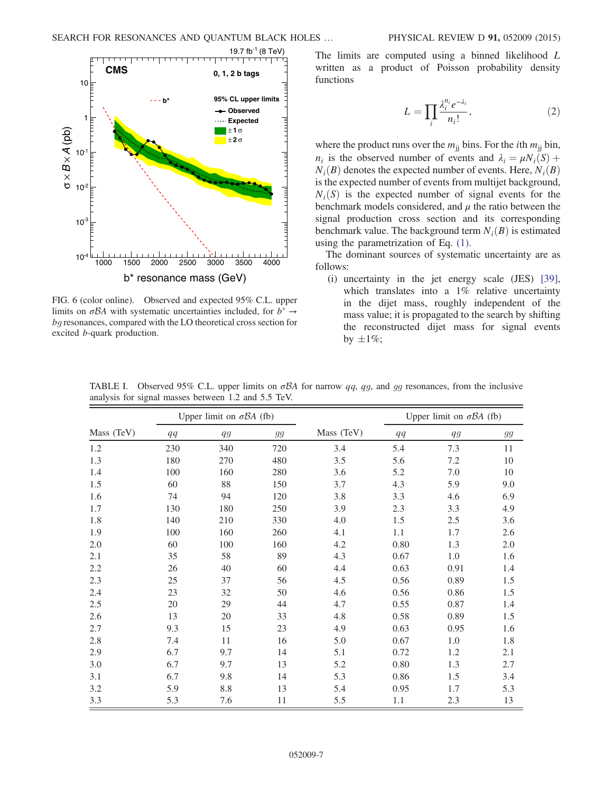<span id="page-6-0"></span>

FIG. 6 (color online). Observed and expected 95% C.L. upper limits on  $\sigma<sup>BA</sup>$  with systematic uncertainties included, for  $b^* \rightarrow$ bg resonances, compared with the LO theoretical cross section for excited b-quark production.

The limits are computed using a binned likelihood L written as a product of Poisson probability density functions

$$
L = \prod_{i} \frac{\lambda_i^{n_i} e^{-\lambda_i}}{n_i!},\tag{2}
$$

where the product runs over the  $m_{ij}$  bins. For the *i*th  $m_{ij}$  bin,  $n_i$  is the observed number of events and  $\lambda_i = \mu N_i(S)$  +  $N_i(B)$  denotes the expected number of events. Here,  $N_i(B)$ is the expected number of events from multijet background,  $N_i(S)$  is the expected number of signal events for the benchmark models considered, and  $\mu$  the ratio between the signal production cross section and its corresponding benchmark value. The background term  $N_i(B)$  is estimated using the parametrization of Eq. [\(1\)](#page-2-2).

The dominant sources of systematic uncertainty are as follows:

(i) uncertainty in the jet energy scale (JES) [\[39\]](#page-18-12), which translates into a 1% relative uncertainty in the dijet mass, roughly independent of the mass value; it is propagated to the search by shifting the reconstructed dijet mass for signal events by  $\pm 1\%$ ;

|            | Upper limit on $\sigma B\!A$ (fb) |     |     |            | Upper limit on $\sigma B A$ (fb) |      |     |
|------------|-----------------------------------|-----|-----|------------|----------------------------------|------|-----|
| Mass (TeV) | qq                                | qg  | gg  | Mass (TeV) | qq                               | qg   | gg  |
| 1.2        | 230                               | 340 | 720 | 3.4        | 5.4                              | 7.3  | 11  |
| 1.3        | 180                               | 270 | 480 | 3.5        | 5.6                              | 7.2  | 10  |
| 1.4        | 100                               | 160 | 280 | 3.6        | 5.2                              | 7.0  | 10  |
| 1.5        | 60                                | 88  | 150 | 3.7        | 4.3                              | 5.9  | 9.0 |
| 1.6        | 74                                | 94  | 120 | 3.8        | 3.3                              | 4.6  | 6.9 |
| 1.7        | 130                               | 180 | 250 | 3.9        | 2.3                              | 3.3  | 4.9 |
| 1.8        | 140                               | 210 | 330 | 4.0        | 1.5                              | 2.5  | 3.6 |
| 1.9        | 100                               | 160 | 260 | 4.1        | 1.1                              | 1.7  | 2.6 |
| 2.0        | 60                                | 100 | 160 | 4.2        | 0.80                             | 1.3  | 2.0 |
| 2.1        | 35                                | 58  | 89  | 4.3        | 0.67                             | 1.0  | 1.6 |
| 2.2        | 26                                | 40  | 60  | 4.4        | 0.63                             | 0.91 | 1.4 |
| 2.3        | 25                                | 37  | 56  | 4.5        | 0.56                             | 0.89 | 1.5 |
| 2.4        | 23                                | 32  | 50  | 4.6        | 0.56                             | 0.86 | 1.5 |
| 2.5        | 20                                | 29  | 44  | 4.7        | 0.55                             | 0.87 | 1.4 |
| 2.6        | 13                                | 20  | 33  | 4.8        | 0.58                             | 0.89 | 1.5 |
| 2.7        | 9.3                               | 15  | 23  | 4.9        | 0.63                             | 0.95 | 1.6 |
| 2.8        | 7.4                               | 11  | 16  | 5.0        | 0.67                             | 1.0  | 1.8 |
| 2.9        | 6.7                               | 9.7 | 14  | 5.1        | 0.72                             | 1.2  | 2.1 |
| 3.0        | 6.7                               | 9.7 | 13  | 5.2        | 0.80                             | 1.3  | 2.7 |
| 3.1        | 6.7                               | 9.8 | 14  | 5.3        | 0.86                             | 1.5  | 3.4 |
| 3.2        | 5.9                               | 8.8 | 13  | 5.4        | 0.95                             | 1.7  | 5.3 |
| 3.3        | 5.3                               | 7.6 | 11  | 5.5        | 1.1                              | 2.3  | 13  |

<span id="page-6-1"></span>TABLE I. Observed 95% C.L. upper limits on  $\sigma<sup>B</sup>A$  for narrow qq, qq, and gq resonances, from the inclusive analysis for signal masses between 1.2 and 5.5 TeV.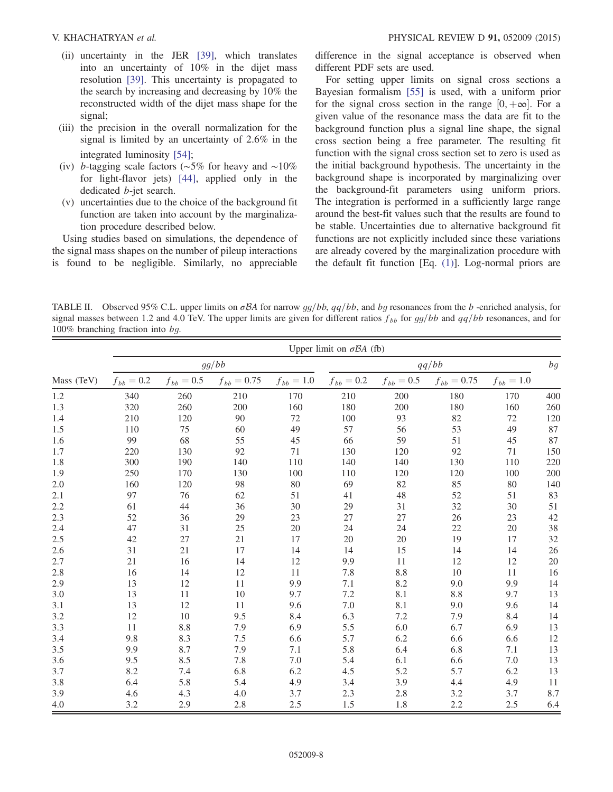### V. KHACHATRYAN et al. PHYSICAL REVIEW D 91, 052009 (2015)

- (ii) uncertainty in the JER [\[39\]](#page-18-12), which translates into an uncertainty of 10% in the dijet mass resolution [\[39\].](#page-18-12) This uncertainty is propagated to the search by increasing and decreasing by 10% the reconstructed width of the dijet mass shape for the signal;
- (iii) the precision in the overall normalization for the signal is limited by an uncertainty of 2.6% in the integrated luminosity [\[54\]](#page-18-23);
- (iv) *b*-tagging scale factors ( $\sim$ 5% for heavy and  $\sim$ 10% for light-flavor jets) [\[44\],](#page-18-15) applied only in the dedicated b-jet search.
- (v) uncertainties due to the choice of the background fit function are taken into account by the marginalization procedure described below.

Using studies based on simulations, the dependence of the signal mass shapes on the number of pileup interactions is found to be negligible. Similarly, no appreciable

For setting upper limits on signal cross sections a Bayesian formalism [\[55\]](#page-18-24) is used, with a uniform prior for the signal cross section in the range  $[0, +\infty]$ . For a given value of the resonance mass the data are fit to the background function plus a signal line shape, the signal cross section being a free parameter. The resulting fit function with the signal cross section set to zero is used as the initial background hypothesis. The uncertainty in the background shape is incorporated by marginalizing over the background-fit parameters using uniform priors. The integration is performed in a sufficiently large range around the best-fit values such that the results are found to be stable. Uncertainties due to alternative background fit functions are not explicitly included since these variations are already covered by the marginalization procedure with the default fit function [Eq. [\(1\)](#page-2-2)]. Log-normal priors are

<span id="page-7-0"></span>TABLE II. Observed 95% C.L. upper limits on  $\sigma\beta A$  for narrow  $gg/bb$ ,  $qq/bb$ , and bg resonances from the b -enriched analysis, for signal masses between 1.2 and 4.0 TeV. The upper limits are given for different ratios  $f_{bb}$  for  $gg/bb$  and  $qq/bb$  resonances, and for 100% branching fraction into bg.

|            | Upper limit on $\sigma\beta A$ (fb) |                |                 |                |                |                |                 |                |     |  |
|------------|-------------------------------------|----------------|-----------------|----------------|----------------|----------------|-----------------|----------------|-----|--|
|            |                                     |                | gg/bb           |                |                | qq/bb          |                 |                |     |  |
| Mass (TeV) | $f_{bb} = 0.2$                      | $f_{bb} = 0.5$ | $f_{bb} = 0.75$ | $f_{bb} = 1.0$ | $f_{bb} = 0.2$ | $f_{bb} = 0.5$ | $f_{bb} = 0.75$ | $f_{bb} = 1.0$ |     |  |
| 1.2        | 340                                 | 260            | 210             | 170            | 210            | 200            | 180             | 170            | 400 |  |
| 1.3        | 320                                 | 260            | 200             | 160            | 180            | 200            | 180             | 160            | 260 |  |
| 1.4        | 210                                 | 120            | 90              | 72             | 100            | 93             | 82              | 72             | 120 |  |
| 1.5        | 110                                 | 75             | 60              | 49             | 57             | 56             | 53              | 49             | 87  |  |
| 1.6        | 99                                  | 68             | 55              | 45             | 66             | 59             | 51              | 45             | 87  |  |
| 1.7        | 220                                 | 130            | 92              | 71             | 130            | 120            | 92              | 71             | 150 |  |
| 1.8        | 300                                 | 190            | 140             | 110            | 140            | 140            | 130             | 110            | 220 |  |
| 1.9        | 250                                 | 170            | 130             | 100            | 110            | 120            | 120             | 100            | 200 |  |
| 2.0        | 160                                 | 120            | 98              | 80             | 69             | 82             | 85              | 80             | 140 |  |
| 2.1        | 97                                  | 76             | 62              | 51             | 41             | 48             | 52              | 51             | 83  |  |
| 2.2        | 61                                  | 44             | 36              | 30             | 29             | 31             | 32              | 30             | 51  |  |
| 2.3        | 52                                  | 36             | 29              | 23             | 27             | 27             | 26              | 23             | 42  |  |
| 2.4        | 47                                  | 31             | 25              | 20             | 24             | 24             | 22              | $20\,$         | 38  |  |
| 2.5        | 42                                  | 27             | 21              | 17             | 20             | 20             | 19              | 17             | 32  |  |
| 2.6        | 31                                  | 21             | 17              | 14             | 14             | 15             | 14              | 14             | 26  |  |
| 2.7        | 21                                  | 16             | 14              | 12             | 9.9            | 11             | 12              | 12             | 20  |  |
| 2.8        | 16                                  | 14             | 12              | 11             | 7.8            | 8.8            | 10              | 11             | 16  |  |
| 2.9        | 13                                  | 12             | 11              | 9.9            | 7.1            | 8.2            | 9.0             | 9.9            | 14  |  |
| 3.0        | 13                                  | 11             | 10              | 9.7            | 7.2            | 8.1            | 8.8             | 9.7            | 13  |  |
| 3.1        | 13                                  | 12             | 11              | 9.6            | 7.0            | 8.1            | 9.0             | 9.6            | 14  |  |
| 3.2        | 12                                  | 10             | 9.5             | 8.4            | 6.3            | 7.2            | 7.9             | 8.4            | 14  |  |
| 3.3        | 11                                  | 8.8            | 7.9             | 6.9            | 5.5            | 6.0            | 6.7             | 6.9            | 13  |  |
| 3.4        | 9.8                                 | 8.3            | 7.5             | 6.6            | 5.7            | 6.2            | 6.6             | 6.6            | 12  |  |
| 3.5        | 9.9                                 | 8.7            | 7.9             | 7.1            | 5.8            | 6.4            | 6.8             | 7.1            | 13  |  |
| 3.6        | 9.5                                 | 8.5            | 7.8             | 7.0            | 5.4            | 6.1            | 6.6             | 7.0            | 13  |  |
| 3.7        | 8.2                                 | 7.4            | 6.8             | 6.2            | 4.5            | 5.2            | 5.7             | 6.2            | 13  |  |
| 3.8        | 6.4                                 | 5.8            | 5.4             | 4.9            | 3.4            | 3.9            | 4.4             | 4.9            | 11  |  |
| 3.9        | 4.6                                 | 4.3            | 4.0             | 3.7            | 2.3            | 2.8            | 3.2             | 3.7            | 8.7 |  |
| 4.0        | 3.2                                 | 2.9            | 2.8             | 2.5            | 1.5            | 1.8            | 2.2             | 2.5            | 6.4 |  |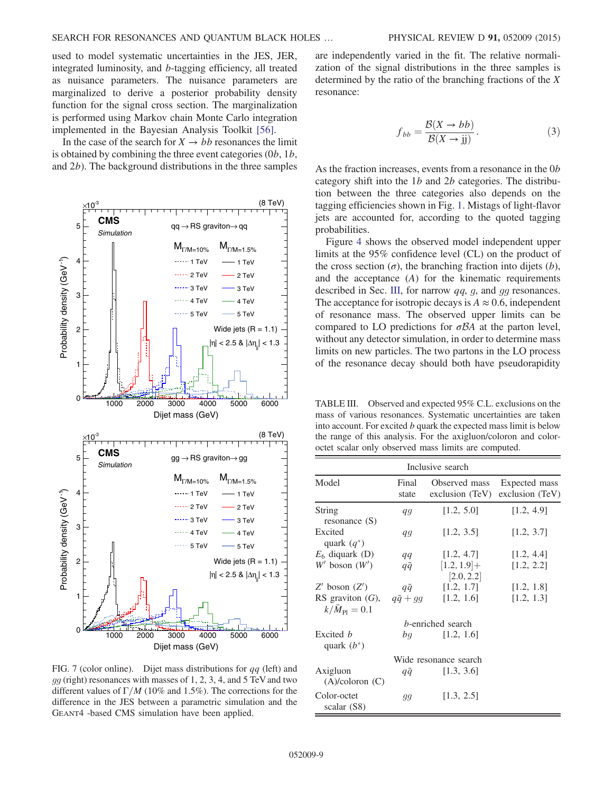used to model systematic uncertainties in the JES, JER, integrated luminosity, and b-tagging efficiency, all treated as nuisance parameters. The nuisance parameters are marginalized to derive a posterior probability density function for the signal cross section. The marginalization is performed using Markov chain Monte Carlo integration implemented in the Bayesian Analysis Toolkit [\[56\].](#page-18-25)

In the case of the search for  $X \rightarrow bb$  resonances the limit is obtained by combining the three event categories  $(0b, 1b, 1c)$ and 2b). The background distributions in the three samples

<span id="page-8-0"></span>

FIG. 7 (color online). Dijet mass distributions for  $qq$  (left) and  $gg$  (right) resonances with masses of 1, 2, 3, 4, and 5 TeV and two different values of  $\Gamma/M$  (10% and 1.5%). The corrections for the difference in the JES between a parametric simulation and the GEANT4 -based CMS simulation have been applied.

are independently varied in the fit. The relative normalization of the signal distributions in the three samples is determined by the ratio of the branching fractions of the X resonance:

$$
f_{bb} = \frac{\mathcal{B}(X \to bb)}{\mathcal{B}(X \to \text{jj})}.
$$
 (3)

As the fraction increases, events from a resonance in the 0b category shift into the  $1b$  and  $2b$  categories. The distribution between the three categories also depends on the tagging efficiencies shown in Fig. [1](#page-2-0). Mistags of light-flavor jets are accounted for, according to the quoted tagging probabilities.

Figure [4](#page-4-0) shows the observed model independent upper limits at the 95% confidence level (CL) on the product of the cross section ( $\sigma$ ), the branching fraction into dijets (b), and the acceptance  $(A)$  for the kinematic requirements described in Sec. [III](#page-1-0), for narrow qq, g, and gg resonances. The acceptance for isotropic decays is  $A \approx 0.6$ , independent of resonance mass. The observed upper limits can be compared to LO predictions for  $\sigma \mathcal{B}A$  at the parton level, without any detector simulation, in order to determine mass limits on new particles. The two partons in the LO process of the resonance decay should both have pseudorapidity

<span id="page-8-1"></span>TABLE III. Observed and expected 95% C.L. exclusions on the mass of various resonances. Systematic uncertainties are taken into account. For excited b quark the expected mass limit is below the range of this analysis. For the axigluon/coloron and coloroctet scalar only observed mass limits are computed.

| Inclusive search                                                                     |                |                                        |                                  |  |  |  |  |  |
|--------------------------------------------------------------------------------------|----------------|----------------------------------------|----------------------------------|--|--|--|--|--|
| Model                                                                                | Final<br>state | Observed mass<br>exclusion (TeV)       | Expected mass<br>exclusion (TeV) |  |  |  |  |  |
| String<br>resonance $(S)$                                                            | qg             | [1.2, 5.0]                             | [1.2, 4.9]                       |  |  |  |  |  |
| Excited<br>quark $(q^*)$                                                             | qg             | [1.2, 3.5]                             | [1.2, 3.7]                       |  |  |  |  |  |
| $E_6$ diquark (D)                                                                    | qq             | [1.2, 4.7]                             | [1.2, 4.4]                       |  |  |  |  |  |
| $W'$ boson $(W')$                                                                    | $q\bar{q}$     | $[1.2, 1.9]+$                          | [1.2, 2.2]                       |  |  |  |  |  |
| $Z'$ boson $(Z')$<br>RS graviton $(G)$ , $q\bar{q} + gg$<br>$k/\bar{M}_{\rm Pl}=0.1$ | $q\bar{q}$     | [2.0, 2.2]<br>[1.2, 1.7]<br>[1.2, 1.6] | [1.2, 1.8]<br>[1.2, 1.3]         |  |  |  |  |  |
|                                                                                      |                | <i>b</i> -enriched search              |                                  |  |  |  |  |  |
| Excited <i>b</i><br>quark $(b^*)$                                                    |                | <i>bq</i> [1.2, 1.6]                   |                                  |  |  |  |  |  |
|                                                                                      |                | Wide resonance search                  |                                  |  |  |  |  |  |
| Axigluon<br>$(A)/\text{coloron}(C)$                                                  | $q\bar{q}$     | [1.3, 3.6]                             |                                  |  |  |  |  |  |
| Color-octet<br>scalar (S8)                                                           | 99             | [1.3, 2.5]                             |                                  |  |  |  |  |  |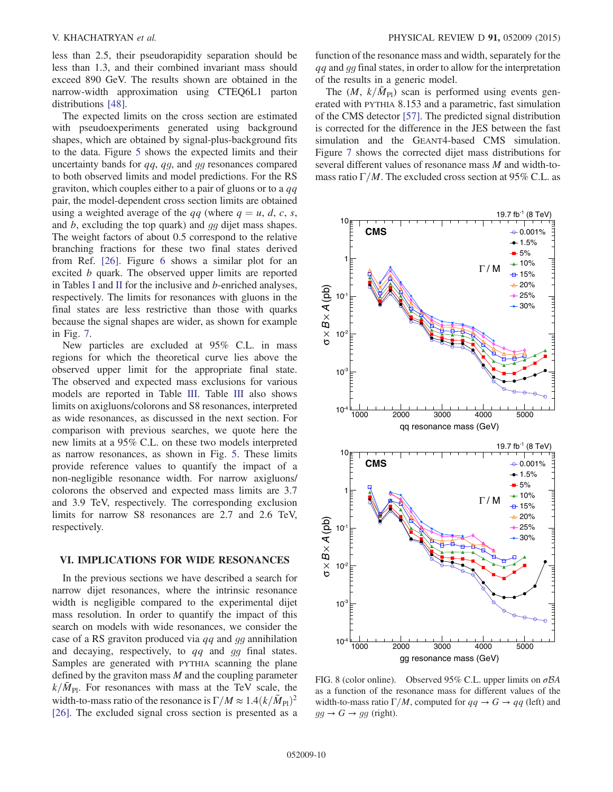less than 2.5, their pseudorapidity separation should be less than 1.3, and their combined invariant mass should exceed 890 GeV. The results shown are obtained in the narrow-width approximation using CTEQ6L1 parton distributions [\[48\].](#page-18-19)

The expected limits on the cross section are estimated with pseudoexperiments generated using background shapes, which are obtained by signal-plus-background fits to the data. Figure [5](#page-5-0) shows the expected limits and their uncertainty bands for  $qq$ ,  $qg$ , and  $gg$  resonances compared to both observed limits and model predictions. For the RS graviton, which couples either to a pair of gluons or to a  $qq$ pair, the model-dependent cross section limits are obtained using a weighted average of the  $qq$  (where  $q = u, d, c, s$ , and  $b$ , excluding the top quark) and  $gg$  dijet mass shapes. The weight factors of about 0.5 correspond to the relative branching fractions for these two final states derived from Ref. [\[26\].](#page-18-26) Figure [6](#page-6-0) shows a similar plot for an excited b quark. The observed upper limits are reported in Tables [I](#page-6-1) and [II](#page-7-0) for the inclusive and b-enriched analyses, respectively. The limits for resonances with gluons in the final states are less restrictive than those with quarks because the signal shapes are wider, as shown for example in Fig. [7](#page-8-0).

New particles are excluded at 95% C.L. in mass regions for which the theoretical curve lies above the observed upper limit for the appropriate final state. The observed and expected mass exclusions for various models are reported in Table [III](#page-8-1). Table [III](#page-8-1) also shows limits on axigluons/colorons and S8 resonances, interpreted as wide resonances, as discussed in the next section. For comparison with previous searches, we quote here the new limits at a 95% C.L. on these two models interpreted as narrow resonances, as shown in Fig. [5.](#page-5-0) These limits provide reference values to quantify the impact of a non-negligible resonance width. For narrow axigluons/ colorons the observed and expected mass limits are 3.7 and 3.9 TeV, respectively. The corresponding exclusion limits for narrow S8 resonances are 2.7 and 2.6 TeV, respectively.

### <span id="page-9-1"></span>VI. IMPLICATIONS FOR WIDE RESONANCES

In the previous sections we have described a search for narrow dijet resonances, where the intrinsic resonance width is negligible compared to the experimental dijet mass resolution. In order to quantify the impact of this search on models with wide resonances, we consider the case of a RS graviton produced via  $qq$  and  $gg$  annihilation and decaying, respectively, to qq and gq final states. Samples are generated with PYTHIA scanning the plane defined by the graviton mass  $M$  and the coupling parameter  $k/\bar{M}_{\text{Pl}}$ . For resonances with mass at the TeV scale, the width-to-mass ratio of the resonance is  $\Gamma/M \approx 1.4(k/\bar{M}_{\rm Pl})^2$ [\[26\]](#page-18-26). The excluded signal cross section is presented as a function of the resonance mass and width, separately for the  $qq$  and  $qq$  final states, in order to allow for the interpretation of the results in a generic model.

The  $(M, k/\bar{M}_{\rm Pl})$  scan is performed using events generated with PYTHIA 8.153 and a parametric, fast simulation of the CMS detector [\[57\].](#page-18-27) The predicted signal distribution is corrected for the difference in the JES between the fast simulation and the GEANT4-based CMS simulation. Figure [7](#page-8-0) shows the corrected dijet mass distributions for several different values of resonance mass M and width-tomass ratio  $\Gamma/M$ . The excluded cross section at 95% C.L. as

<span id="page-9-0"></span>

FIG. 8 (color online). Observed 95% C.L. upper limits on  $\sigma<sub>B</sub>A$ as a function of the resonance mass for different values of the width-to-mass ratio  $\Gamma/M$ , computed for  $qq \rightarrow G \rightarrow qq$  (left) and  $gg \to G \to gg$  (right).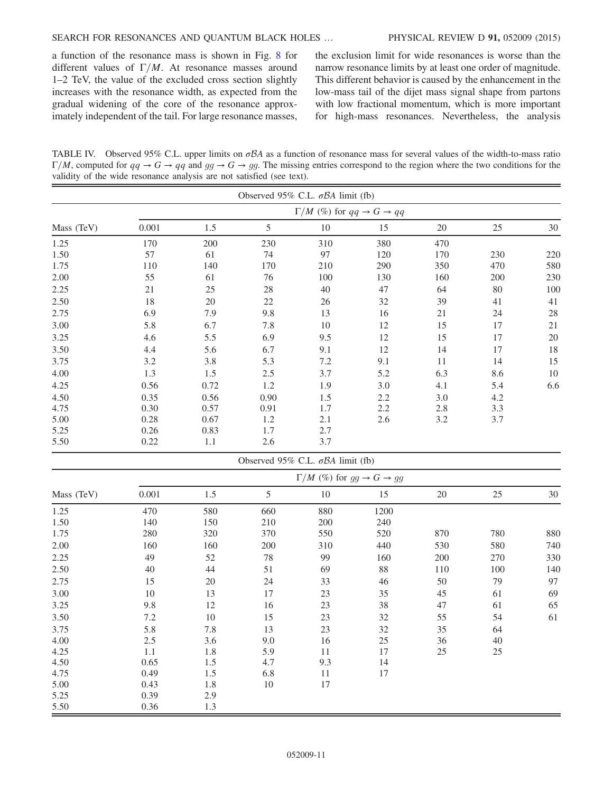a function of the resonance mass is shown in Fig. [8](#page-9-0) for different values of  $\Gamma/M$ . At resonance masses around 1–2 TeV, the value of the excluded cross section slightly increases with the resonance width, as expected from the gradual widening of the core of the resonance approximately independent of the tail. For large resonance masses, the exclusion limit for wide resonances is worse than the narrow resonance limits by at least one order of magnitude. This different behavior is caused by the enhancement in the low-mass tail of the dijet mass signal shape from partons with low fractional momentum, which is more important for high-mass resonances. Nevertheless, the analysis

<span id="page-10-0"></span>TABLE IV. Observed 95% C.L. upper limits on  $\sigma\beta A$  as a function of resonance mass for several values of the width-to-mass ratio  $\Gamma/M$ , computed for  $qq \to G \to qq$  and  $gg \to G \to gg$ . The missing entries correspond to the region where the two conditions for the validity of the wide resonance analysis are not satisfied (see text).

|            |                                                      |      | Observed 95% C.L. $\sigma\beta A$ limit (fb)       |                                      |         |         |         |        |  |
|------------|------------------------------------------------------|------|----------------------------------------------------|--------------------------------------|---------|---------|---------|--------|--|
|            | $\Gamma/M$ (%) for $qq \rightarrow G \rightarrow qq$ |      |                                                    |                                      |         |         |         |        |  |
| Mass (TeV) | 0.001                                                | 1.5  | 5                                                  | 10                                   | 15      | 20      | 25      | 30     |  |
| 1.25       | 170                                                  | 200  | 230                                                | 310                                  | 380     | 470     |         |        |  |
| 1.50       | 57                                                   | 61   | 74                                                 | 97                                   | 120     | 170     | 230     | 220    |  |
| 1.75       | 110                                                  | 140  | 170                                                | 210                                  | 290     | 350     | 470     | 580    |  |
| 2.00       | 55                                                   | 61   | 76                                                 | 100                                  | 130     | 160     | 200     | 230    |  |
| 2.25       | 21                                                   | 25   | 28                                                 | 40                                   | $47\,$  | 64      | $80\,$  | 100    |  |
| 2.50       | 18                                                   | 20   | 22                                                 | 26                                   | 32      | 39      | 41      | 41     |  |
| 2.75       | 6.9                                                  | 7.9  | 9.8                                                | 13                                   | 16      | 21      | 24      | 28     |  |
| 3.00       | 5.8                                                  | 6.7  | 7.8                                                | 10                                   | 12      | 15      | 17      | 21     |  |
| 3.25       | 4.6                                                  | 5.5  | 6.9                                                | 9.5                                  | 12      | 15      | 17      | 20     |  |
| 3.50       | 4.4                                                  | 5.6  | 6.7                                                | 9.1                                  | 12      | 14      | 17      | $18\,$ |  |
| 3.75       | 3.2                                                  | 3.8  | 5.3                                                | 7.2                                  | 9.1     | $11\,$  | 14      | 15     |  |
| 4.00       | 1.3                                                  | 1.5  | 2.5                                                | 3.7                                  | 5.2     | 6.3     | 8.6     | $10\,$ |  |
| 4.25       | 0.56                                                 | 0.72 | 1.2                                                | 1.9                                  | 3.0     | 4.1     | 5.4     | 6.6    |  |
| 4.50       | 0.35                                                 | 0.56 | 0.90                                               | 1.5                                  | 2.2     | 3.0     | 4.2     |        |  |
| 4.75       | 0.30                                                 | 0.57 | 0.91                                               | 1.7                                  | $2.2\,$ | $2.8\,$ | 3.3     |        |  |
| 5.00       | 0.28                                                 | 0.67 | 1.2                                                | 2.1                                  | 2.6     | 3.2     | 3.7     |        |  |
| 5.25       | 0.26                                                 | 0.83 | 1.7                                                | 2.7                                  |         |         |         |        |  |
| 5.50       | 0.22                                                 | 1.1  | 2.6                                                | 3.7                                  |         |         |         |        |  |
|            |                                                      |      | Observed 95% C.L. $\sigma \mathcal{B}A$ limit (fb) |                                      |         |         |         |        |  |
|            |                                                      |      |                                                    | $\Gamma/M$ (%) for $gg \to G \to gg$ |         |         |         |        |  |
| Mass (TeV) | 0.001                                                | 1.5  | 5                                                  | 10                                   | 15      | 20      | 25      | 30     |  |
| 1.25       | 470                                                  | 580  | 660                                                | 880                                  | 1200    |         |         |        |  |
| 1.50       | 140                                                  | 150  | 210                                                | 200                                  | 240     |         |         |        |  |
| 1.75       | 280                                                  | 320  | 370                                                | 550                                  | 520     | 870     | 780     | 880    |  |
| 2.00       | 160                                                  | 160  | 200                                                | 310                                  | 440     | 530     | 580     | 740    |  |
| 2.25       | 49                                                   | 52   | 78                                                 | 99                                   | 160     | 200     | 270     | 330    |  |
| $2.50\,$   | 40                                                   | 44   | 51                                                 | 69                                   | $88\,$  | 110     | $100\,$ | 140    |  |
| 2.75       | 15                                                   | 20   | 24                                                 | 33                                   | 46      | 50      | 79      | 97     |  |
| 3.00       | 10                                                   | 13   | 17                                                 | 23                                   | 35      | 45      | 61      | 69     |  |
| 3.25       | 9.8                                                  | 12   | 16                                                 | 23                                   | 38      | 47      | 61      | 65     |  |
| 3.50       | 7.2                                                  | 10   | 15                                                 | 23                                   | 32      | 55      | 54      | 61     |  |
| 3.75       | 5.8                                                  | 7.8  | 13                                                 | 23                                   | 32      | 35      | 64      |        |  |
| 4.00       | $2.5\,$                                              | 3.6  | 9.0                                                | 16                                   | $25\,$  | 36      | $40\,$  |        |  |
| 4.25       | $1.1\,$                                              | 1.8  | 5.9                                                | 11                                   | 17      | 25      | 25      |        |  |
| 4.50       | 0.65                                                 | 1.5  | 4.7                                                | 9.3                                  | 14      |         |         |        |  |
| 4.75       | 0.49                                                 | 1.5  | 6.8                                                | 11                                   | 17      |         |         |        |  |
| $5.00\,$   | 0.43                                                 | 1.8  | 10                                                 | 17                                   |         |         |         |        |  |
| 5.25       | 0.39                                                 | 2.9  |                                                    |                                      |         |         |         |        |  |
| 5.50       | 0.36                                                 | 1.3  |                                                    |                                      |         |         |         |        |  |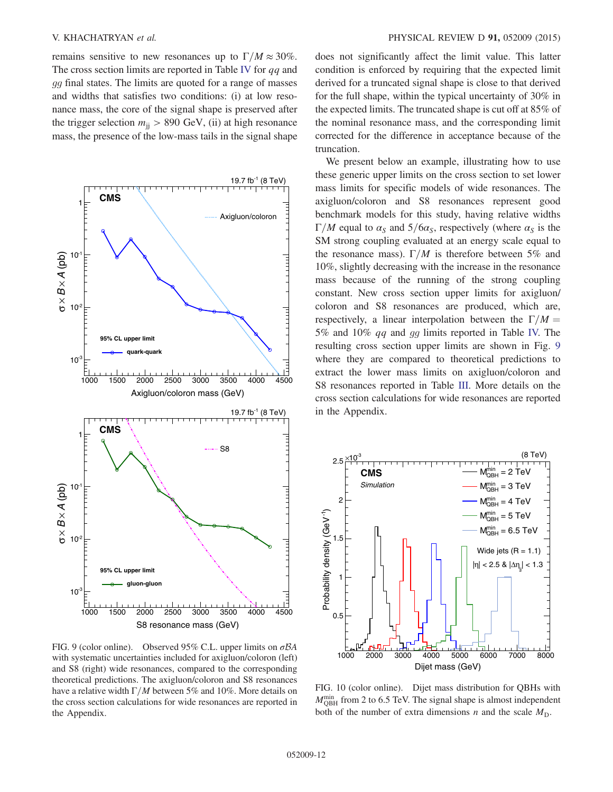remains sensitive to new resonances up to  $\Gamma/M \approx 30\%$ . The cross section limits are reported in Table [IV](#page-10-0) for  $qq$  and gg final states. The limits are quoted for a range of masses and widths that satisfies two conditions: (i) at low resonance mass, the core of the signal shape is preserved after the trigger selection  $m_{ii} > 890$  GeV, (ii) at high resonance mass, the presence of the low-mass tails in the signal shape

<span id="page-11-0"></span>

FIG. 9 (color online). Observed 95% C.L. upper limits on  $\sigma<sub>B</sub>A$ with systematic uncertainties included for axigluon/coloron (left) and S8 (right) wide resonances, compared to the corresponding theoretical predictions. The axigluon/coloron and S8 resonances have a relative width  $\Gamma/M$  between 5% and 10%. More details on the cross section calculations for wide resonances are reported in the Appendix.

does not significantly affect the limit value. This latter condition is enforced by requiring that the expected limit derived for a truncated signal shape is close to that derived for the full shape, within the typical uncertainty of 30% in the expected limits. The truncated shape is cut off at 85% of the nominal resonance mass, and the corresponding limit corrected for the difference in acceptance because of the truncation.

We present below an example, illustrating how to use these generic upper limits on the cross section to set lower mass limits for specific models of wide resonances. The axigluon/coloron and S8 resonances represent good benchmark models for this study, having relative widths Γ/M equal to  $\alpha_s$  and 5/6 $\alpha_s$ , respectively (where  $\alpha_s$  is the SM strong coupling evaluated at an energy scale equal to the resonance mass).  $\Gamma/M$  is therefore between 5% and 10%, slightly decreasing with the increase in the resonance mass because of the running of the strong coupling constant. New cross section upper limits for axigluon/ coloron and S8 resonances are produced, which are, respectively, a linear interpolation between the  $\Gamma/M =$ 5% and 10% qq and gg limits reported in Table [IV.](#page-10-0) The resulting cross section upper limits are shown in Fig. [9](#page-11-0) where they are compared to theoretical predictions to extract the lower mass limits on axigluon/coloron and S8 resonances reported in Table [III](#page-8-1). More details on the cross section calculations for wide resonances are reported in the Appendix.

<span id="page-11-1"></span>

FIG. 10 (color online). Dijet mass distribution for QBHs with  $M_{\text{QBH}}^{\text{min}}$  from 2 to 6.5 TeV. The signal shape is almost independent both of the number of extra dimensions *n* and the scale  $M_D$ .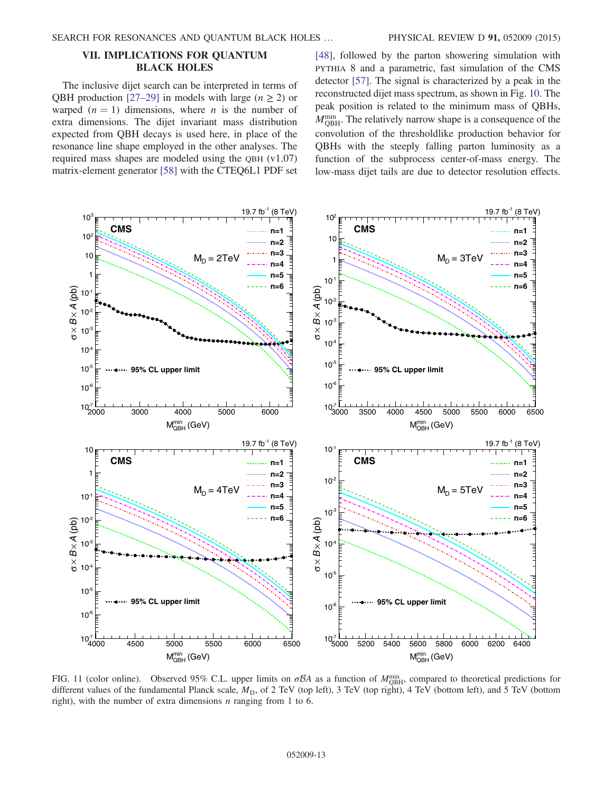### VII. IMPLICATIONS FOR QUANTUM BLACK HOLES

The inclusive dijet search can be interpreted in terms of QBH production [\[27](#page-18-5)–29] in models with large ( $n \ge 2$ ) or warped  $(n = 1)$  dimensions, where *n* is the number of extra dimensions. The dijet invariant mass distribution expected from QBH decays is used here, in place of the resonance line shape employed in the other analyses. The required mass shapes are modeled using the  $QBH (v1.07)$ matrix-element generator [\[58\]](#page-18-28) with the CTEQ6L1 PDF set [\[48\]](#page-18-19), followed by the parton showering simulation with PYTHIA 8 and a parametric, fast simulation of the CMS detector [\[57\].](#page-18-27) The signal is characterized by a peak in the reconstructed dijet mass spectrum, as shown in Fig. [10](#page-11-1). The peak position is related to the minimum mass of QBHs,  $M_{\text{QBH}}^{\text{min}}$ . The relatively narrow shape is a consequence of the convolution of the thresholdlike production behavior for QBHs with the steeply falling parton luminosity as a function of the subprocess center-of-mass energy. The low-mass dijet tails are due to detector resolution effects.

<span id="page-12-0"></span>

FIG. 11 (color online). Observed 95% C.L. upper limits on  $\sigma\beta A$  as a function of  $M_{\text{QBH}}^{\text{min}}$ , compared to theoretical predictions for different values of the fundamental Planck scale,  $M_D$ , of 2 TeV (top left), 3 TeV (top right), 4 TeV (bottom left), and 5 TeV (bottom right), with the number of extra dimensions  $n$  ranging from 1 to 6.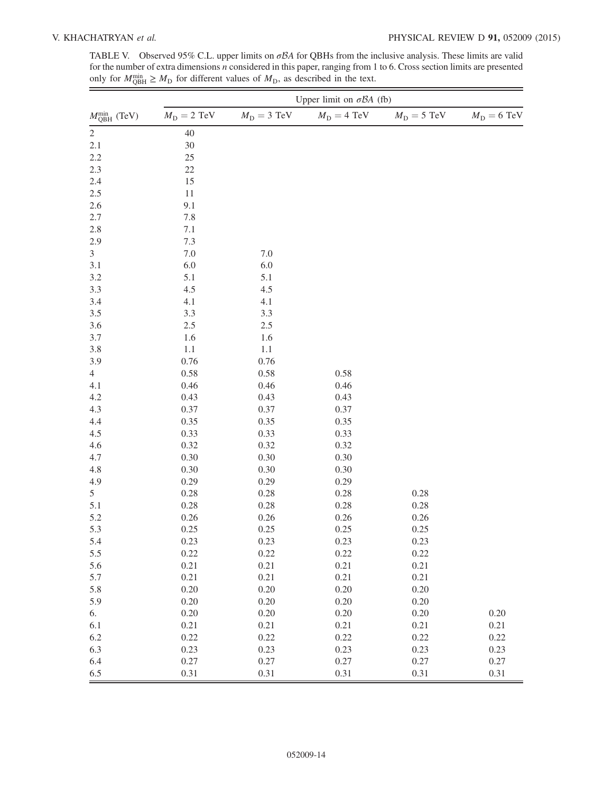|                                         | Upper limit on $\sigma B\!A$ (fb) |               |               |               |                     |  |  |  |  |
|-----------------------------------------|-----------------------------------|---------------|---------------|---------------|---------------------|--|--|--|--|
| $M_{\mathrm{QBH}}^{\mathrm{min}}$ (TeV) | $M_D = 2 \text{ TeV}$             | $M_D = 3$ TeV | $M_D = 4$ TeV | $M_D = 5$ TeV | $M_{\rm D} = 6$ TeV |  |  |  |  |
| $\overline{2}$                          | $40\,$                            |               |               |               |                     |  |  |  |  |
| 2.1                                     | $30\,$                            |               |               |               |                     |  |  |  |  |
| $2.2\,$                                 | $25\,$                            |               |               |               |                     |  |  |  |  |
| 2.3                                     | $22\,$                            |               |               |               |                     |  |  |  |  |
| 2.4                                     | 15                                |               |               |               |                     |  |  |  |  |
| $2.5\,$                                 | $11\,$                            |               |               |               |                     |  |  |  |  |
| $2.6\,$                                 | 9.1                               |               |               |               |                     |  |  |  |  |
| $2.7\,$                                 | 7.8                               |               |               |               |                     |  |  |  |  |
| $2.8\,$                                 | $7.1\,$                           |               |               |               |                     |  |  |  |  |
| 2.9                                     | 7.3                               |               |               |               |                     |  |  |  |  |
| $\mathfrak{Z}$                          | $7.0\,$                           | $7.0\,$       |               |               |                     |  |  |  |  |
| 3.1                                     | $6.0\,$                           | 6.0           |               |               |                     |  |  |  |  |
| 3.2                                     | 5.1                               | 5.1           |               |               |                     |  |  |  |  |
| 3.3                                     | 4.5                               | 4.5           |               |               |                     |  |  |  |  |
| 3.4                                     | 4.1                               | 4.1           |               |               |                     |  |  |  |  |
| $3.5$                                   | 3.3                               | 3.3           |               |               |                     |  |  |  |  |
| $3.6\,$                                 | $2.5\,$                           | $2.5\,$       |               |               |                     |  |  |  |  |
| 3.7                                     | 1.6                               | 1.6           |               |               |                     |  |  |  |  |
| 3.8                                     | $1.1\,$                           | 1.1           |               |               |                     |  |  |  |  |
| 3.9                                     | 0.76                              | 0.76          |               |               |                     |  |  |  |  |
| $\overline{4}$                          | 0.58                              | 0.58          | 0.58          |               |                     |  |  |  |  |
| 4.1                                     | 0.46                              | 0.46          | 0.46          |               |                     |  |  |  |  |
| $4.2\,$                                 | 0.43                              | 0.43          | 0.43          |               |                     |  |  |  |  |
| 4.3                                     | 0.37                              | 0.37          | 0.37          |               |                     |  |  |  |  |
| 4.4                                     | 0.35                              | 0.35          | 0.35          |               |                     |  |  |  |  |
| 4.5                                     | 0.33                              | 0.33          | 0.33          |               |                     |  |  |  |  |
|                                         |                                   | 0.32          |               |               |                     |  |  |  |  |
| 4.6<br>4.7                              | 0.32<br>0.30                      | 0.30          | 0.32<br>0.30  |               |                     |  |  |  |  |
|                                         |                                   |               |               |               |                     |  |  |  |  |
| 4.8                                     | 0.30                              | 0.30          | 0.30          |               |                     |  |  |  |  |
| 4.9<br>5 <sup>5</sup>                   | 0.29<br>0.28                      | 0.29          | 0.29          |               |                     |  |  |  |  |
|                                         |                                   | 0.28          | 0.28          | 0.28          |                     |  |  |  |  |
| 5.1                                     | 0.28                              | 0.28          | 0.28          | 0.28          |                     |  |  |  |  |
| $5.2\,$                                 | 0.26                              | 0.26          | 0.26          | 0.26          |                     |  |  |  |  |
| 5.3                                     | 0.25                              | 0.25          | 0.25          | 0.25          |                     |  |  |  |  |
| 5.4                                     | 0.23                              | 0.23          | 0.23          | 0.23          |                     |  |  |  |  |
| 5.5                                     | 0.22                              | 0.22          | 0.22          | 0.22          |                     |  |  |  |  |
| 5.6                                     | 0.21                              | 0.21          | 0.21          | 0.21          |                     |  |  |  |  |
| 5.7                                     | 0.21                              | 0.21          | 0.21          | 0.21          |                     |  |  |  |  |
| 5.8                                     | 0.20                              | 0.20          | 0.20          | 0.20          |                     |  |  |  |  |
| 5.9                                     | 0.20                              | 0.20          | 0.20          | 0.20          |                     |  |  |  |  |
| 6.                                      | 0.20                              | 0.20          | 0.20          | 0.20          | 0.20                |  |  |  |  |
| 6.1                                     | 0.21                              | 0.21          | 0.21          | 0.21          | 0.21                |  |  |  |  |
| $6.2\,$                                 | 0.22                              | 0.22          | 0.22          | 0.22          | 0.22                |  |  |  |  |
| 6.3                                     | 0.23                              | 0.23          | 0.23          | 0.23          | 0.23                |  |  |  |  |
| 6.4                                     | 0.27                              | 0.27          | 0.27          | 0.27          | 0.27                |  |  |  |  |
| 6.5                                     | 0.31                              | 0.31          | 0.31          | 0.31          | 0.31                |  |  |  |  |

<span id="page-13-0"></span>TABLE V. Observed 95% C.L. upper limits on  $\sigma\beta A$  for QBHs from the inclusive analysis. These limits are valid for the number of extra dimensions n considered in this paper, ranging from 1 to 6. Cross section limits are presented only for  $M_{\text{QBH}}^{\text{min}} \geq M_{\text{D}}$  for different values of  $M_{\text{D}}$ , as described in the text.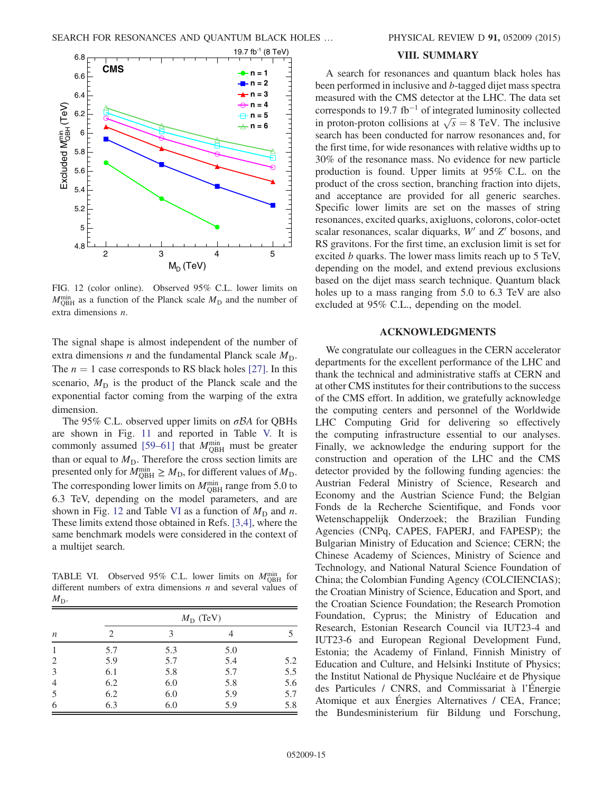<span id="page-14-0"></span>

FIG. 12 (color online). Observed 95% C.L. lower limits on  $M_{\text{QBH}}^{\text{min}}$  as a function of the Planck scale  $M_{\text{D}}$  and the number of extra dimensions n.

The signal shape is almost independent of the number of extra dimensions *n* and the fundamental Planck scale  $M_D$ . The  $n = 1$  case corresponds to RS black holes [\[27\]](#page-18-5). In this scenario,  $M_D$  is the product of the Planck scale and the exponential factor coming from the warping of the extra dimension.

The 95% C.L. observed upper limits on  $\sigma<sub>BA</sub>$  for QBHs are shown in Fig. [11](#page-12-0) and reported in Table [V.](#page-13-0) It is commonly assumed [59–[61\]](#page-18-29) that  $M_{\text{QBH}}^{\text{min}}$  must be greater than or equal to  $M<sub>D</sub>$ . Therefore the cross section limits are presented only for  $M_{\rm QBH}^{\rm min} \geq M_{\rm D}$ , for different values of  $M_{\rm D}$ . The corresponding lower limits on  $M_{\text{QBH}}^{\text{min}}$  range from 5.0 to 6.3 TeV, depending on the model parameters, and are shown in Fig. [12](#page-14-0) and Table [VI](#page-14-1) as a function of  $M_D$  and n. These limits extend those obtained in Refs. [\[3,4\],](#page-17-8) where the same benchmark models were considered in the context of a multijet search.

<span id="page-14-1"></span>TABLE VI. Observed 95% C.L. lower limits on  $M_{\text{QBH}}^{\text{min}}$  for different numbers of extra dimensions  $n$  and several values of  $M_{\rm D}$ .

|                |     | $M_D$ (TeV) |     |     |  |  |  |  |  |
|----------------|-----|-------------|-----|-----|--|--|--|--|--|
| n              | 2   |             |     |     |  |  |  |  |  |
| 1              | 5.7 | 5.3         | 5.0 |     |  |  |  |  |  |
| 2              | 5.9 | 5.7         | 5.4 | 5.2 |  |  |  |  |  |
| 3              | 6.1 | 5.8         | 5.7 | 5.5 |  |  |  |  |  |
| $\overline{4}$ | 6.2 | 6.0         | 5.8 | 5.6 |  |  |  |  |  |
| 5              | 6.2 | 6.0         | 5.9 | 5.7 |  |  |  |  |  |
| 6              | 6.3 | 6.0         | 5.9 | 5.8 |  |  |  |  |  |

### VIII. SUMMARY

A search for resonances and quantum black holes has been performed in inclusive and b-tagged dijet mass spectra measured with the CMS detector at the LHC. The data set corresponds to 19.7 fb<sup>-1</sup> of integrated luminosity collected in proton-proton collisions at  $\sqrt{s} = 8$  TeV. The inclusive search has been conducted for narrow resonances and, for the first time, for wide resonances with relative widths up to 30% of the resonance mass. No evidence for new particle production is found. Upper limits at 95% C.L. on the product of the cross section, branching fraction into dijets, and acceptance are provided for all generic searches. Specific lower limits are set on the masses of string resonances, excited quarks, axigluons, colorons, color-octet scalar resonances, scalar diquarks,  $W'$  and  $Z'$  bosons, and RS gravitons. For the first time, an exclusion limit is set for excited b quarks. The lower mass limits reach up to 5 TeV, depending on the model, and extend previous exclusions based on the dijet mass search technique. Quantum black holes up to a mass ranging from 5.0 to 6.3 TeV are also excluded at 95% C.L., depending on the model.

### ACKNOWLEDGMENTS

We congratulate our colleagues in the CERN accelerator departments for the excellent performance of the LHC and thank the technical and administrative staffs at CERN and at other CMS institutes for their contributions to the success of the CMS effort. In addition, we gratefully acknowledge the computing centers and personnel of the Worldwide LHC Computing Grid for delivering so effectively the computing infrastructure essential to our analyses. Finally, we acknowledge the enduring support for the construction and operation of the LHC and the CMS detector provided by the following funding agencies: the Austrian Federal Ministry of Science, Research and Economy and the Austrian Science Fund; the Belgian Fonds de la Recherche Scientifique, and Fonds voor Wetenschappelijk Onderzoek; the Brazilian Funding Agencies (CNPq, CAPES, FAPERJ, and FAPESP); the Bulgarian Ministry of Education and Science; CERN; the Chinese Academy of Sciences, Ministry of Science and Technology, and National Natural Science Foundation of China; the Colombian Funding Agency (COLCIENCIAS); the Croatian Ministry of Science, Education and Sport, and the Croatian Science Foundation; the Research Promotion Foundation, Cyprus; the Ministry of Education and Research, Estonian Research Council via IUT23-4 and IUT23-6 and European Regional Development Fund, Estonia; the Academy of Finland, Finnish Ministry of Education and Culture, and Helsinki Institute of Physics; the Institut National de Physique Nucléaire et de Physique des Particules / CNRS, and Commissariat à l'Énergie Atomique et aux Énergies Alternatives / CEA, France; the Bundesministerium für Bildung und Forschung,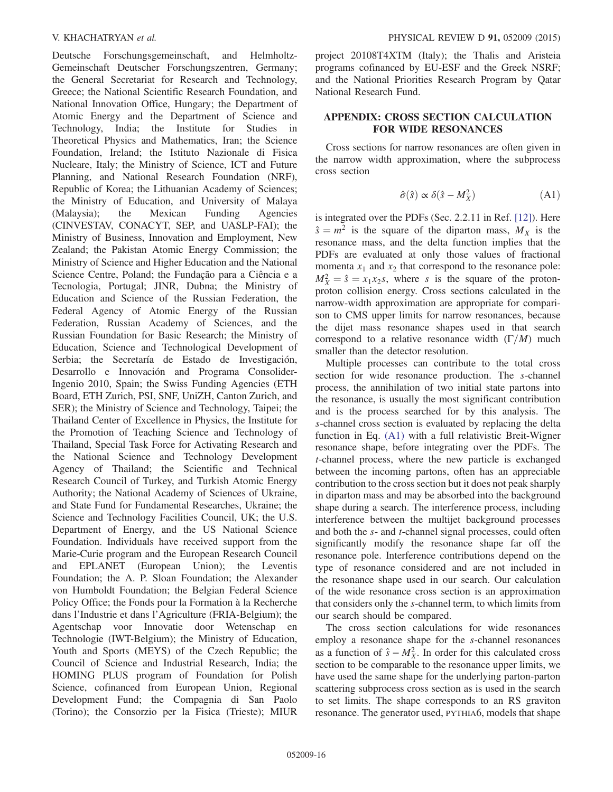Deutsche Forschungsgemeinschaft, and Helmholtz-Gemeinschaft Deutscher Forschungszentren, Germany; the General Secretariat for Research and Technology, Greece; the National Scientific Research Foundation, and National Innovation Office, Hungary; the Department of Atomic Energy and the Department of Science and Technology, India; the Institute for Studies in Theoretical Physics and Mathematics, Iran; the Science Foundation, Ireland; the Istituto Nazionale di Fisica Nucleare, Italy; the Ministry of Science, ICT and Future Planning, and National Research Foundation (NRF), Republic of Korea; the Lithuanian Academy of Sciences; the Ministry of Education, and University of Malaya (Malaysia); the Mexican Funding Agencies (CINVESTAV, CONACYT, SEP, and UASLP-FAI); the Ministry of Business, Innovation and Employment, New Zealand; the Pakistan Atomic Energy Commission; the Ministry of Science and Higher Education and the National Science Centre, Poland; the Fundação para a Ciência e a Tecnologia, Portugal; JINR, Dubna; the Ministry of Education and Science of the Russian Federation, the Federal Agency of Atomic Energy of the Russian Federation, Russian Academy of Sciences, and the Russian Foundation for Basic Research; the Ministry of Education, Science and Technological Development of Serbia; the Secretaría de Estado de Investigación, Desarrollo e Innovación and Programa Consolider-Ingenio 2010, Spain; the Swiss Funding Agencies (ETH Board, ETH Zurich, PSI, SNF, UniZH, Canton Zurich, and SER); the Ministry of Science and Technology, Taipei; the Thailand Center of Excellence in Physics, the Institute for the Promotion of Teaching Science and Technology of Thailand, Special Task Force for Activating Research and the National Science and Technology Development Agency of Thailand; the Scientific and Technical Research Council of Turkey, and Turkish Atomic Energy Authority; the National Academy of Sciences of Ukraine, and State Fund for Fundamental Researches, Ukraine; the Science and Technology Facilities Council, UK; the U.S. Department of Energy, and the US National Science Foundation. Individuals have received support from the Marie-Curie program and the European Research Council and EPLANET (European Union); the Leventis Foundation; the A. P. Sloan Foundation; the Alexander von Humboldt Foundation; the Belgian Federal Science Policy Office; the Fonds pour la Formation à la Recherche dans l'Industrie et dans l'Agriculture (FRIA-Belgium); the Agentschap voor Innovatie door Wetenschap en Technologie (IWT-Belgium); the Ministry of Education, Youth and Sports (MEYS) of the Czech Republic; the Council of Science and Industrial Research, India; the HOMING PLUS program of Foundation for Polish Science, cofinanced from European Union, Regional Development Fund; the Compagnia di San Paolo (Torino); the Consorzio per la Fisica (Trieste); MIUR

project 20108T4XTM (Italy); the Thalis and Aristeia programs cofinanced by EU-ESF and the Greek NSRF; and the National Priorities Research Program by Qatar National Research Fund.

### APPENDIX: CROSS SECTION CALCULATION FOR WIDE RESONANCES

<span id="page-15-0"></span>Cross sections for narrow resonances are often given in the narrow width approximation, where the subprocess cross section

$$
\hat{\sigma}(\hat{s}) \propto \delta(\hat{s} - M_X^2) \tag{A1}
$$

is integrated over the PDFs (Sec. 2.2.11 in Ref. [\[12\]](#page-17-2)). Here  $\hat{s} = m^2$  is the square of the diparton mass,  $M_X$  is the resonance mass, and the delta function implies that the PDFs are evaluated at only those values of fractional momenta  $x_1$  and  $x_2$  that correspond to the resonance pole:  $M_X^2 = \hat{s} = x_1 x_2 s$ , where s is the square of the protonproton collision energy. Cross sections calculated in the narrow-width approximation are appropriate for comparison to CMS upper limits for narrow resonances, because the dijet mass resonance shapes used in that search correspond to a relative resonance width  $(\Gamma/M)$  much smaller than the detector resolution.

Multiple processes can contribute to the total cross section for wide resonance production. The s-channel process, the annihilation of two initial state partons into the resonance, is usually the most significant contribution and is the process searched for by this analysis. The s-channel cross section is evaluated by replacing the delta function in Eq. [\(A1\)](#page-15-0) with a full relativistic Breit-Wigner resonance shape, before integrating over the PDFs. The t-channel process, where the new particle is exchanged between the incoming partons, often has an appreciable contribution to the cross section but it does not peak sharply in diparton mass and may be absorbed into the background shape during a search. The interference process, including interference between the multijet background processes and both the s- and t-channel signal processes, could often significantly modify the resonance shape far off the resonance pole. Interference contributions depend on the type of resonance considered and are not included in the resonance shape used in our search. Our calculation of the wide resonance cross section is an approximation that considers only the s-channel term, to which limits from our search should be compared.

The cross section calculations for wide resonances employ a resonance shape for the s-channel resonances as a function of  $\hat{s} - M_X^2$ . In order for this calculated cross section to be comparable to the resonance upper limits, we have used the same shape for the underlying parton-parton scattering subprocess cross section as is used in the search to set limits. The shape corresponds to an RS graviton resonance. The generator used, PYTHIA6, models that shape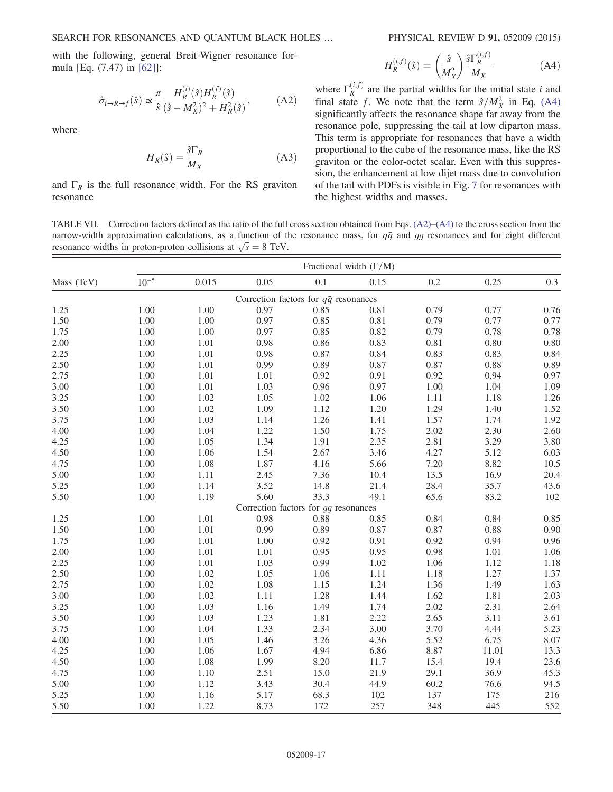<span id="page-16-1"></span>with the following, general Breit-Wigner resonance formula [Eq. (7.47) in [\[62\]](#page-18-30)]:

$$
\hat{\sigma}_{i \to R \to f}(\hat{s}) \propto \frac{\pi}{\hat{s}} \frac{H_R^{(i)}(\hat{s}) H_R^{(f)}(\hat{s})}{(\hat{s} - M_X^2)^2 + H_R^2(\hat{s})},\tag{A2}
$$

where

$$
H_R(\hat{s}) = \frac{\hat{s}\Gamma_R}{M_X} \tag{A3}
$$

<span id="page-16-0"></span>and  $\Gamma_R$  is the full resonance width. For the RS graviton resonance

$$
H_R^{(i,f)}(\hat{s}) = \left(\frac{\hat{s}}{M_X^2}\right) \frac{\hat{s} \Gamma_R^{(i,f)}}{M_X} \tag{A4}
$$

where  $\Gamma_R^{(i,f)}$  are the partial widths for the initial state i and final state f. We note that the term  $\hat{s}/M_X^2$  in Eq. [\(A4\)](#page-16-0) significantly affects the resonance shape far away from the resonance pole, suppressing the tail at low diparton mass. This term is appropriate for resonances that have a width proportional to the cube of the resonance mass, like the RS graviton or the color-octet scalar. Even with this suppression, the enhancement at low dijet mass due to convolution of the tail with PDFs is visible in Fig. [7](#page-8-0) for resonances with the highest widths and masses.

<span id="page-16-2"></span>TABLE VII. Correction factors defined as the ratio of the full cross section obtained from Eqs. [\(A2\)](#page-16-1)–[\(A4\)](#page-16-0) to the cross section from the narrow-width approximation calculations, as a function of the resonance mass, for  $q\bar{q}$  and gg resonances and for eight different resonance widths in proton-proton collisions at  $\sqrt{s} = 8$  TeV.

|            | Fractional width $(\Gamma/M)$ |       |                                              |      |          |          |       |      |  |
|------------|-------------------------------|-------|----------------------------------------------|------|----------|----------|-------|------|--|
| Mass (TeV) | $10^{-5}$                     | 0.015 | 0.05                                         | 0.1  | 0.15     | 0.2      | 0.25  | 0.3  |  |
|            |                               |       | Correction factors for $q\bar{q}$ resonances |      |          |          |       |      |  |
| 1.25       | 1.00                          | 1.00  | 0.97                                         | 0.85 | 0.81     | 0.79     | 0.77  | 0.76 |  |
| 1.50       | $1.00\,$                      | 1.00  | 0.97                                         | 0.85 | $0.81\,$ | 0.79     | 0.77  | 0.77 |  |
| 1.75       | 1.00                          | 1.00  | 0.97                                         | 0.85 | 0.82     | 0.79     | 0.78  | 0.78 |  |
| 2.00       | 1.00                          | 1.01  | 0.98                                         | 0.86 | 0.83     | 0.81     | 0.80  | 0.80 |  |
| 2.25       | 1.00                          | 1.01  | 0.98                                         | 0.87 | 0.84     | 0.83     | 0.83  | 0.84 |  |
| 2.50       | 1.00                          | 1.01  | 0.99                                         | 0.89 | 0.87     | 0.87     | 0.88  | 0.89 |  |
| 2.75       | 1.00                          | 1.01  | 1.01                                         | 0.92 | 0.91     | 0.92     | 0.94  | 0.97 |  |
| 3.00       | 1.00                          | 1.01  | 1.03                                         | 0.96 | 0.97     | $1.00\,$ | 1.04  | 1.09 |  |
| 3.25       | 1.00                          | 1.02  | 1.05                                         | 1.02 | 1.06     | 1.11     | 1.18  | 1.26 |  |
| 3.50       | 1.00                          | 1.02  | 1.09                                         | 1.12 | 1.20     | 1.29     | 1.40  | 1.52 |  |
| 3.75       | 1.00                          | 1.03  | 1.14                                         | 1.26 | 1.41     | 1.57     | 1.74  | 1.92 |  |
| 4.00       | 1.00                          | 1.04  | 1.22                                         | 1.50 | 1.75     | 2.02     | 2.30  | 2.60 |  |
| 4.25       | 1.00                          | 1.05  | 1.34                                         | 1.91 | 2.35     | 2.81     | 3.29  | 3.80 |  |
| 4.50       | 1.00                          | 1.06  | 1.54                                         | 2.67 | 3.46     | 4.27     | 5.12  | 6.03 |  |
| 4.75       | 1.00                          | 1.08  | 1.87                                         | 4.16 | 5.66     | 7.20     | 8.82  | 10.5 |  |
| 5.00       | 1.00                          | 1.11  | 2.45                                         | 7.36 | 10.4     | 13.5     | 16.9  | 20.4 |  |
| 5.25       | 1.00                          | 1.14  | 3.52                                         | 14.8 | 21.4     | 28.4     | 35.7  | 43.6 |  |
| 5.50       | 1.00                          | 1.19  | 5.60                                         | 33.3 | 49.1     | 65.6     | 83.2  | 102  |  |
|            |                               |       | Correction factors for gg resonances         |      |          |          |       |      |  |
| 1.25       | 1.00                          | 1.01  | 0.98                                         | 0.88 | 0.85     | 0.84     | 0.84  | 0.85 |  |
| 1.50       | 1.00                          | 1.01  | 0.99                                         | 0.89 | 0.87     | 0.87     | 0.88  | 0.90 |  |
| 1.75       | 1.00                          | 1.01  | 1.00                                         | 0.92 | 0.91     | 0.92     | 0.94  | 0.96 |  |
| 2.00       | 1.00                          | 1.01  | 1.01                                         | 0.95 | 0.95     | 0.98     | 1.01  | 1.06 |  |
| 2.25       | 1.00                          | 1.01  | 1.03                                         | 0.99 | 1.02     | 1.06     | 1.12  | 1.18 |  |
| 2.50       | 1.00                          | 1.02  | 1.05                                         | 1.06 | $1.11$   | 1.18     | 1.27  | 1.37 |  |
| 2.75       | 1.00                          | 1.02  | 1.08                                         | 1.15 | 1.24     | 1.36     | 1.49  | 1.63 |  |
| 3.00       | 1.00                          | 1.02  | $1.11$                                       | 1.28 | 1.44     | 1.62     | 1.81  | 2.03 |  |
| 3.25       | 1.00                          | 1.03  | 1.16                                         | 1.49 | 1.74     | 2.02     | 2.31  | 2.64 |  |
| 3.50       | 1.00                          | 1.03  | 1.23                                         | 1.81 | 2.22     | 2.65     | 3.11  | 3.61 |  |
| 3.75       | 1.00                          | 1.04  | 1.33                                         | 2.34 | 3.00     | 3.70     | 4.44  | 5.23 |  |
| 4.00       | 1.00                          | 1.05  | 1.46                                         | 3.26 | 4.36     | 5.52     | 6.75  | 8.07 |  |
| 4.25       | 1.00                          | 1.06  | 1.67                                         | 4.94 | 6.86     | 8.87     | 11.01 | 13.3 |  |
| 4.50       | 1.00                          | 1.08  | 1.99                                         | 8.20 | 11.7     | 15.4     | 19.4  | 23.6 |  |
| 4.75       | 1.00                          | 1.10  | 2.51                                         | 15.0 | 21.9     | 29.1     | 36.9  | 45.3 |  |
| 5.00       | 1.00                          | 1.12  | 3.43                                         | 30.4 | 44.9     | 60.2     | 76.6  | 94.5 |  |
| 5.25       | 1.00                          | 1.16  | 5.17                                         | 68.3 | 102      | 137      | 175   | 216  |  |
| 5.50       | 1.00                          | 1.22  | 8.73                                         | 172  | 257      | 348      | 445   | 552  |  |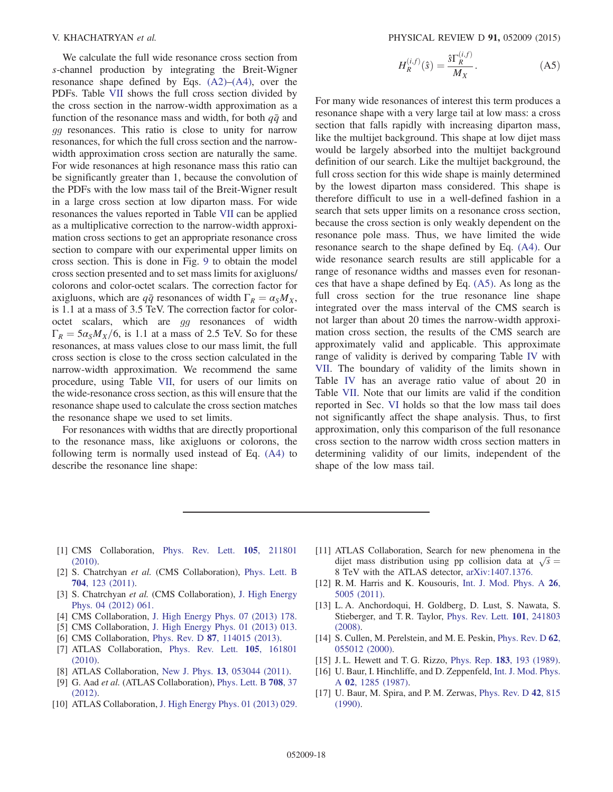We calculate the full wide resonance cross section from s-channel production by integrating the Breit-Wigner resonance shape defined by Eqs. [\(A2\)](#page-16-1)–[\(A4\)](#page-16-0), over the PDFs. Table [VII](#page-16-2) shows the full cross section divided by the cross section in the narrow-width approximation as a function of the resonance mass and width, for both  $q\bar{q}$  and gg resonances. This ratio is close to unity for narrow resonances, for which the full cross section and the narrowwidth approximation cross section are naturally the same. For wide resonances at high resonance mass this ratio can be significantly greater than 1, because the convolution of the PDFs with the low mass tail of the Breit-Wigner result in a large cross section at low diparton mass. For wide resonances the values reported in Table [VII](#page-16-2) can be applied as a multiplicative correction to the narrow-width approximation cross sections to get an appropriate resonance cross section to compare with our experimental upper limits on cross section. This is done in Fig. [9](#page-11-0) to obtain the model cross section presented and to set mass limits for axigluons/ colorons and color-octet scalars. The correction factor for axigluons, which are  $q\bar{q}$  resonances of width  $\Gamma_R = \alpha_S M_X$ , is 1.1 at a mass of 3.5 TeV. The correction factor for coloroctet scalars, which are gg resonances of width  $\Gamma_R = 5\alpha_S M_X/6$ , is 1.1 at a mass of 2.5 TeV. So for these resonances, at mass values close to our mass limit, the full cross section is close to the cross section calculated in the narrow-width approximation. We recommend the same procedure, using Table [VII](#page-16-2), for users of our limits on the wide-resonance cross section, as this will ensure that the resonance shape used to calculate the cross section matches the resonance shape we used to set limits.

<span id="page-17-9"></span>For resonances with widths that are directly proportional to the resonance mass, like axigluons or colorons, the following term is normally used instead of Eq. [\(A4\)](#page-16-0) to describe the resonance line shape:

$$
H_R^{(i,f)}(\hat{s}) = \frac{\hat{s}\Gamma_R^{(i,f)}}{M_X}.
$$
 (A5)

For many wide resonances of interest this term produces a resonance shape with a very large tail at low mass: a cross section that falls rapidly with increasing diparton mass, like the multijet background. This shape at low dijet mass would be largely absorbed into the multijet background definition of our search. Like the multijet background, the full cross section for this wide shape is mainly determined by the lowest diparton mass considered. This shape is therefore difficult to use in a well-defined fashion in a search that sets upper limits on a resonance cross section, because the cross section is only weakly dependent on the resonance pole mass. Thus, we have limited the wide resonance search to the shape defined by Eq. [\(A4\)](#page-16-0). Our wide resonance search results are still applicable for a range of resonance widths and masses even for resonances that have a shape defined by Eq. [\(A5\)](#page-17-9). As long as the full cross section for the true resonance line shape integrated over the mass interval of the CMS search is not larger than about 20 times the narrow-width approximation cross section, the results of the CMS search are approximately valid and applicable. This approximate range of validity is derived by comparing Table [IV](#page-10-0) with [VII](#page-16-2). The boundary of validity of the limits shown in Table [IV](#page-10-0) has an average ratio value of about 20 in Table [VII](#page-16-2). Note that our limits are valid if the condition reported in Sec. [VI](#page-9-1) holds so that the low mass tail does not significantly affect the shape analysis. Thus, to first approximation, only this comparison of the full resonance cross section to the narrow width cross section matters in determining validity of our limits, independent of the shape of the low mass tail.

- <span id="page-17-0"></span>[1] CMS Collaboration, [Phys. Rev. Lett.](http://dx.doi.org/10.1103/PhysRevLett.105.211801) 105, 211801 [\(2010\).](http://dx.doi.org/10.1103/PhysRevLett.105.211801)
- <span id="page-17-7"></span>[2] S. Chatrchyan et al. (CMS Collaboration), [Phys. Lett. B](http://dx.doi.org/10.1016/j.physletb.2011.09.015) 704[, 123 \(2011\)](http://dx.doi.org/10.1016/j.physletb.2011.09.015).
- <span id="page-17-8"></span>[3] S. Chatrchyan et al. (CMS Collaboration), [J. High Energy](http://dx.doi.org/10.1007/JHEP04(2012)061) [Phys. 04 \(2012\) 061.](http://dx.doi.org/10.1007/JHEP04(2012)061)
- [4] CMS Collaboration, [J. High Energy Phys. 07 \(2013\) 178.](http://dx.doi.org/10.1007/JHEP07(2013)178)
- <span id="page-17-6"></span>[5] CMS Collaboration, [J. High Energy Phys. 01 \(2013\) 013.](http://dx.doi.org/10.1007/JHEP01(2013)013)
- [6] CMS Collaboration, Phys. Rev. D 87[, 114015 \(2013\)](http://dx.doi.org/10.1103/PhysRevD.87.114015).
- <span id="page-17-1"></span>[7] ATLAS Collaboration, [Phys. Rev. Lett.](http://dx.doi.org/10.1103/PhysRevLett.105.161801) 105, 161801 [\(2010\).](http://dx.doi.org/10.1103/PhysRevLett.105.161801)
- [8] ATLAS Collaboration, New J. Phys. **13**[, 053044 \(2011\).](http://dx.doi.org/10.1088/1367-2630/13/5/053044)
- [9] G. Aad et al. (ATLAS Collaboration), [Phys. Lett. B](http://dx.doi.org/10.1016/j.physletb.2012.01.035) 708, 37 [\(2012\).](http://dx.doi.org/10.1016/j.physletb.2012.01.035)
- [10] ATLAS Collaboration, [J. High Energy Phys. 01 \(2013\) 029.](http://dx.doi.org/10.1007/JHEP01(2013)029)
- [11] ATLAS Collaboration, Search for new phenomena in the dijet mass distribution using pp collision data at  $\sqrt{s} =$ 8 TeV with the ATLAS detector, [arXiv:1407.1376.](http://arXiv.org/abs/1407.1376)
- <span id="page-17-2"></span>[12] R. M. Harris and K. Kousouris, [Int. J. Mod. Phys. A](http://dx.doi.org/10.1142/S0217751X11054905) 26, [5005 \(2011\)](http://dx.doi.org/10.1142/S0217751X11054905).
- <span id="page-17-3"></span>[13] L. A. Anchordoqui, H. Goldberg, D. Lust, S. Nawata, S. Stieberger, and T. R. Taylor, [Phys. Rev. Lett.](http://dx.doi.org/10.1103/PhysRevLett.101.241803) 101, 241803 [\(2008\).](http://dx.doi.org/10.1103/PhysRevLett.101.241803)
- [14] S. Cullen, M. Perelstein, and M. E. Peskin, [Phys. Rev. D](http://dx.doi.org/10.1103/PhysRevD.62.055012) 62, [055012 \(2000\).](http://dx.doi.org/10.1103/PhysRevD.62.055012)
- <span id="page-17-4"></span>[15] J.L. Hewett and T.G. Rizzo, Phys. Rep. 183[, 193 \(1989\).](http://dx.doi.org/10.1016/0370-1573(89)90071-9)
- <span id="page-17-5"></span>[16] U. Baur, I. Hinchliffe, and D. Zeppenfeld, [Int. J. Mod. Phys.](http://dx.doi.org/10.1142/S0217751X87000661) A 02[, 1285 \(1987\).](http://dx.doi.org/10.1142/S0217751X87000661)
- [17] U. Baur, M. Spira, and P. M. Zerwas, [Phys. Rev. D](http://dx.doi.org/10.1103/PhysRevD.42.815) 42, 815 [\(1990\).](http://dx.doi.org/10.1103/PhysRevD.42.815)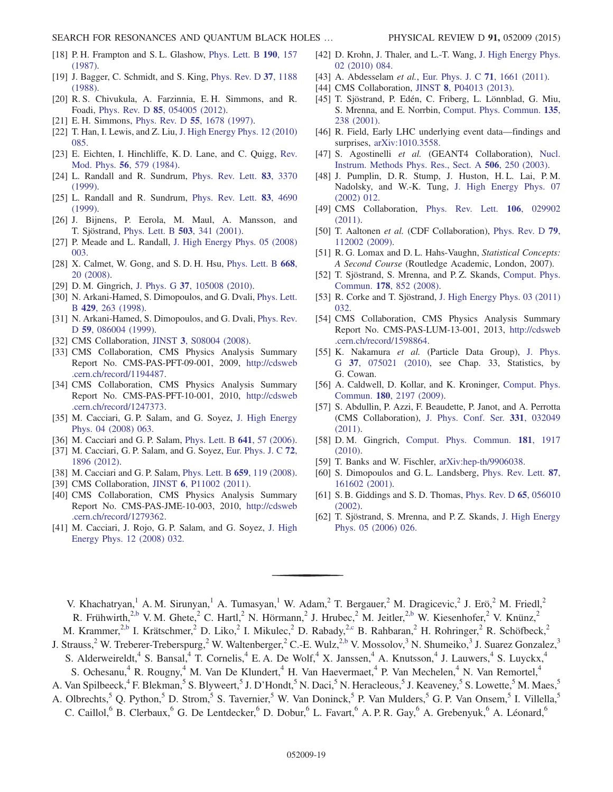- <span id="page-18-0"></span>[18] P. H. Frampton and S. L. Glashow, [Phys. Lett. B](http://dx.doi.org/10.1016/0370-2693(87)90859-8) 190, 157 [\(1987\).](http://dx.doi.org/10.1016/0370-2693(87)90859-8)
- [19] J. Bagger, C. Schmidt, and S. King, [Phys. Rev. D](http://dx.doi.org/10.1103/PhysRevD.37.1188) 37, 1188 [\(1988\).](http://dx.doi.org/10.1103/PhysRevD.37.1188)
- [20] R. S. Chivukula, A. Farzinnia, E. H. Simmons, and R. Foadi, Phys. Rev. D 85[, 054005 \(2012\).](http://dx.doi.org/10.1103/PhysRevD.85.054005)
- <span id="page-18-1"></span>[21] E.H. Simmons, Phys. Rev. D 55[, 1678 \(1997\).](http://dx.doi.org/10.1103/PhysRevD.55.1678)
- <span id="page-18-2"></span>[22] T. Han, I. Lewis, and Z. Liu, [J. High Energy Phys. 12 \(2010\)](http://dx.doi.org/10.1007/JHEP12(2010)085) [085.](http://dx.doi.org/10.1007/JHEP12(2010)085)
- <span id="page-18-3"></span>[23] E. Eichten, I. Hinchliffe, K.D. Lane, and C. Quigg, [Rev.](http://dx.doi.org/10.1103/RevModPhys.56.579) Mod. Phys. 56[, 579 \(1984\)](http://dx.doi.org/10.1103/RevModPhys.56.579).
- <span id="page-18-4"></span>[24] L. Randall and R. Sundrum, [Phys. Rev. Lett.](http://dx.doi.org/10.1103/PhysRevLett.83.3370) 83, 3370 [\(1999\).](http://dx.doi.org/10.1103/PhysRevLett.83.3370)
- [25] L. Randall and R. Sundrum, [Phys. Rev. Lett.](http://dx.doi.org/10.1103/PhysRevLett.83.4690) 83, 4690 [\(1999\).](http://dx.doi.org/10.1103/PhysRevLett.83.4690)
- <span id="page-18-26"></span>[26] J. Bijnens, P. Eerola, M. Maul, A. Mansson, and T. Sjöstrand, [Phys. Lett. B](http://dx.doi.org/10.1016/S0370-2693(01)00238-6) 503, 341 (2001).
- <span id="page-18-5"></span>[27] P. Meade and L. Randall, [J. High Energy Phys. 05 \(2008\)](http://dx.doi.org/10.1088/1126-6708/2008/05/003) [003.](http://dx.doi.org/10.1088/1126-6708/2008/05/003)
- [28] X. Calmet, W. Gong, and S. D. H. Hsu, [Phys. Lett. B](http://dx.doi.org/10.1016/j.physletb.2008.08.011) 668, [20 \(2008\).](http://dx.doi.org/10.1016/j.physletb.2008.08.011)
- [29] D. M. Gingrich, J. Phys. G 37[, 105008 \(2010\)](http://dx.doi.org/10.1088/0954-3899/37/10/105008).
- <span id="page-18-6"></span>[30] N. Arkani-Hamed, S. Dimopoulos, and G. Dvali, [Phys. Lett.](http://dx.doi.org/10.1016/S0370-2693(98)00466-3) B 429[, 263 \(1998\)](http://dx.doi.org/10.1016/S0370-2693(98)00466-3).
- [31] N. Arkani-Hamed, S. Dimopoulos, and G. Dvali, *[Phys. Rev.](http://dx.doi.org/10.1103/PhysRevD.59.086004)* D 59[, 086004 \(1999\)](http://dx.doi.org/10.1103/PhysRevD.59.086004).
- <span id="page-18-7"></span>[32] CMS Collaboration, JINST 3[, S08004 \(2008\)](http://dx.doi.org/10.1088/1748-0221/3/08/S08004).
- <span id="page-18-8"></span>[33] CMS Collaboration, CMS Physics Analysis Summary Report No. CMS-PAS-PFT-09-001, 2009, [http://cdsweb](http://cdsweb.cern.ch/record/1194487) [.cern.ch/record/1194487.](http://cdsweb.cern.ch/record/1194487)
- [34] CMS Collaboration, CMS Physics Analysis Summary Report No. CMS-PAS-PFT-10-001, 2010, [http://cdsweb](http://cdsweb.cern.ch/record/1247373) [.cern.ch/record/1247373.](http://cdsweb.cern.ch/record/1247373)
- <span id="page-18-9"></span>[35] M. Cacciari, G. P. Salam, and G. Soyez, [J. High Energy](http://dx.doi.org/10.1088/1126-6708/2008/04/063) [Phys. 04 \(2008\) 063.](http://dx.doi.org/10.1088/1126-6708/2008/04/063)
- <span id="page-18-10"></span>[36] M. Cacciari and G. P. Salam, [Phys. Lett. B](http://dx.doi.org/10.1016/j.physletb.2006.08.037) 641, 57 (2006).
- <span id="page-18-11"></span>[37] M. Cacciari, G. P. Salam, and G. Soyez, [Eur. Phys. J. C](http://dx.doi.org/10.1140/epjc/s10052-012-1896-2) 72, [1896 \(2012\)](http://dx.doi.org/10.1140/epjc/s10052-012-1896-2).
- [38] M. Cacciari and G. P. Salam, [Phys. Lett. B](http://dx.doi.org/10.1016/j.physletb.2007.09.077) 659, 119 (2008).
- <span id="page-18-12"></span>[39] CMS Collaboration, JINST 6[, P11002 \(2011\)](http://dx.doi.org/10.1088/1748-0221/6/11/P11002).
- <span id="page-18-13"></span>[40] CMS Collaboration, CMS Physics Analysis Summary Report No. CMS-PAS-JME-10-003, 2010, [http://cdsweb](http://cdsweb.cern.ch/record/1279362) [.cern.ch/record/1279362.](http://cdsweb.cern.ch/record/1279362)
- <span id="page-18-14"></span>[41] M. Cacciari, J. Rojo, G. P. Salam, and G. Soyez, [J. High](http://dx.doi.org/10.1088/1126-6708/2008/12/032) [Energy Phys. 12 \(2008\) 032.](http://dx.doi.org/10.1088/1126-6708/2008/12/032)
- [42] D. Krohn, J. Thaler, and L.-T. Wang, [J. High Energy Phys.](http://dx.doi.org/10.1007/JHEP02(2010)084) [02 \(2010\) 084.](http://dx.doi.org/10.1007/JHEP02(2010)084)
- [43] A. Abdesselam et al., [Eur. Phys. J. C](http://dx.doi.org/10.1140/epjc/s10052-011-1661-y) 71, 1661 (2011).
- <span id="page-18-15"></span>[44] CMS Collaboration, JINST 8[, P04013 \(2013\)](http://dx.doi.org/10.1088/1748-0221/8/04/P04013).
- <span id="page-18-16"></span>[45] T. Sjöstrand, P. Edén, C. Friberg, L. Lönnblad, G. Miu, S. Mrenna, and E. Norrbin, [Comput. Phys. Commun.](http://dx.doi.org/10.1016/S0010-4655(00)00236-8) 135, [238 \(2001\)](http://dx.doi.org/10.1016/S0010-4655(00)00236-8).
- <span id="page-18-17"></span>[46] R. Field, Early LHC underlying event data—findings and surprises, [arXiv:1010.3558.](http://arXiv.org/abs/1010.3558)
- <span id="page-18-18"></span>[47] S. Agostinelli et al. (GEANT4 Collaboration), [Nucl.](http://dx.doi.org/10.1016/S0168-9002(03)01368-8) [Instrum. Methods Phys. Res., Sect. A](http://dx.doi.org/10.1016/S0168-9002(03)01368-8) 506, 250 (2003).
- <span id="page-18-19"></span>[48] J. Pumplin, D. R. Stump, J. Huston, H. L. Lai, P. M. Nadolsky, and W.-K. Tung, [J. High Energy Phys. 07](http://dx.doi.org/10.1088/1126-6708/2002/07/012) [\(2002\) 012.](http://dx.doi.org/10.1088/1126-6708/2002/07/012)
- [49] CMS Collaboration, [Phys. Rev. Lett.](http://dx.doi.org/10.1103/PhysRevLett.106.029902) 106, 029902 [\(2011\).](http://dx.doi.org/10.1103/PhysRevLett.106.029902)
- [50] T. Aaltonen et al. (CDF Collaboration), [Phys. Rev. D](http://dx.doi.org/10.1103/PhysRevD.79.112002) 79, [112002 \(2009\).](http://dx.doi.org/10.1103/PhysRevD.79.112002)
- <span id="page-18-20"></span>[51] R. G. Lomax and D. L. Hahs-Vaughn, Statistical Concepts: A Second Course (Routledge Academic, London, 2007).
- <span id="page-18-21"></span>[52] T. Sjöstrand, S. Mrenna, and P. Z. Skands, [Comput. Phys.](http://dx.doi.org/10.1016/j.cpc.2008.01.036) Commun. 178[, 852 \(2008\)](http://dx.doi.org/10.1016/j.cpc.2008.01.036).
- <span id="page-18-22"></span>[53] R. Corke and T. Sjöstrand, [J. High Energy Phys. 03 \(2011\)](http://dx.doi.org/10.1007/JHEP03(2011)032) [032.](http://dx.doi.org/10.1007/JHEP03(2011)032)
- <span id="page-18-23"></span>[54] CMS Collaboration, CMS Physics Analysis Summary Report No. CMS-PAS-LUM-13-001, 2013, [http://cdsweb](http://cdsweb.cern.ch/record/1598864) [.cern.ch/record/1598864.](http://cdsweb.cern.ch/record/1598864)
- <span id="page-18-24"></span>[55] K. Nakamura et al. (Particle Data Group), [J. Phys.](http://dx.doi.org/10.1088/0954-3899/37/7A/075021) G 37[, 075021 \(2010\)](http://dx.doi.org/10.1088/0954-3899/37/7A/075021), see Chap. 33, Statistics, by G. Cowan.
- <span id="page-18-25"></span>[56] A. Caldwell, D. Kollar, and K. Kroninger, [Comput. Phys.](http://dx.doi.org/10.1016/j.cpc.2009.06.026) Commun. 180[, 2197 \(2009\)](http://dx.doi.org/10.1016/j.cpc.2009.06.026).
- <span id="page-18-27"></span>[57] S. Abdullin, P. Azzi, F. Beaudette, P. Janot, and A. Perrotta (CMS Collaboration), [J. Phys. Conf. Ser.](http://dx.doi.org/10.1088/1742-6596/331/3/032049) 331, 032049 [\(2011\).](http://dx.doi.org/10.1088/1742-6596/331/3/032049)
- <span id="page-18-28"></span>[58] D. M. Gingrich, [Comput. Phys. Commun.](http://dx.doi.org/10.1016/j.cpc.2010.07.027) 181, 1917 [\(2010\).](http://dx.doi.org/10.1016/j.cpc.2010.07.027)
- <span id="page-18-29"></span>[59] T. Banks and W. Fischler, [arXiv:hep-th/9906038.](http://arXiv.org/abs/hep-th/9906038)
- [60] S. Dimopoulos and G. L. Landsberg, [Phys. Rev. Lett.](http://dx.doi.org/10.1103/PhysRevLett.87.161602) 87, [161602 \(2001\).](http://dx.doi.org/10.1103/PhysRevLett.87.161602)
- [61] S. B. Giddings and S. D. Thomas, [Phys. Rev. D](http://dx.doi.org/10.1103/PhysRevD.65.056010) 65, 056010 [\(2002\).](http://dx.doi.org/10.1103/PhysRevD.65.056010)
- <span id="page-18-30"></span>[62] T. Sjöstrand, S. Mrenna, and P. Z. Skands, [J. High Energy](http://dx.doi.org/10.1088/1126-6708/2006/05/026) [Phys. 05 \(2006\) 026.](http://dx.doi.org/10.1088/1126-6708/2006/05/026)

V. Khachatryan,<sup>1</sup> A. M. Sirunyan,<sup>1</sup> A. Tumasyan,<sup>1</sup> W. Adam,<sup>2</sup> T. Bergauer,<sup>2</sup> M. Dragicevic,<sup>2</sup> J. Erö,<sup>2</sup> M. Friedl,<sup>2</sup> R. Frühwirth,<sup>2[,b](#page-27-0)</sup> V. M. Ghete,<sup>2</sup> C. Hartl,<sup>2</sup> N. Hörmann,<sup>2</sup> J. Hrubec,<sup>2</sup> M. Jeitler,<sup>[2,b](#page-27-0)</sup> W. Kiesenhofer,<sup>2</sup> V. Knünz,<sup>2</sup>

<span id="page-18-32"></span>M. Krammer,<sup>2[,b](#page-27-0)</sup> I. Krätschmer,<sup>2</sup> D. Liko,<sup>2</sup> I. Mikulec,<sup>2</sup> D. Rabady,<sup>2[,c](#page-27-1)</sup> B. Rahbaran,<sup>2</sup> H. Rohringer,<sup>2</sup> R. Schöfbeck,<sup>2</sup>

<span id="page-18-31"></span>J. Strauss,<sup>2</sup> W. Treberer-Treberspurg,<sup>2</sup> W. Waltenberger,<sup>2</sup> C.-E. Wulz,<sup>[2,b](#page-27-0)</sup> V. Mossolov,<sup>3</sup> N. Shumeiko,<sup>3</sup> J. Suarez Gonzalez,<sup>3</sup>

S. Alderweireldt,<sup>4</sup> S. Bansal,<sup>4</sup> T. Cornelis,<sup>4</sup> E. A. De Wolf,<sup>4</sup> X. Janssen,<sup>4</sup> A. Knutsson,<sup>4</sup> J. Lauwers,<sup>4</sup> S. Luyckx,<sup>4</sup>

S. Ochesanu,<sup>4</sup> R. Rougny,<sup>4</sup> M. Van De Klundert,<sup>4</sup> H. Van Haevermaet,<sup>4</sup> P. Van Mechelen,<sup>4</sup> N. Van Remortel,<sup>4</sup>

A. Van Spilbeeck,<sup>4</sup> F. Blekman,<sup>5</sup> S. Blyweert,<sup>5</sup> J. D'Hondt,<sup>5</sup> N. Daci,<sup>5</sup> N. Heracleous,<sup>5</sup> J. Keaveney,<sup>5</sup> S. Lowette,<sup>5</sup> M. Maes,<sup>5</sup>

A. Olbrechts,<sup>5</sup> Q. Python,<sup>5</sup> D. Strom,<sup>5</sup> S. Tavernier,<sup>5</sup> W. Van Doninck,<sup>5</sup> P. Van Mulders,<sup>5</sup> G. P. Van Onsem,<sup>5</sup> I. Villella,<sup>5</sup> C. Caillol,<sup>6</sup> B. Clerbaux,<sup>6</sup> G. De Lentdecker,<sup>6</sup> D. Dobur,<sup>6</sup> L. Favart,<sup>6</sup> A. P. R. Gay,<sup>6</sup> A. Grebenyuk,<sup>6</sup> A. Léonard,<sup>6</sup>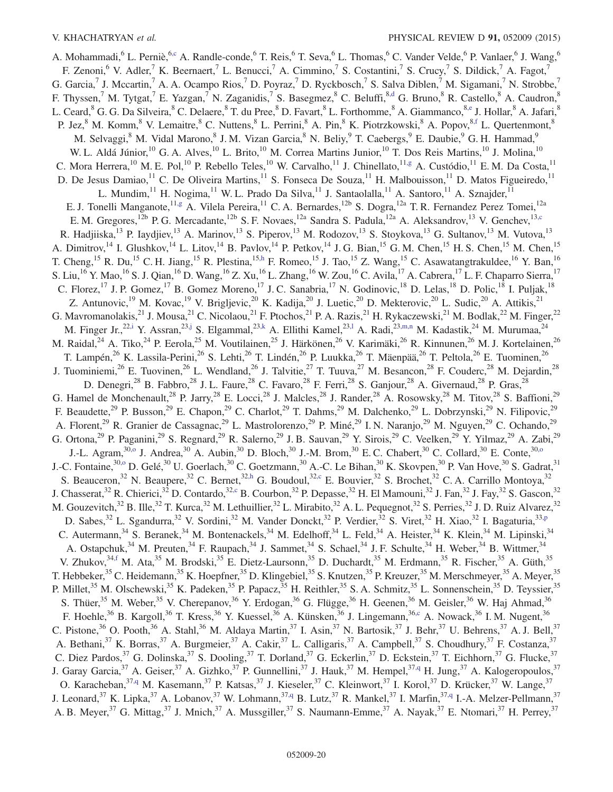<span id="page-19-8"></span><span id="page-19-7"></span><span id="page-19-6"></span><span id="page-19-5"></span><span id="page-19-4"></span><span id="page-19-3"></span><span id="page-19-2"></span><span id="page-19-1"></span><span id="page-19-0"></span>A. Mohammadi,<sup>6</sup> L. Perniè,<sup>6[,c](#page-27-1)</sup> A. Randle-conde,<sup>6</sup> T. Reis,<sup>6</sup> T. Seva,<sup>6</sup> L. Thomas,<sup>6</sup> C. Vander Velde,<sup>6</sup> P. Vanlaer,<sup>6</sup> J. Wang,<sup>6</sup> F. Zenoni, <sup>6</sup> V. Adler, <sup>7</sup> K. Beernaert, <sup>7</sup> L. Benucci, <sup>7</sup> A. Cimmino, <sup>7</sup> S. Costantini, <sup>7</sup> S. Crucy, <sup>7</sup> S. Dildick, <sup>7</sup> A. Fagot, <sup>7</sup> G. Garcia,<sup>7</sup> J. Mccartin,<sup>7</sup> A. A. Ocampo Rios,<sup>7</sup> D. Poyraz,<sup>7</sup> D. Ryckbosch,<sup>7</sup> S. Salva Diblen,<sup>7</sup> M. Sigamani,<sup>7</sup> N. Strobbe,<sup>7</sup> F. Thyssen,<sup>7</sup> M. Tytgat,<sup>7</sup> E. Yazgan,<sup>7</sup> N. Zaganidis,<sup>7</sup> S. Basegmez,<sup>8</sup> C. Beluffi,<sup>8[,d](#page-27-2)</sup> G. Bruno,<sup>8</sup> R. Castello,<sup>8</sup> A. Caudron,<sup>8</sup> L. Ceard, <sup>8</sup> G. G. Da Silveira, <sup>8</sup> C. Delaere, <sup>8</sup> T. du Pree, <sup>8</sup> D. Favart, <sup>8</sup> L. Forthomme, <sup>8</sup> A. Giammanco, <sup>8[,e](#page-27-3)</sup> J. Hollar, <sup>8</sup> A. Jafari, <sup>8</sup> P. Jez,<sup>8</sup> M. Komm,<sup>8</sup> V. Lemaitre,<sup>8</sup> C. Nuttens,<sup>8</sup> L. Perrini,<sup>8</sup> A. Pin,<sup>8</sup> K. Piotrzkowski,<sup>8</sup> A. Popov,<sup>[8,f](#page-27-4)</sup> L. Quertenmont,<sup>8</sup> M. Selvaggi,<sup>8</sup> M. Vidal Marono,<sup>8</sup> J. M. Vizan Garcia,<sup>8</sup> N. Beliy,<sup>9</sup> T. Caebergs,<sup>9</sup> E. Daubie,<sup>9</sup> G. H. Hammad,<sup>9</sup> W. L. Aldá Júnior,<sup>10</sup> G. A. Alves,<sup>10</sup> L. Brito,<sup>10</sup> M. Correa Martins Junior,<sup>10</sup> T. Dos Reis Martins,<sup>10</sup> J. Molina,<sup>10</sup> C. Mora Herrera,<sup>10</sup> M. E. Pol,<sup>10</sup> P. Rebello Teles,<sup>10</sup> W. Carvalho,<sup>11</sup> J. Chinellato,<sup>1[1,g](#page-28-0)</sup> A. Custódio,<sup>11</sup> E. M. Da Costa,<sup>11</sup> D. De Jesus Damiao,<sup>11</sup> C. De Oliveira Martins,<sup>11</sup> S. Fonseca De Souza,<sup>11</sup> H. Malbouisson,<sup>11</sup> D. Matos Figueiredo,<sup>11</sup> L. Mundim, <sup>11</sup> H. Nogima, <sup>11</sup> W. L. Prado Da Silva, <sup>11</sup> J. Santaolalla, <sup>11</sup> A. Santoro, <sup>11</sup> A. Sznajder, <sup>11</sup> E. J. Tonelli Manganote,<sup>11[,g](#page-28-0)</sup> A. Vilela Pereira,<sup>11</sup> C. A. Bernardes,<sup>12b</sup> S. Dogra,<sup>12a</sup> T. R. Fernandez Perez Tomei,<sup>12a</sup> E. M. Gregores,<sup>12b</sup> P. G. Mercadante,<sup>12b</sup> S. F. Novaes,<sup>12a</sup> Sandra S. Padula,<sup>12a</sup> A. Aleksandrov,<sup>13</sup> V. Genchev,<sup>13[,c](#page-27-1)</sup> R. Hadjiiska,<sup>13</sup> P. Iaydjiev,<sup>13</sup> A. Marinov,<sup>13</sup> S. Piperov,<sup>13</sup> M. Rodozov,<sup>13</sup> S. Stoykova,<sup>13</sup> G. Sultanov,<sup>13</sup> M. Vutova,<sup>13</sup> A. Dimitrov,<sup>14</sup> I. Glushkov,<sup>14</sup> L. Litov,<sup>14</sup> B. Pavlov,<sup>14</sup> P. Petkov,<sup>14</sup> J. G. Bian,<sup>15</sup> G. M. Chen,<sup>15</sup> H. S. Chen,<sup>15</sup> M. Chen,<sup>15</sup> T. Cheng,<sup>15</sup> R. Du,<sup>15</sup> C. H. Jiang,<sup>15</sup> R. Plestina,<sup>15[,h](#page-28-1)</sup> F. Romeo,<sup>15</sup> J. Tao,<sup>15</sup> Z. Wang,<sup>15</sup> C. Asawatangtrakuldee,<sup>16</sup> Y. Ban,<sup>16</sup> S. Liu,<sup>16</sup> Y. Mao,<sup>16</sup> S. J. Qian,<sup>16</sup> D. Wang,<sup>16</sup> Z. Xu,<sup>16</sup> L. Zhang,<sup>16</sup> W. Zou,<sup>16</sup> C. Avila,<sup>17</sup> A. Cabrera,<sup>17</sup> L. F. Chaparro Sierra,<sup>17</sup> C. Florez,<sup>17</sup> J. P. Gomez,<sup>17</sup> B. Gomez Moreno,<sup>17</sup> J. C. Sanabria,<sup>17</sup> N. Godinovic,<sup>18</sup> D. Lelas,<sup>18</sup> D. Polic,<sup>18</sup> I. Puljak,<sup>18</sup> Z. Antunovic,<sup>19</sup> M. Kovac,<sup>19</sup> V. Brigljevic,<sup>20</sup> K. Kadija,<sup>20</sup> J. Luetic,<sup>20</sup> D. Mekterovic,<sup>20</sup> L. Sudic,<sup>20</sup> A. Attikis,<sup>21</sup> G. Mavromanolakis, <sup>21</sup> J. Mousa, <sup>21</sup> C. Nicolaou, <sup>21</sup> F. Ptochos, <sup>21</sup> P. A. Razis, <sup>21</sup> H. Rykaczewski, <sup>21</sup> M. Bodlak, <sup>22</sup> M. Finger, <sup>22</sup> M. Finger Jr.,<sup>22[,i](#page-28-2)</sup> Y. Assran,<sup>2[3,j](#page-28-3)</sup> S. Elgammal,<sup>23[,k](#page-28-4)</sup> A. Ellithi Kamel,<sup>23[,l](#page-28-5)</sup> A. Radi,<sup>2[3,m,n](#page-28-6)</sup> M. Kadastik,<sup>24</sup> M. Murumaa,<sup>24</sup> M. Raidal,<sup>24</sup> A. Tiko,<sup>24</sup> P. Eerola,<sup>25</sup> M. Voutilainen,<sup>25</sup> J. Härkönen,<sup>26</sup> V. Karimäki,<sup>26</sup> R. Kinnunen,<sup>26</sup> M. J. Kortelainen,<sup>26</sup> T. Lampén,<sup>26</sup> K. Lassila-Perini,<sup>26</sup> S. Lehti,<sup>26</sup> T. Lindén,<sup>26</sup> P. Luukka,<sup>26</sup> T. Mäenpää,<sup>26</sup> T. Peltola,<sup>26</sup> E. Tuominen,<sup>26</sup> J. Tuominiemi,<sup>26</sup> E. Tuovinen,<sup>26</sup> L. Wendland,<sup>26</sup> J. Talvitie,<sup>27</sup> T. Tuuva,<sup>27</sup> M. Besancon,<sup>28</sup> F. Couderc,<sup>28</sup> M. Dejardin,<sup>28</sup> D. Denegri,<sup>28</sup> B. Fabbro,<sup>28</sup> J. L. Faure,<sup>28</sup> C. Favaro,<sup>28</sup> F. Ferri,<sup>28</sup> S. Ganjour,<sup>28</sup> A. Givernaud,<sup>28</sup> P. Gras,<sup>28</sup> G. Hamel de Monchenault,<sup>28</sup> P. Jarry,<sup>28</sup> E. Locci,<sup>28</sup> J. Malcles,<sup>28</sup> J. Rander,<sup>28</sup> A. Rosowsky,<sup>28</sup> M. Titov,<sup>28</sup> S. Baffioni,<sup>29</sup> F. Beaudette,<sup>29</sup> P. Busson,<sup>29</sup> E. Chapon,<sup>29</sup> C. Charlot,<sup>29</sup> T. Dahms,<sup>29</sup> M. Dalchenko,<sup>29</sup> L. Dobrzynski,<sup>29</sup> N. Filipovic,<sup>29</sup> A. Florent,<sup>29</sup> R. Granier de Cassagnac,<sup>29</sup> L. Mastrolorenzo,<sup>29</sup> P. Miné,<sup>29</sup> I. N. Naranjo,<sup>29</sup> M. Nguyen,<sup>29</sup> C. Ochando,<sup>29</sup> G. Ortona,<sup>29</sup> P. Paganini,<sup>29</sup> S. Regnard,<sup>29</sup> R. Salerno,<sup>29</sup> J. B. Sauvan,<sup>29</sup> Y. Sirois,<sup>29</sup> C. Veelken,<sup>29</sup> Y. Yilmaz,<sup>29</sup> A. Zabi,<sup>29</sup> J.-L. Agram,<sup>30[,o](#page-28-7)</sup> J. Andrea,<sup>30</sup> A. Aubin,<sup>30</sup> D. Bloch,<sup>30</sup> J.-M. Brom,<sup>30</sup> E.C. Chabert,<sup>30</sup> C. Collard,<sup>30</sup> E. Conte,<sup>3[0,o](#page-28-7)</sup> J.-C. Fontaine,  $30,0$  D. Gelé,  $30$  U. Goerlach,  $30$  C. Goetzmann,  $30$  A.-C. Le Bihan,  $30$  K. Skovpen,  $30$  P. Van Hove,  $30$  S. Gadrat,  $31$ S. Beauceron,<sup>32</sup> N. Beaupere,<sup>32</sup> C. Bernet,<sup>32[,h](#page-28-1)</sup> G. Boudoul,<sup>3[2,c](#page-27-1)</sup> E. Bouvier,<sup>32</sup> S. Brochet,<sup>32</sup> C. A. Carrillo Montoya,<sup>32</sup> J. Chasserat,<sup>32</sup> R. Chierici,<sup>32</sup> D. Contardo,<sup>32[,c](#page-27-1)</sup> B. Courbon,<sup>32</sup> P. Depasse,<sup>32</sup> H. El Mamouni,<sup>32</sup> J. Fan,<sup>32</sup> J. Fay,<sup>32</sup> S. Gascon,<sup>32</sup> M. Gouzevitch,<sup>32</sup> B. Ille,<sup>32</sup> T. Kurca,<sup>32</sup> M. Lethuillier,<sup>32</sup> L. Mirabito,<sup>32</sup> A. L. Pequegnot,<sup>32</sup> S. Perries,<sup>32</sup> J. D. Ruiz Alvarez,<sup>32</sup> D. Sabes,<sup>32</sup> L. Sgandurra,<sup>32</sup> V. Sordini,<sup>32</sup> M. Vander Donckt,<sup>32</sup> P. Verdier,<sup>32</sup> S. Viret,<sup>32</sup> H. Xiao,<sup>32</sup> I. Bagaturia,<sup>33[,p](#page-28-8)</sup> C. Autermann,<sup>34</sup> S. Beranek,<sup>34</sup> M. Bontenackels,<sup>34</sup> M. Edelhoff,<sup>34</sup> L. Feld,<sup>34</sup> A. Heister,<sup>34</sup> K. Klein,<sup>34</sup> M. Lipinski,<sup>34</sup> A. Ostapchuk,<sup>34</sup> M. Preuten,<sup>34</sup> F. Raupach,<sup>34</sup> J. Sammet,<sup>34</sup> S. Schael,<sup>34</sup> J. F. Schulte,<sup>34</sup> H. Weber,<sup>34</sup> B. Wittmer,<sup>34</sup> V. Zhukov,<sup>34[,f](#page-27-4)</sup> M. Ata,<sup>35</sup> M. Brodski,<sup>35</sup> E. Dietz-Laursonn,<sup>35</sup> D. Duchardt,<sup>35</sup> M. Erdmann,<sup>35</sup> R. Fischer,<sup>35</sup> A. Güth,<sup>35</sup> T. Hebbeker,<sup>35</sup> C. Heidemann,<sup>35</sup> K. Hoepfner,<sup>35</sup> D. Klingebiel,<sup>35</sup> S. Knutzen,<sup>35</sup> P. Kreuzer,<sup>35</sup> M. Merschmeyer,<sup>35</sup> A. Meyer,<sup>35</sup> P. Millet,<sup>35</sup> M. Olschewski,<sup>35</sup> K. Padeken,<sup>35</sup> P. Papacz,<sup>35</sup> H. Reithler,<sup>35</sup> S. A. Schmitz,<sup>35</sup> L. Sonnenschein,<sup>35</sup> D. Teyssier,<sup>35</sup> S. Thüer,<sup>35</sup> M. Weber,<sup>35</sup> V. Cherepanov,<sup>36</sup> Y. Erdogan,<sup>36</sup> G. Flügge,<sup>36</sup> H. Geenen,<sup>36</sup> M. Geisler,<sup>36</sup> W. Haj Ahmad,<sup>36</sup> F. Hoehle,<sup>36</sup> B. Kargoll,<sup>36</sup> T. Kress,<sup>36</sup> Y. Kuessel,<sup>36</sup> A. Künsken,<sup>36</sup> J. Lingemann,<sup>36[,c](#page-27-1)</sup> A. Nowack,<sup>36</sup> I. M. Nugent,<sup>36</sup> C. Pistone,<sup>36</sup> O. Pooth,<sup>36</sup> A. Stahl,<sup>36</sup> M. Aldaya Martin,<sup>37</sup> I. Asin,<sup>37</sup> N. Bartosik,<sup>37</sup> J. Behr,<sup>37</sup> U. Behrens,<sup>37</sup> A. J. Bell,<sup>37</sup> A. Bethani,<sup>37</sup> K. Borras,<sup>37</sup> A. Burgmeier,<sup>37</sup> A. Cakir,<sup>37</sup> L. Calligaris,<sup>37</sup> A. Campbell,<sup>37</sup> S. Choudhury,<sup>37</sup> F. Costanza,<sup>37</sup> C. Diez Pardos,  $37$  G. Dolinska,  $37$  S. Dooling,  $37$  T. Dorland,  $37$  G. Eckerlin,  $37$  D. Eckstein,  $37$  T. Eichhorn,  $37$  G. Flucke,  $37$ J. Garay Garcia,<sup>37</sup> A. Geiser,<sup>37</sup> A. Gizhko,<sup>37</sup> P. Gunnellini,<sup>37</sup> J. Hauk,<sup>37</sup> M. Hempel,<sup>37[,q](#page-28-9)</sup> H. Jung,<sup>37</sup> A. Kalogeropoulos,<sup>37</sup> O. Karacheban,<sup>3[7,q](#page-28-9)</sup> M. Kasemann,<sup>37</sup> P. Katsas,<sup>37</sup> J. Kieseler,<sup>37</sup> C. Kleinwort,<sup>37</sup> I. Korol,<sup>37</sup> D. Krücker,<sup>37</sup> W. Lange,<sup>37</sup> J. Leonard,<sup>37</sup> K. Lipka,<sup>37</sup> A. Lobanov,<sup>37</sup> W. Lohmann,<sup>37[,q](#page-28-9)</sup> B. Lutz,<sup>37</sup> R. Mankel,<sup>37</sup> I. Marfin,<sup>3[7,q](#page-28-9)</sup> I.-A. Melzer-Pellmann,<sup>37</sup> A. B. Meyer,<sup>37</sup> G. Mittag,<sup>37</sup> J. Mnich,<sup>37</sup> A. Mussgiller,<sup>37</sup> S. Naumann-Emme,<sup>37</sup> A. Nayak,<sup>37</sup> E. Ntomari,<sup>37</sup> H. Perrey,<sup>37</sup>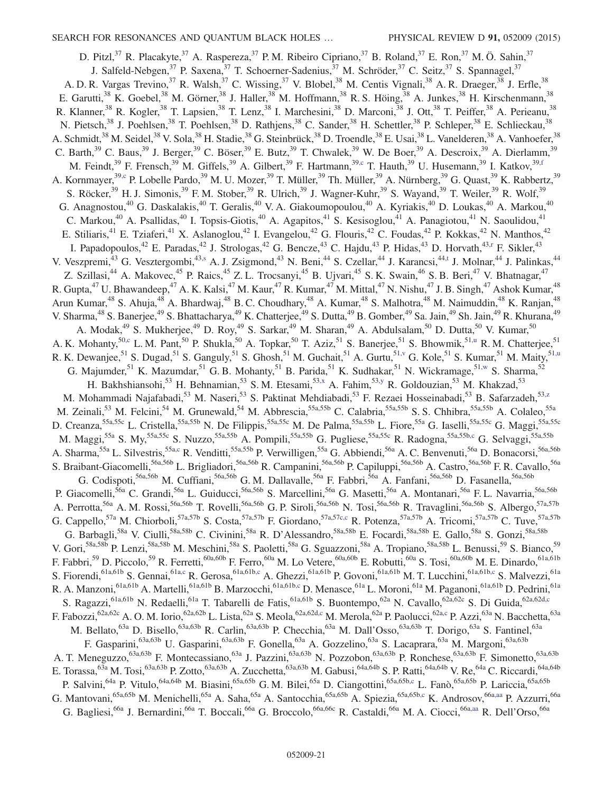<span id="page-20-6"></span><span id="page-20-5"></span><span id="page-20-4"></span><span id="page-20-3"></span><span id="page-20-2"></span><span id="page-20-1"></span><span id="page-20-0"></span>D. Pitzl,<sup>37</sup> R. Placakyte,<sup>37</sup> A. Raspereza,<sup>37</sup> P. M. Ribeiro Cipriano,<sup>37</sup> B. Roland,<sup>37</sup> E. Ron,<sup>37</sup> M. Ö. Sahin,<sup>37</sup> J. Salfeld-Nebgen,<sup>37</sup> P. Saxena,<sup>37</sup> T. Schoerner-Sadenius,<sup>37</sup> M. Schröder,<sup>37</sup> C. Seitz,<sup>37</sup> S. Spannagel,<sup>37</sup> A. D. R. Vargas Trevino,<sup>37</sup> R. Walsh,<sup>37</sup> C. Wissing,<sup>37</sup> V. Blobel,<sup>38</sup> M. Centis Vignali,<sup>38</sup> A. R. Draeger,<sup>38</sup> J. Erfle,<sup>38</sup> E. Garutti,<sup>38</sup> K. Goebel,<sup>38</sup> M. Görner,<sup>38</sup> J. Haller,<sup>38</sup> M. Hoffmann,<sup>38</sup> R. S. Höing,<sup>38</sup> A. Junkes,<sup>38</sup> H. Kirschenmann,<sup>38</sup> R. Klanner,<sup>38</sup> R. Kogler,<sup>38</sup> T. Lapsien,<sup>38</sup> T. Lenz,<sup>38</sup> I. Marchesini,<sup>38</sup> D. Marconi,<sup>38</sup> J. Ott,<sup>38</sup> T. Peiffer,<sup>38</sup> A. Perieanu,<sup>38</sup> N. Pietsch,<sup>38</sup> J. Poehlsen,<sup>38</sup> T. Poehlsen,<sup>38</sup> D. Rathjens,<sup>38</sup> C. Sander,<sup>38</sup> H. Schettler,<sup>38</sup> P. Schleper,<sup>38</sup> E. Schlieckau,<sup>38</sup> A. Schmidt,<sup>38</sup> M. Seidel,<sup>38</sup> V. Sola,<sup>38</sup> H. Stadie,<sup>38</sup> G. Steinbrück,<sup>38</sup> D. Troendle,<sup>38</sup> E. Usai,<sup>38</sup> L. Vanelderen,<sup>38</sup> A. Vanhoefer,<sup>38</sup> C. Barth,<sup>39</sup> C. Baus,<sup>39</sup> J. Berger,<sup>39</sup> C. Böser,<sup>39</sup> E. Butz,<sup>39</sup> T. Chwalek,<sup>39</sup> W. De Boer,<sup>39</sup> A. Descroix,<sup>39</sup> A. Dierlamm,<sup>39</sup> M. Feindt,<sup>39</sup> F. Frensch,<sup>39</sup> M. Giffels,<sup>39</sup> A. Gilbert,<sup>39</sup> F. Hartmann,<sup>39[,c](#page-27-1)</sup> T. Hauth,<sup>39</sup> U. Husemann,<sup>39</sup> I. Katkov,<sup>39[,f](#page-27-4)</sup> A. Kornmayer,<sup>3[9,c](#page-27-1)</sup> P. Lobelle Pardo,<sup>39</sup> M. U. Mozer,<sup>39</sup> T. Müller,<sup>39</sup> Th. Müller,<sup>39</sup> A. Nürnberg,<sup>39</sup> G. Quast,<sup>39</sup> K. Rabbertz,<sup>39</sup> S. Röcker,<sup>39</sup> H. J. Simonis,<sup>39</sup> F. M. Stober,<sup>39</sup> R. Ulrich,<sup>39</sup> J. Wagner-Kuhr,<sup>39</sup> S. Wayand,<sup>39</sup> T. Weiler,<sup>39</sup> R. Wolf,<sup>39</sup> G. Anagnostou,<sup>40</sup> G. Daskalakis,<sup>40</sup> T. Geralis,<sup>40</sup> V. A. Giakoumopoulou,<sup>40</sup> A. Kyriakis,<sup>40</sup> D. Loukas,<sup>40</sup> A. Markou,<sup>40</sup> C. Markou,<sup>40</sup> A. Psallidas,<sup>40</sup> I. Topsis-Giotis,<sup>40</sup> A. Agapitos,<sup>41</sup> S. Kesisoglou,<sup>41</sup> A. Panagiotou,<sup>41</sup> N. Saoulidou,<sup>41</sup> E. Stiliaris,<sup>41</sup> E. Tziaferi,<sup>41</sup> X. Aslanoglou,<sup>42</sup> I. Evangelou,<sup>42</sup> G. Flouris,<sup>42</sup> C. Foudas,<sup>42</sup> P. Kokkas,<sup>42</sup> N. Manthos,<sup>42</sup> I. Papadopoulos,<sup>42</sup> E. Paradas,<sup>42</sup> J. Strologas,<sup>42</sup> G. Bencze,<sup>43</sup> C. Hajdu,<sup>43</sup> P. Hidas,<sup>43</sup> D. Horvath,<sup>43[,r](#page-28-10)</sup> F. Sikler,<sup>43</sup> V. Veszpremi,<sup>43</sup> G. Vesztergombi,<sup>4[3,s](#page-28-11)</sup> A. J. Zsigmond,<sup>43</sup> N. Beni,<sup>44</sup> S. Czellar,<sup>44</sup> J. Karancsi,<sup>44[,t](#page-28-12)</sup> J. Molnar,<sup>44</sup> J. Palinkas,<sup>44</sup> Z. Szillasi,<sup>44</sup> A. Makovec,<sup>45</sup> P. Raics,<sup>45</sup> Z. L. Trocsanyi,<sup>45</sup> B. Ujvari,<sup>45</sup> S. K. Swain,<sup>46</sup> S. B. Beri,<sup>47</sup> V. Bhatnagar,<sup>47</sup> R. Gupta,<sup>47</sup> U. Bhawandeep,<sup>47</sup> A. K. Kalsi,<sup>47</sup> M. Kaur,<sup>47</sup> R. Kumar,<sup>47</sup> M. Mittal,<sup>47</sup> N. Nishu,<sup>47</sup> J. B. Singh,<sup>47</sup> Ashok Kumar,<sup>48</sup> Arun Kumar,<sup>48</sup> S. Ahuja,<sup>48</sup> A. Bhardwaj,<sup>48</sup> B. C. Choudhary,<sup>48</sup> A. Kumar,<sup>48</sup> S. Malhotra,<sup>48</sup> M. Naimuddin,<sup>48</sup> K. Ranjan,<sup>48</sup> V. Sharma, <sup>48</sup> S. Banerjee, <sup>49</sup> S. Bhattacharya, <sup>49</sup> K. Chatterjee, <sup>49</sup> S. Dutta, <sup>49</sup> B. Gomber, <sup>49</sup> Sa. Jain, <sup>49</sup> Sh. Jain, <sup>49</sup> R. Khurana, <sup>49</sup> A. Modak,<sup>49</sup> S. Mukherjee,<sup>49</sup> D. Roy,<sup>49</sup> S. Sarkar,<sup>49</sup> M. Sharan,<sup>49</sup> A. Abdulsalam,<sup>50</sup> D. Dutta,<sup>50</sup> V. Kumar,<sup>50</sup> A. K. Mohanty,<sup>5[0,c](#page-27-1)</sup> L. M. Pant,<sup>50</sup> P. Shukla,<sup>50</sup> A. Topkar,<sup>50</sup> T. Aziz,<sup>51</sup> S. Banerjee,<sup>51</sup> S. Bhowmik,<sup>5[1,u](#page-28-13)</sup> R. M. Chatterjee,<sup>51</sup> R. K. Dewanjee, <sup>51</sup> S. Dugad, <sup>51</sup> S. Ganguly, <sup>51</sup> S. Ghosh, <sup>51</sup> M. Guchait, <sup>51</sup> A. Gurtu, <sup>51, v</sup> G. Kole, <sup>51</sup> S. Kumar, <sup>51</sup> M. Maity, <sup>51, u</sup> G. Majumder,<sup>51</sup> K. Mazumdar,<sup>51</sup> G. B. Mohanty,<sup>51</sup> B. Parida,<sup>51</sup> K. Sudhakar,<sup>51</sup> N. Wickramage,<sup>51[,w](#page-28-15)</sup> S. Sharma,<sup>52</sup> H. Bakhshiansohi,<sup>53</sup> H. Behnamian,<sup>53</sup> S. M. Etesami,<sup>5[3,x](#page-28-16)</sup> A. Fahim,<sup>5[3,y](#page-28-17)</sup> R. Goldouzian,<sup>53</sup> M. Khakzad,<sup>53</sup> M. Mohammadi Najafabadi,<sup>53</sup> M. Naseri,<sup>53</sup> S. Paktinat Mehdiabadi,<sup>53</sup> F. Rezaei Hosseinabadi,<sup>53</sup> B. Safarzadeh,<sup>5[3,z](#page-28-18)</sup> M. Zeinali,<sup>53</sup> M. Felcini,<sup>54</sup> M. Grunewald,<sup>54</sup> M. Abbrescia,<sup>55a,55b</sup> C. Calabria,<sup>55a,55b</sup> S. S. Chhibra,<sup>55a,55b</sup> A. Colaleo,<sup>55a</sup> D. Creanza,<sup>55a,55c</sup> L. Cristella,<sup>55a,55b</sup> N. De Filippis,<sup>55a,55c</sup> M. De Palma,<sup>55a,55b</sup> L. Fiore,<sup>55a</sup> G. Iaselli,<sup>55a,55c</sup> G. Maggi,<sup>55a,55c</sup> M. Maggi,<sup>55a</sup> S. My,<sup>55a,55c</sup> S. Nuzzo,<sup>55a,55b</sup> A. Pompili,<sup>55a,55b</sup> G. Pugliese,<sup>55a,55c</sup> R. Radogna,<sup>55a,55[b,c](#page-27-1)</sup> G. Selvaggi,<sup>55a,55b</sup> A. Sharma,<sup>55a</sup> L. Silvestris,<sup>55[a,c](#page-27-1)</sup> R. Venditti,<sup>55a,55b</sup> P. Verwilligen,<sup>55a</sup> G. Abbiendi,<sup>56a</sup> A. C. Benvenuti,<sup>56a</sup> D. Bonacorsi,<sup>56a,56b</sup> S. Braibant-Giacomelli,<sup>56a,56b</sup> L. Brigliadori,<sup>56a,56b</sup> R. Campanini,<sup>56a,56b</sup> P. Capiluppi,<sup>56a,56b</sup> A. Castro,<sup>56a,56b</sup> F. R. Cavallo,<sup>56a</sup> G. Codispoti,<sup>56a,56b</sup> M. Cuffiani,<sup>56a,56b</sup> G. M. Dallavalle,<sup>56a</sup> F. Fabbri,<sup>56a</sup> A. Fanfani,<sup>56a,56b</sup> D. Fasanella,<sup>56a,56b</sup> P. Giacomelli,<sup>56a</sup> C. Grandi,<sup>56a</sup> L. Guiducci,<sup>56a,56b</sup> S. Marcellini,<sup>56a</sup> G. Masetti,<sup>56a</sup> A. Montanari,<sup>56a</sup> F. L. Navarria,<sup>56a,56b</sup> A. Perrotta,<sup>56a</sup> A. M. Rossi,<sup>56a,56b</sup> T. Rovelli,<sup>56a,56b</sup> G. P. Siroli,<sup>56a,56b</sup> N. Tosi,<sup>56a,56b</sup> R. Travaglini,<sup>56a,56b</sup> S. Albergo,<sup>57a,57b</sup> G. Cappello,<sup>57a</sup> M. Chiorboli,<sup>57a,57b</sup> S. Costa,<sup>57a,57b</sup> F. Giordano,<sup>57a,57c[,c](#page-27-1)</sup> R. Potenza,<sup>57a,57b</sup> A. Tricomi,<sup>57a,57b</sup> C. Tuve,<sup>57a,57b</sup> G. Barbagli,<sup>58a</sup> V. Ciulli,<sup>58a,58b</sup> C. Civinini,<sup>58a</sup> R. D'Alessandro,<sup>58a,58b</sup> E. Focardi,<sup>58a,58b</sup> E. Gallo,<sup>58a</sup> S. Gonzi,<sup>58a,58b</sup> E. Gallo,<sup>58a</sup> S. Gonzi,<sup>58a,58b</sup> V. Gori,<sup>58a,58b</sup> P. Lenzi,<sup>58a,58b</sup> M. Meschini,<sup>58a</sup> S. Paoletti,<sup>58a</sup> G. Sguazzoni,<sup>58a</sup> A. Tropiano,<sup>58a,58b</sup> L. Benussi,<sup>59</sup> S. Bianco,<sup>59</sup> F. Fabbri,<sup>59</sup> D. Piccolo,<sup>59</sup> R. Ferretti,<sup>60a,60b</sup> F. Ferro,<sup>60a</sup> M. Lo Vetere,<sup>60a,60b</sup> E. Robutti,<sup>60a</sup> S. Tosi,<sup>60a,60b</sup> M. E. Dinardo,<sup>61a,61b</sup> S. Fiorendi,  ${}^{61a,61b}$  S. Gennai, ${}^{61a,61b}$  R. Gerosa, ${}^{61a,61b,6}$  A. Ghezzi, ${}^{61a,61b}$  P. Govoni, ${}^{61a,61b}$  M. T. Lucchini, ${}^{61a,61b,c}$  ${}^{61a,61b,c}$  ${}^{61a,61b,c}$  S. Malvezzi,<sup>61a</sup>,61a R. A. Manzoni,<sup>61a,61b</sup> A. Martelli,<sup>61a,61b</sup> B. Marzocchi,<sup>61a,61[b,c](#page-27-1)</sup> D. Menasce,<sup>61a</sup> L. Moroni,<sup>61a</sup> M. Paganoni,<sup>61a,61b</sup> D. Pedrini,<sup>61a</sup> S. Ragazzi,<sup>61a,61b</sup> N. Redaelli,<sup>61a</sup> T. Tabarelli de Fatis,<sup>61a,61b</sup> S. Buontempo,<sup>62a</sup> N. Cavallo,<sup>62a,62c</sup> S. Di Guida,<sup>62a,62d[,c](#page-27-1)</sup> F. Fabozzi,<sup>62a,62c</sup> A. O. M. Iorio,<sup>62a,62b</sup> L. Lista,<sup>62a</sup> S. Meola,<sup>62a,62d[,c](#page-27-1)</sup> M. Merola,<sup>62a</sup> P. Paolucci,<sup>62[a,c](#page-27-1)</sup> P. Azzi,<sup>63a</sup> N. Bacchetta,<sup>63a</sup> M. Bellato,<sup>63a</sup> D. Bisello,<sup>63a,63b</sup> R. Carlin,<sup>63a,63b</sup> P. Checchia,<sup>63a</sup> M. Dall'Osso,<sup>63a,63b</sup> T. Dorigo,<sup>63a</sup> S. Fantinel,<sup>63a</sup> F. Gasparini,<sup>63a,63b</sup> U. Gasparini,<sup>63a,63b</sup> F. Gonella,<sup>63a</sup> A. Gozzelino,<sup>63a</sup> S. Lacaprara,<sup>63a</sup> M. Margoni,<sup>63a,63b</sup> A. T. Meneguzzo,<sup>63a,63b</sup> F. Montecassiano,<sup>63a</sup> J. Pazzini,<sup>63a,63b</sup> N. Pozzobon,<sup>63a,63b</sup> P. Ronchese,<sup>63a,63b</sup> F. Simonetto,<sup>63a,63b</sup> E. Torassa,<sup>63a</sup> M. Tosi,<sup>63a,63b</sup> P. Zotto,<sup>63a,63b</sup> A. Zucchetta,<sup>63a,63b</sup> M. Gabusi,<sup>64a,64b</sup> S. P. Ratti,<sup>64a,64b</sup> V. Re,<sup>64a</sup> C. Riccardi,<sup>64a,64b</sup> P. Salvini,<sup>64a</sup> P. Vitulo,<sup>64a,64b</sup> M. Biasini,<sup>65a,65b</sup> G. M. Bilei,<sup>65a</sup> D. Ciangottini,<sup>65a,65[b,c](#page-27-1)</sup> L. Fanò,<sup>65a,65b</sup> P. Lariccia,<sup>65a,65b</sup> G. Mantovani, <sup>65a,65b</sup> M. Menichelli, <sup>65a</sup> A. Saha, <sup>65a</sup> A. Santocchia, <sup>65a,65b</sup> A. Spiezia, <sup>65a,65b[,c](#page-27-1)</sup> K. Androsov, <sup>66[a,aa](#page-28-19)</sup> P. Azzurri, <sup>66a</sup> G. Bagliesi,<sup>66a</sup> J. Bernardini,<sup>66a</sup> T. Boccali,<sup>66a</sup> G. Broccolo,<sup>66a,66c</sup> R. Castaldi,<sup>66a</sup> M. A. Ciocci,<sup>66[a,aa](#page-28-19)</sup> R. Dell'Orso,<sup>66a</sup>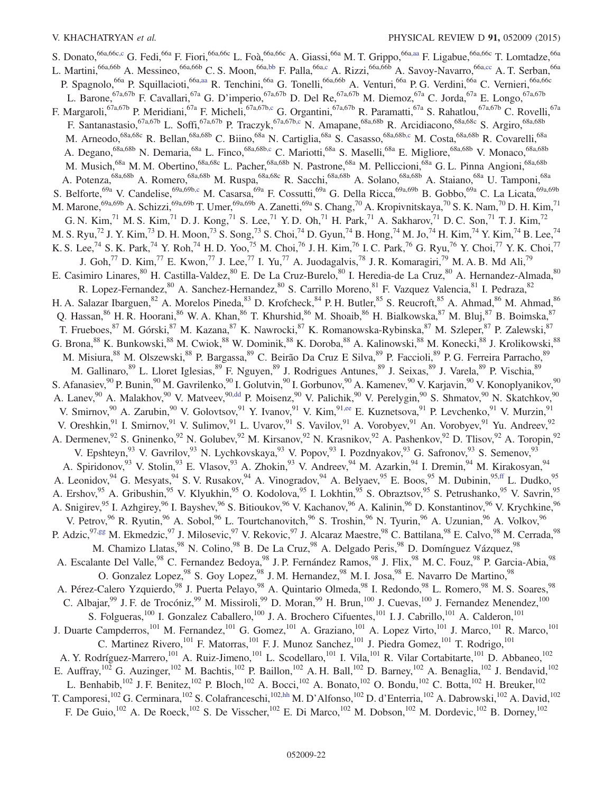<span id="page-21-5"></span><span id="page-21-4"></span><span id="page-21-3"></span><span id="page-21-2"></span><span id="page-21-1"></span><span id="page-21-0"></span>S. Donato, <sup>66a,66c[,c](#page-27-1)</sup> G. Fedi, <sup>66a</sup> F. Fiori, <sup>66a,66c</sup> L. Foà, <sup>66a,66c</sup> A. Giassi, <sup>66a</sup> M. T. Grippo, <sup>66a[,aa](#page-28-19)</sup> F. Ligabue, <sup>66a,66c</sup> T. Lomtadze, <sup>66a</sup> L. Martini,<sup>66a,66b</sup> A. Messineo,<sup>66a,66b</sup> C. S. Moon,<sup>66[a,bb](#page-28-20)</sup> F. Palla,<sup>66a[,c](#page-27-1)</sup> A. Rizzi,<sup>66a,66b</sup> A. Savoy-Navarro,<sup>66a[,cc](#page-28-21)</sup> A. T. Serban,<sup>66a</sup> P. Spagnolo,<sup>66a</sup> P. Squillacioti,<sup>66[a,aa](#page-28-19)</sup> R. Tenchini,<sup>66a</sup> G. Tonelli,<sup>66a,66b</sup> A. Venturi,<sup>66a</sup> P. G. Verdini,<sup>66a</sup> C. Vernieri,<sup>66a,66c</sup> L. Barone,<sup>67a,67b</sup> F. Cavallari,<sup>67a</sup> G. D'imperio,<sup>67a,67b</sup> D. Del Re,<sup>67a,67b</sup> M. Diemoz,<sup>67a</sup> C. Jorda,<sup>67a</sup> E. Longo,<sup>67a,67b</sup> F. Margaroli,<sup>67a,67b</sup> P. Meridiani,<sup>67a</sup> F. Micheli,<sup>67a,67[b,c](#page-27-1)</sup> G. Organtini,<sup>67a,67b</sup> R. Paramatti,<sup>67a</sup> S. Rahatlou,<sup>67a,67b</sup> C. Rovelli,<sup>67a</sup> F. Santanastasio,<sup>67a,67b</sup> L. Soffi,<sup>67a,67b</sup> P. Traczyk,<sup>67a,67b[,c](#page-27-1)</sup> N. Amapane,<sup>68a,68b</sup> R. Arcidiacono,<sup>68a,68c</sup> S. Argiro,<sup>68a,68b</sup> M. Arneodo,<sup>68a,68c</sup> R. Bellan,<sup>68a,68b</sup> C. Biino,<sup>68a</sup> N. Cartiglia,<sup>68a</sup> S. Casasso,<sup>68a,68[b,c](#page-27-1)</sup> M. Costa,<sup>68a,68b</sup> R. Covarelli,<sup>68a</sup> A. Degano,<sup>68a,68b</sup> N. Demaria,<sup>68a</sup> L. Finco,<sup>68a,68b[,c](#page-27-1)</sup> C. Mariotti,<sup>68a</sup> S. Maselli,<sup>68a</sup> E. Migliore,<sup>68a,68b</sup> V. Monaco,68a,68b M. Musich,<sup>68a</sup> M. M. Obertino,<sup>68a,68c</sup> L. Pacher,<sup>68a,68b</sup> N. Pastrone,<sup>68a</sup> M. Pelliccioni,<sup>68a</sup> G. L. Pinna Angioni,<sup>68a,68b</sup> A. Potenza,<sup>68a,68b</sup> A. Romero,<sup>68a,68b</sup> M. Ruspa,<sup>68a,68c</sup> R. Sacchi,<sup>68a,68b</sup> A. Solano,<sup>68a,68b</sup> A. Staiano,<sup>68a</sup> U. Tamponi,<sup>68a</sup> S. Belforte,<sup>69a</sup> V. Candelise,<sup>69a,69b[,c](#page-27-1)</sup> M. Casarsa,<sup>69a</sup> F. Cossutti,<sup>69a</sup> G. Della Ricca,<sup>69a,69b</sup> B. Gobbo,<sup>69a</sup> C. La Licata,<sup>69a,69b</sup> M. Marone,<sup>69a,69b</sup> A. Schizzi,<sup>69a,69b</sup> T. Umer,<sup>69a,69b</sup> A. Zanetti,<sup>69a</sup> S. Chang,<sup>70</sup> A. Kropivnitskaya,<sup>70</sup> S. K. Nam,<sup>70</sup> D. H. Kim,<sup>71</sup> G. N. Kim,<sup>71</sup> M. S. Kim,<sup>71</sup> D. J. Kong,<sup>71</sup> S. Lee,<sup>71</sup> Y. D. Oh,<sup>71</sup> H. Park,<sup>71</sup> A. Sakharov,<sup>71</sup> D. C. Son,<sup>71</sup> T. J. Kim,<sup>72</sup> M. S. Ryu,<sup>72</sup> J. Y. Kim,<sup>73</sup> D. H. Moon,<sup>73</sup> S. Song,<sup>73</sup> S. Choi,<sup>74</sup> D. Gyun,<sup>74</sup> B. Hong,<sup>74</sup> M. Jo,<sup>74</sup> H. Kim,<sup>74</sup> Y. Kim,<sup>74</sup> B. Lee,<sup>74</sup> K. S. Lee,<sup>74</sup> S. K. Park,<sup>74</sup> Y. Roh,<sup>74</sup> H. D. Yoo,<sup>75</sup> M. Choi,<sup>76</sup> J. H. Kim,<sup>76</sup> I. C. Park,<sup>76</sup> G. Ryu,<sup>76</sup> Y. Choi,<sup>77</sup> Y. K. Choi,<sup>77</sup> J. Goh,<sup>77</sup> D. Kim,<sup>77</sup> E. Kwon,<sup>77</sup> J. Lee,<sup>77</sup> I. Yu,<sup>77</sup> A. Juodagalvis,<sup>78</sup> J. R. Komaragiri,<sup>79</sup> M. A. B. Md Ali,<sup>79</sup> E. Casimiro Linares, <sup>80</sup> H. Castilla-Valdez, <sup>80</sup> E. De La Cruz-Burelo, <sup>80</sup> I. Heredia-de La Cruz, <sup>80</sup> A. Hernandez-Almada, <sup>80</sup> R. Lopez-Fernandez, <sup>80</sup> A. Sanchez-Hernandez, <sup>80</sup> S. Carrillo Moreno, <sup>81</sup> F. Vazquez Valencia, <sup>81</sup> I. Pedraza, <sup>82</sup> H. A. Salazar Ibarguen,<sup>82</sup> A. Morelos Pineda,<sup>83</sup> D. Krofcheck,<sup>84</sup> P. H. Butler,<sup>85</sup> S. Reucroft,<sup>85</sup> A. Ahmad,<sup>86</sup> M. Ahmad,<sup>86</sup> Q. Hassan,<sup>86</sup> H. R. Hoorani,<sup>86</sup> W. A. Khan,<sup>86</sup> T. Khurshid,<sup>86</sup> M. Shoaib,<sup>86</sup> H. Bialkowska,<sup>87</sup> M. Bluj,<sup>87</sup> B. Boimska,<sup>87</sup> T. Frueboes,<sup>87</sup> M. Górski,<sup>87</sup> M. Kazana,<sup>87</sup> K. Nawrocki,<sup>87</sup> K. Romanowska-Rybinska,<sup>87</sup> M. Szleper,<sup>87</sup> P. Zalewski,<sup>87</sup> G. Brona, <sup>88</sup> K. Bunkowski, <sup>88</sup> M. Cwiok, <sup>88</sup> W. Dominik, <sup>88</sup> K. Doroba, <sup>88</sup> A. Kalinowski, <sup>88</sup> M. Konecki, <sup>88</sup> J. Krolikowski, <sup>88</sup> M. Misiura, <sup>88</sup> M. Olszewski, <sup>88</sup> P. Bargassa, <sup>89</sup> C. Beirão Da Cruz E Silva, <sup>89</sup> P. Faccioli, <sup>89</sup> P. G. Ferreira Parracho, <sup>89</sup> M. Gallinaro,<sup>89</sup> L. Lloret Iglesias,<sup>89</sup> F. Nguyen,<sup>89</sup> J. Rodrigues Antunes,<sup>89</sup> J. Seixas,<sup>89</sup> J. Varela,<sup>89</sup> P. Vischia,<sup>89</sup> S. Afanasiev, <sup>90</sup> P. Bunin, <sup>90</sup> M. Gavrilenko, <sup>90</sup> I. Golutvin, <sup>90</sup> I. Gorbunov, <sup>90</sup> A. Kamenev, <sup>90</sup> V. Karjavin, <sup>90</sup> V. Konoplyanikov, <sup>90</sup> A. Lanev,<sup>90</sup> A. Malakhov,<sup>90</sup> V. Matveev,<sup>9[0,dd](#page-28-22)</sup> P. Moisenz,<sup>90</sup> V. Palichik,<sup>90</sup> V. Perelygin,<sup>90</sup> S. Shmatov,<sup>90</sup> N. Skatchkov,<sup>90</sup> V. Smirnov,  $90$  A. Zarubin,  $90$  V. Golovtsov,  $91$  Y. Ivanov,  $91$  V. Kim,  $91,$ ee E. Kuznetsova,  $91$  P. Levchenko,  $91$  V. Murzin,  $91$ V. Oreshkin,<sup>91</sup> I. Smirnov,<sup>91</sup> V. Sulimov,<sup>91</sup> L. Uvarov,<sup>91</sup> S. Vavilov,<sup>91</sup> A. Vorobyev,<sup>91</sup> An. Vorobyev,<sup>91</sup> Yu. Andreev,<sup>92</sup> A. Dermenev,  $92$  S. Gninenko,  $92$  N. Golubev,  $92$  M. Kirsanov,  $92$  N. Krasnikov,  $92$  A. Pashenkov,  $92$  D. Tlisov,  $92$  A. Toropin,  $92$ V. Epshteyn,<sup>93</sup> V. Gavrilov,<sup>93</sup> N. Lychkovskaya,<sup>93</sup> V. Popov,<sup>93</sup> I. Pozdnyakov,<sup>93</sup> G. Safronov,<sup>93</sup> S. Semenov,<sup>93</sup> A. Spiridonov, <sup>93</sup> V. Stolin, <sup>93</sup> E. Vlasov, <sup>93</sup> A. Zhokin, <sup>93</sup> V. Andreev, <sup>94</sup> M. Azarkin, <sup>94</sup> I. Dremin, <sup>94</sup> M. Kirakosyan, <sup>94</sup> A. Leonidov, <sup>94</sup> G. Mesyats, <sup>94</sup> S. V. Rusakov, <sup>94</sup> A. Vinogradov, <sup>94</sup> A. Belyaev, <sup>95</sup> E. Boos, <sup>95</sup> M. Dubinin, <sup>95, ff</sup> L. Dudko, <sup>95</sup> A. Ershov,<sup>95</sup> A. Gribushin,<sup>95</sup> V. Klyukhin,<sup>95</sup> O. Kodolova,<sup>95</sup> I. Lokhtin,<sup>95</sup> S. Obraztsov,<sup>95</sup> S. Petrushanko,<sup>95</sup> V. Savrin,<sup>95</sup> A. Snigirev,<sup>95</sup> I. Azhgirey,<sup>96</sup> I. Bayshev,<sup>96</sup> S. Bitioukov,<sup>96</sup> V. Kachanov,<sup>96</sup> A. Kalinin,<sup>96</sup> D. Konstantinov,<sup>96</sup> V. Krychkine,<sup>96</sup> V. Petrov,<sup>96</sup> R. Ryutin,<sup>96</sup> A. Sobol,<sup>96</sup> L. Tourtchanovitch,<sup>96</sup> S. Troshin,<sup>96</sup> N. Tyurin,<sup>96</sup> A. Uzunian,<sup>96</sup> A. Volkov,<sup>96</sup> P. Adzic, <sup>97[,gg](#page-28-25)</sup> M. Ekmedzic, <sup>97</sup> J. Milosevic, <sup>97</sup> V. Rekovic, <sup>97</sup> J. Alcaraz Maestre, <sup>98</sup> C. Battilana, <sup>98</sup> E. Calvo, <sup>98</sup> M. Cerrada, <sup>98</sup> M. Chamizo Llatas, <sup>98</sup> N. Colino, <sup>98</sup> B. De La Cruz, <sup>98</sup> A. Delgado Peris, <sup>98</sup> D. Domínguez Vázquez, <sup>98</sup> M. Colino, <sup>98</sup> B. De La Cruz, <sup>98</sup> A. Delgado Peris, <sup>98</sup> D. Domínguez Vázquez, <sup>98</sup> A. Escalante Del Valle,<sup>98</sup> C. Fernandez Bedoya,<sup>98</sup> J. P. Fernández Ramos,<sup>98</sup> J. Flix,<sup>98</sup> M. C. Fouz,<sup>98</sup> P. Garcia-Abia,<sup>98</sup> O. Gonzalez Lopez,<sup>98</sup> S. Goy Lopez,<sup>98</sup> J. M. Hernandez,<sup>98</sup> M. I. Josa,<sup>98</sup> E. Navarro De Martino,<sup>98</sup> A. Pérez-Calero Yzquierdo,<sup>98</sup> J. Puerta Pelayo,<sup>98</sup> A. Quintario Olmeda,<sup>98</sup> I. Redondo,<sup>98</sup> L. Romero,<sup>98</sup> M. S. Soares,<sup>98</sup> C. Albajar,<sup>99</sup> J. F. de Trocóniz,<sup>99</sup> M. Missiroli,<sup>99</sup> D. Moran,<sup>99</sup> H. Brun,<sup>100</sup> J. Cuevas,<sup>100</sup> J. Fernandez Menendez,<sup>100</sup> S. Folgueras,<sup>100</sup> I. Gonzalez Caballero,<sup>100</sup> J. A. Brochero Cifuentes,<sup>101</sup> I. J. Cabrillo,<sup>101</sup> A. Calderon,<sup>101</sup> J. Duarte Campderros,<sup>101</sup> M. Fernandez,<sup>101</sup> G. Gomez,<sup>101</sup> A. Graziano,<sup>101</sup> A. Lopez Virto,<sup>101</sup> J. Marco,<sup>101</sup> R. Marco,<sup>101</sup> C. Martinez Rivero,<sup>101</sup> F. Matorras,<sup>101</sup> F. J. Munoz Sanchez,<sup>101</sup> J. Piedra Gomez,<sup>101</sup> T. Rodrigo,<sup>101</sup> A. Y. Rodríguez-Marrero,<sup>101</sup> A. Ruiz-Jimeno,<sup>101</sup> L. Scodellaro,<sup>101</sup> I. Vila,<sup>101</sup> R. Vilar Cortabitarte,<sup>101</sup> D. Abbaneo,<sup>102</sup> E. Auffray,<sup>102</sup> G. Auzinger,<sup>102</sup> M. Bachtis,<sup>102</sup> P. Baillon,<sup>102</sup> A. H. Ball,<sup>102</sup> D. Barney,<sup>102</sup> A. Benaglia,<sup>102</sup> J. Bendavid,<sup>102</sup> L. Benhabib,<sup>102</sup> J. F. Benitez,<sup>102</sup> P. Bloch,<sup>102</sup> A. Bocci,<sup>102</sup> A. Bonato,<sup>102</sup> O. Bondu,<sup>102</sup> C. Botta,<sup>102</sup> H. Breuker,<sup>102</sup> T. Camporesi,<sup>102</sup> G. Cerminara,<sup>102</sup> S. Colafranceschi,<sup>102[,hh](#page-28-26)</sup> M. D'Alfonso,<sup>102</sup> D. d'Enterria,<sup>102</sup> A. Dabrowski,<sup>102</sup> A. David,<sup>102</sup> F. De Guio,  $^{102}$  A. De Roeck,  $^{102}$  S. De Visscher,  $^{102}$  E. Di Marco,  $^{102}$  M. Dobson,  $^{102}$  M. Dordevic,  $^{102}$  B. Dorney,  $^{102}$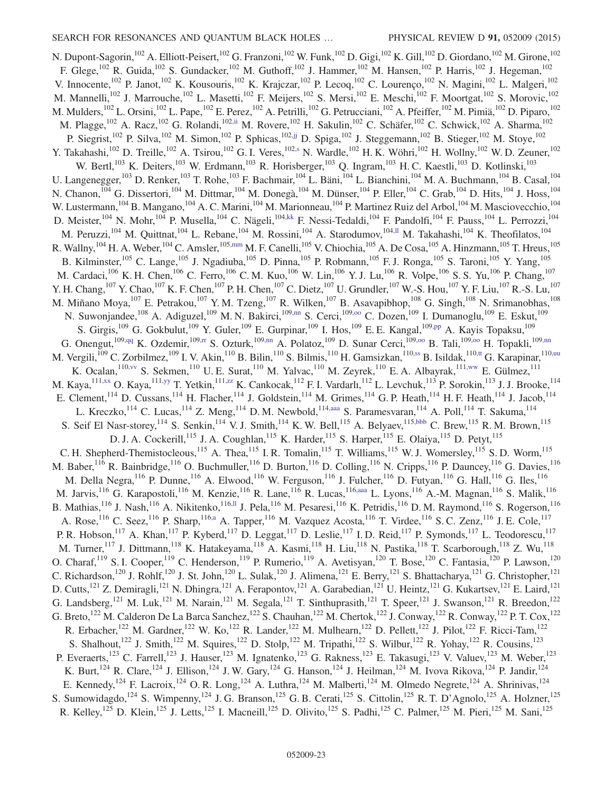<span id="page-22-12"></span><span id="page-22-11"></span><span id="page-22-10"></span><span id="page-22-9"></span><span id="page-22-8"></span><span id="page-22-7"></span><span id="page-22-6"></span><span id="page-22-5"></span><span id="page-22-4"></span><span id="page-22-3"></span><span id="page-22-2"></span><span id="page-22-1"></span><span id="page-22-0"></span>N. Dupont-Sagorin,<sup>102</sup> A. Elliott-Peisert,<sup>102</sup> G. Franzoni,<sup>102</sup> W. Funk,<sup>102</sup> D. Gigi,<sup>102</sup> K. Gill,<sup>102</sup> D. Giordano,<sup>102</sup> M. Girone,<sup>102</sup> F. Glege,<sup>102</sup> R. Guida,<sup>102</sup> S. Gundacker,<sup>102</sup> M. Guthoff,<sup>102</sup> J. Hammer,<sup>102</sup> M. Hansen,<sup>102</sup> P. Harris,<sup>102</sup> J. Hegeman,<sup>102</sup> V. Innocente,<sup>102</sup> P. Janot,<sup>102</sup> K. Kousouris,<sup>102</sup> K. Krajczar,<sup>102</sup> P. Lecoq,<sup>102</sup> C. Lourenço,<sup>102</sup> N. Magini,<sup>102</sup> L. Malgeri,<sup>102</sup> M. Mannelli,<sup>102</sup> J. Marrouche,<sup>102</sup> L. Masetti,<sup>102</sup> F. Meijers,<sup>102</sup> S. Mersi,<sup>102</sup> E. Meschi,<sup>102</sup> F. Moortgat,<sup>102</sup> S. Morovic,<sup>102</sup> M. Mulders,<sup>102</sup> L. Orsini,<sup>102</sup> L. Pape,<sup>102</sup> E. Perez,<sup>102</sup> A. Petrilli,<sup>102</sup> G. Petrucciani,<sup>102</sup> A. Pfeiffer,<sup>102</sup> M. Pimiä,<sup>102</sup> D. Piparo,<sup>102</sup> M. Plagge,<sup>102</sup> A. Racz,<sup>102</sup> G. Rolandi,<sup>10[2,ii](#page-28-27)</sup> M. Rovere,<sup>102</sup> H. Sakulin,<sup>102</sup> C. Schäfer,<sup>102</sup> C. Schwick,<sup>102</sup> A. Sharma,<sup>102</sup> P. Siegrist,<sup>102</sup> P. Silva,<sup>102</sup> M. Simon,<sup>102</sup> P. Sphicas,<sup>10[2,jj](#page-28-28)</sup> D. Spiga,<sup>102</sup> J. Steggemann,<sup>102</sup> B. Stieger,<sup>102</sup> M. Stoye,<sup>102</sup> Y. Takahashi,<sup>102</sup> D. Treille,<sup>102</sup> A. Tsirou,<sup>102</sup> G. I. Veres,<sup>102[,s](#page-28-11)</sup> N. Wardle,<sup>102</sup> H. K. Wöhri,<sup>102</sup> H. Wollny,<sup>102</sup> W. D. Zeuner,<sup>102</sup> W. Bertl,<sup>103</sup> K. Deiters,<sup>103</sup> W. Erdmann,<sup>103</sup> R. Horisberger,<sup>103</sup> Q. Ingram,<sup>103</sup> H. C. Kaestli,<sup>103</sup> D. Kotlinski,<sup>103</sup> U. Langenegger,<sup>103</sup> D. Renker,<sup>103</sup> T. Rohe,<sup>103</sup> F. Bachmair,<sup>104</sup> L. Bäni,<sup>104</sup> L. Bianchini,<sup>104</sup> M. A. Buchmann,<sup>104</sup> B. Casal,<sup>104</sup> N. Chanon, <sup>104</sup> G. Dissertori, <sup>104</sup> M. Dittmar, <sup>104</sup> M. Donegà, <sup>104</sup> M. Dünser, <sup>104</sup> P. Eller, <sup>104</sup> C. Grab, <sup>104</sup> D. Hits, <sup>104</sup> J. Hoss, <sup>104</sup> W. Lustermann,<sup>104</sup> B. Mangano,<sup>104</sup> A. C. Marini,<sup>104</sup> M. Marionneau,<sup>104</sup> P. Martinez Ruiz del Arbol,<sup>104</sup> M. Masciovecchio,<sup>104</sup> D. Meister,<sup>104</sup> N. Mohr,<sup>104</sup> P. Musella,<sup>104</sup> C. Nägeli,<sup>104[,kk](#page-28-29)</sup> F. Nessi-Tedaldi,<sup>104</sup> F. Pandolfi,<sup>104</sup> F. Pauss,<sup>104</sup> L. Perrozzi,<sup>104</sup> M. Peruzzi,<sup>104</sup> M. Quittnat,<sup>104</sup> L. Rebane,<sup>104</sup> M. Rossini,<sup>104</sup> A. Starodumov,<sup>104[,ll](#page-28-30)</sup> M. Takahashi,<sup>104</sup> K. Theofilatos,<sup>104</sup> R. Wallny,  $^{104}$  H. A. Weber,  $^{104}$  C. Amsler,  $^{105,mm}$  $^{105,mm}$  $^{105,mm}$  M. F. Canelli,  $^{105}$  V. Chiochia,  $^{105}$  A. De Cosa,  $^{105}$  A. Hinzmann,  $^{105}$  T. Hreus,  $^{105}$ B. Kilminster,<sup>105</sup> C. Lange,<sup>105</sup> J. Ngadiuba,<sup>105</sup> D. Pinna,<sup>105</sup> P. Robmann,<sup>105</sup> F. J. Ronga,<sup>105</sup> S. Taroni,<sup>105</sup> Y. Yang,<sup>105</sup> M. Cardaci,  $^{106}$  K. H. Chen,  $^{106}$  C. Ferro,  $^{106}$  C. M. Kuo,  $^{106}$  W. Lin,  $^{106}$  Y. J. Lu,  $^{106}$  R. Volpe,  $^{106}$  S. S. Yu,  $^{106}$  P. Chang,  $^{107}$ Y. H. Chang,  $^{107}$  Y. Chao,  $^{107}$  K. F. Chen,  $^{107}$  P. H. Chen,  $^{107}$  C. Dietz,  $^{107}$  U. Grundler,  $^{107}$  W.-S. Hou,  $^{107}$  Y. F. Liu,  $^{107}$  R.-S. Lu,  $^{107}$ M. Miñano Moya,  $^{107}$  E. Petrakou,  $^{107}$  Y. M. Tzeng,  $^{107}$  R. Wilken,  $^{107}$  B. Asavapibhop,  $^{108}$  G. Singh,  $^{108}$  N. Srimanobhas,  $^{108}$ N. Suwonjandee,<sup>108</sup> A. Adiguzel,<sup>109</sup> M. N. Bakirci,<sup>109[,nn](#page-28-32)</sup> S. Cerci,<sup>10[9,oo](#page-28-33)</sup> C. Dozen,<sup>109</sup> I. Dumanoglu,<sup>109</sup> E. Eskut,<sup>109</sup> S. Girgis,<sup>109</sup> G. Gokbulut,<sup>109</sup> Y. Guler,<sup>109</sup> E. Gurpinar,<sup>109</sup> I. Hos,<sup>109</sup> E. E. Kangal,<sup>109[,pp](#page-28-34)</sup> A. Kayis Topaksu,<sup>109</sup> G. Onengut,<sup>10[9,qq](#page-28-35)</sup> K. Ozdemir,<sup>109[,rr](#page-28-36)</sup> S. Ozturk,<sup>109[,nn](#page-28-32)</sup> A. Polatoz,<sup>109</sup> D. Sunar Cerci,<sup>109[,oo](#page-28-33)</sup> B. Tali,<sup>109,oo</sup> H. Topakli,<sup>109,nn</sup> M. Vergili, $^{109}$  C. Zorbilmez, $^{109}$  I. V. Akin, $^{110}$  B. Bilin, $^{110}$  S. Bilmis, $^{110}$  H. Gamsizkan, $^{110,ss}$  $^{110,ss}$  $^{110,ss}$  B. Isildak, $^{110,tt}$  $^{110,tt}$  $^{110,tt}$  G. Karapinar, $^{110,uu}$  $^{110,uu}$  $^{110,uu}$ K. Ocalan,<sup>11[0,vv](#page-28-40)</sup> S. Sekmen,<sup>110</sup> U. E. Surat,<sup>110</sup> M. Yalvac,<sup>110</sup> M. Zeyrek,<sup>110</sup> E. A. Albayrak,<sup>111[,ww](#page-28-41)</sup> E. Gülmez,<sup>111</sup> M. Kaya, <sup>111[,xx](#page-28-42)</sup> O. Kaya, <sup>111[,yy](#page-28-43)</sup> T. Yetkin, <sup>11[1,zz](#page-28-44)</sup> K. Cankocak, <sup>112</sup> F. I. Vardarlı, <sup>112</sup> L. Levchuk, <sup>113</sup> P. Sorokin, <sup>113</sup> J. J. Brooke, <sup>114</sup> E. Clement,  $^{114}$  D. Cussans,  $^{114}$  H. Flacher,  $^{114}$  J. Goldstein,  $^{114}$  M. Grimes,  $^{114}$  G. P. Heath,  $^{114}$  H. F. Heath,  $^{114}$  J. Jacob,  $^{114}$ L. Kreczko,<sup>114</sup> C. Lucas,<sup>114</sup> Z. Meng,<sup>114</sup> D. M. Newbold,<sup>114[,aaa](#page-28-45)</sup> S. Paramesvaran,<sup>114</sup> A. Poll,<sup>114</sup> T. Sakuma,<sup>114</sup> S. Seif El Nasr-storey,<sup>114</sup> S. Senkin,<sup>114</sup> V. J. Smith,<sup>114</sup> K. W. Bell,<sup>115</sup> A. Belyaev,<sup>115[,bbb](#page-28-46)</sup> C. Brew,<sup>115</sup> R. M. Brown,<sup>115</sup> D. J. A. Cockerill,<sup>115</sup> J. A. Coughlan,<sup>115</sup> K. Harder,<sup>115</sup> S. Harper,<sup>115</sup> E. Olaiya,<sup>115</sup> D. Petyt,<sup>115</sup> C. H. Shepherd-Themistocleous,<sup>115</sup> A. Thea,<sup>115</sup> I. R. Tomalin,<sup>115</sup> T. Williams,<sup>115</sup> W. J. Womersley,<sup>115</sup> S. D. Worm,<sup>115</sup> M. Baber, <sup>116</sup> R. Bainbridge, <sup>116</sup> O. Buchmuller, <sup>116</sup> D. Burton, <sup>116</sup> D. Colling, <sup>116</sup> N. Cripps, <sup>116</sup> P. Dauncey, <sup>116</sup> G. Davies, <sup>116</sup> M. Della Negra,<sup>116</sup> P. Dunne,<sup>116</sup> A. Elwood,<sup>116</sup> W. Ferguson,<sup>116</sup> J. Fulcher,<sup>116</sup> D. Futyan,<sup>116</sup> G. Hall,<sup>116</sup> G. Iles,<sup>116</sup> M. Jarvis,<sup>116</sup> G. Karapostoli,<sup>116</sup> M. Kenzie,<sup>116</sup> R. Lane,<sup>116</sup> R. Lucas,<sup>116[,aaa](#page-28-45)</sup> L. Lyons,<sup>116</sup> A.-M. Magnan,<sup>116</sup> S. Malik,<sup>116</sup> B. Mathias,  $^{116}$  J. Nash,  $^{116}$  A. Nikitenko,  $^{116,II}$  J. Pela,  $^{116}$  M. Pesaresi,  $^{116}$  K. Petridis,  $^{116}$  D. M. Raymond,  $^{116}$  S. Rogerson,  $^{116}$ A. Rose,<sup>116</sup> C. Seez,<sup>116</sup> P. Sharp,<sup>116[,a](#page-27-5)</sup> A. Tapper,<sup>116</sup> M. Vazquez Acosta,<sup>116</sup> T. Virdee,<sup>116</sup> S. C. Zenz,<sup>116</sup> J. E. Cole,<sup>117</sup> P. R. Hobson,<sup>117</sup> A. Khan,<sup>117</sup> P. Kyberd,<sup>117</sup> D. Leggat,<sup>117</sup> D. Leslie,<sup>117</sup> I. D. Reid,<sup>117</sup> P. Symonds,<sup>117</sup> L. Teodorescu,<sup>117</sup> M. Turner,<sup>117</sup> J. Dittmann,<sup>118</sup> K. Hatakeyama,<sup>118</sup> A. Kasmi,<sup>118</sup> H. Liu,<sup>118</sup> N. Pastika,<sup>118</sup> T. Scarborough,<sup>118</sup> Z. Wu,<sup>118</sup> O. Charaf,<sup>119</sup> S. I. Cooper,<sup>119</sup> C. Henderson,<sup>119</sup> P. Rumerio,<sup>119</sup> A. Avetisyan,<sup>120</sup> T. Bose,<sup>120</sup> C. Fantasia,<sup>120</sup> P. Lawson,<sup>120</sup> C. Richardson,<sup>120</sup> J. Rohlf,<sup>120</sup> J. St. John,<sup>120</sup> L. Sulak,<sup>120</sup> J. Alimena,<sup>121</sup> E. Berry,<sup>121</sup> S. Bhattacharya,<sup>121</sup> G. Christopher,<sup>121</sup> D. Cutts,<sup>121</sup> Z. Demiragli,<sup>121</sup> N. Dhingra,<sup>121</sup> A. Ferapontov,<sup>121</sup> A. Garabedian,<sup>121</sup> U. Heintz,<sup>121</sup> G. Kukartsev,<sup>121</sup> E. Laird,<sup>121</sup> G. Landsberg,<sup>121</sup> M. Luk,<sup>121</sup> M. Narain,<sup>121</sup> M. Segala,<sup>121</sup> T. Sinthuprasith,<sup>121</sup> T. Speer,<sup>121</sup> J. Swanson,<sup>121</sup> R. Breedon,<sup>122</sup> G. Breto,<sup>122</sup> M. Calderon De La Barca Sanchez,<sup>122</sup> S. Chauhan,<sup>122</sup> M. Chertok,<sup>122</sup> J. Conway,<sup>122</sup> R. Conway,<sup>122</sup> P. T. Cox,<sup>122</sup> R. Erbacher,<sup>122</sup> M. Gardner,<sup>122</sup> W. Ko,<sup>122</sup> R. Lander,<sup>122</sup> M. Mulhearn,<sup>122</sup> D. Pellett,<sup>122</sup> J. Pilot,<sup>122</sup> F. Ricci-Tam,<sup>122</sup> S. Shalhout,<sup>122</sup> J. Smith,<sup>122</sup> M. Squires,<sup>122</sup> D. Stolp,<sup>122</sup> M. Tripathi,<sup>122</sup> S. Wilbur,<sup>122</sup> R. Yohay,<sup>122</sup> R. Cousins,<sup>123</sup> P. Everaerts,<sup>123</sup> C. Farrell,<sup>123</sup> J. Hauser,<sup>123</sup> M. Ignatenko,<sup>123</sup> G. Rakness,<sup>123</sup> E. Takasugi,<sup>123</sup> V. Valuev,<sup>123</sup> M. Weber,<sup>123</sup> K. Burt,<sup>124</sup> R. Clare,<sup>124</sup> J. Ellison,<sup>124</sup> J. W. Gary,<sup>124</sup> G. Hanson,<sup>124</sup> J. Heilman,<sup>124</sup> M. Ivova Rikova,<sup>124</sup> P. Jandir,<sup>124</sup> E. Kennedy,<sup>124</sup> F. Lacroix,<sup>124</sup> O. R. Long,<sup>124</sup> A. Luthra,<sup>124</sup> M. Malberti,<sup>124</sup> M. Olmedo Negrete,<sup>124</sup> A. Shrinivas,<sup>124</sup> S. Sumowidagdo,<sup>124</sup> S. Wimpenny,<sup>124</sup> J. G. Branson,<sup>125</sup> G. B. Cerati,<sup>125</sup> S. Cittolin,<sup>125</sup> R. T. D'Agnolo,<sup>125</sup> A. Holzner,<sup>125</sup> R. Kelley,<sup>125</sup> D. Klein,<sup>125</sup> J. Letts,<sup>125</sup> I. Macneill,<sup>125</sup> D. Olivito,<sup>125</sup> S. Padhi,<sup>125</sup> C. Palmer,<sup>125</sup> M. Pieri,<sup>125</sup> M. Sani,<sup>125</sup>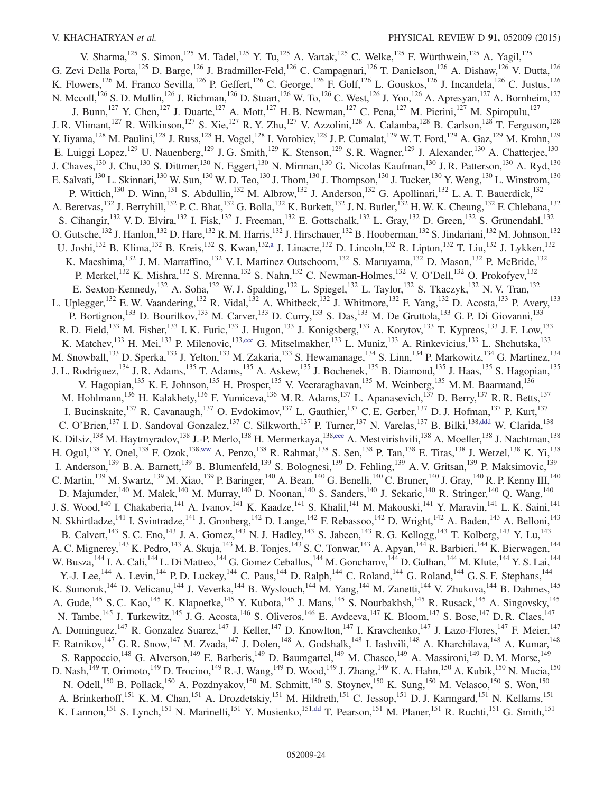<span id="page-23-2"></span><span id="page-23-1"></span><span id="page-23-0"></span>V. Sharma,<sup>125</sup> S. Simon,<sup>125</sup> M. Tadel,<sup>125</sup> Y. Tu,<sup>125</sup> A. Vartak,<sup>125</sup> C. Welke,<sup>125</sup> F. Würthwein,<sup>125</sup> A. Yagil,<sup>125</sup> G. Zevi Della Porta,<sup>125</sup> D. Barge,<sup>126</sup> J. Bradmiller-Feld,<sup>126</sup> C. Campagnari,<sup>126</sup> T. Danielson,<sup>126</sup> A. Dishaw,<sup>126</sup> V. Dutta,<sup>126</sup> K. Flowers,  $^{126}$  M. Franco Sevilla,  $^{126}$  P. Geffert,  $^{126}$  C. George,  $^{126}$  F. Golf,  $^{126}$  L. Gouskos,  $^{126}$  J. Incandela,  $^{126}$  C. Justus,  $^{126}$ N. Mccoll,<sup>126</sup> S. D. Mullin,<sup>126</sup> J. Richman,<sup>126</sup> D. Stuart,<sup>126</sup> W. To,<sup>126</sup> C. West,<sup>126</sup> J. Yoo,<sup>126</sup> A. Apresyan,<sup>127</sup> A. Bornheim,<sup>127</sup> J. Bunn,<sup>127</sup> Y. Chen,<sup>127</sup> J. Duarte,<sup>127</sup> A. Mott,<sup>127</sup> H. B. Newman,<sup>127</sup> C. Pena,<sup>127</sup> M. Pierini,<sup>127</sup> M. Spiropulu,<sup>127</sup> J. R. Vlimant,<sup>127</sup> R. Wilkinson,<sup>127</sup> S. Xie,<sup>127</sup> R. Y. Zhu,<sup>127</sup> V. Azzolini,<sup>128</sup> A. Calamba,<sup>128</sup> B. Carlson,<sup>128</sup> T. Ferguson,<sup>128</sup> Y. Iiyama,<sup>128</sup> M. Paulini,<sup>128</sup> J. Russ,<sup>128</sup> H. Vogel,<sup>128</sup> I. Vorobiev,<sup>128</sup> J. P. Cumalat,<sup>129</sup> W. T. Ford,<sup>129</sup> A. Gaz,<sup>129</sup> M. Krohn,<sup>129</sup> E. Luiggi Lopez,<sup>129</sup> U. Nauenberg,<sup>129</sup> J. G. Smith,<sup>129</sup> K. Stenson,<sup>129</sup> S. R. Wagner,<sup>129</sup> J. Alexander,<sup>130</sup> A. Chatterjee,<sup>130</sup> J. Chaves,<sup>130</sup> J. Chu,<sup>130</sup> S. Dittmer,<sup>130</sup> N. Eggert,<sup>130</sup> N. Mirman,<sup>130</sup> G. Nicolas Kaufman,<sup>130</sup> J. R. Patterson,<sup>130</sup> A. Ryd,<sup>130</sup> E. Salvati,<sup>130</sup> L. Skinnari,<sup>130</sup> W. Sun,<sup>130</sup> W. D. Teo,<sup>130</sup> J. Thom,<sup>130</sup> J. Thompson,<sup>130</sup> J. Tucker,<sup>130</sup> Y. Weng,<sup>130</sup> L. Winstrom,<sup>130</sup> P. Wittich,<sup>130</sup> D. Winn,<sup>131</sup> S. Abdullin,<sup>132</sup> M. Albrow,<sup>132</sup> J. Anderson,<sup>132</sup> G. Apollinari,<sup>132</sup> L. A. T. Bauerdick,<sup>132</sup> A. Beretvas,<sup>132</sup> J. Berryhill,<sup>132</sup> P. C. Bhat,<sup>132</sup> G. Bolla,<sup>132</sup> K. Burkett,<sup>132</sup> J. N. Butler,<sup>132</sup> H. W. K. Cheung,<sup>132</sup> F. Chlebana,<sup>132</sup> S. Cihangir,<sup>132</sup> V. D. Elvira,<sup>132</sup> I. Fisk,<sup>132</sup> J. Freeman,<sup>132</sup> E. Gottschalk,<sup>132</sup> L. Gray,<sup>132</sup> D. Green,<sup>132</sup> S. Grünendahl,<sup>132</sup> O. Gutsche,<sup>132</sup> J. Hanlon,<sup>132</sup> D. Hare,<sup>132</sup> R. M. Harris,<sup>132</sup> J. Hirschauer,<sup>132</sup> B. Hooberman,<sup>132</sup> S. Jindariani,<sup>132</sup> M. Johnson,<sup>132</sup> U. Joshi,<sup>132</sup> B. Klima,<sup>132</sup> B. Kreis,<sup>132</sup> S. Kwan,<sup>13[2,a](#page-27-5)</sup> J. Linacre,<sup>132</sup> D. Lincoln,<sup>132</sup> R. Lipton,<sup>132</sup> T. Liu,<sup>132</sup> J. Lykken,<sup>132</sup> K. Maeshima,<sup>132</sup> J. M. Marraffino,<sup>132</sup> V. I. Martinez Outschoorn,<sup>132</sup> S. Maruyama,<sup>132</sup> D. Mason,<sup>132</sup> P. McBride,<sup>132</sup> P. Merkel,<sup>132</sup> K. Mishra,<sup>132</sup> S. Mrenna,<sup>132</sup> S. Nahn,<sup>132</sup> C. Newman-Holmes,<sup>132</sup> V. O'Dell,<sup>132</sup> O. Prokofyev,<sup>132</sup> E. Sexton-Kennedy,<sup>132</sup> A. Soha,<sup>132</sup> W. J. Spalding,<sup>132</sup> L. Spiegel,<sup>132</sup> L. Taylor,<sup>132</sup> S. Tkaczyk,<sup>132</sup> N. V. Tran,<sup>132</sup> L. Uplegger,<sup>132</sup> E. W. Vaandering,<sup>132</sup> R. Vidal,<sup>132</sup> A. Whitbeck,<sup>132</sup> J. Whitmore,<sup>132</sup> F. Yang,<sup>132</sup> D. Acosta,<sup>133</sup> P. Avery,<sup>133</sup> P. Bortignon,<sup>133</sup> D. Bourilkov,<sup>133</sup> M. Carver,<sup>133</sup> D. Curry,<sup>133</sup> S. Das,<sup>133</sup> M. De Gruttola,<sup>133</sup> G. P. Di Giovanni,<sup>133</sup> R. D. Field,<sup>133</sup> M. Fisher,<sup>133</sup> I. K. Furic,<sup>133</sup> J. Hugon,<sup>133</sup> J. Konigsberg,<sup>133</sup> A. Korytov,<sup>133</sup> T. Kypreos,<sup>133</sup> J. F. Low,<sup>133</sup> K. Matchev,<sup>133</sup> H. Mei,<sup>133</sup> P. Milenovic,<sup>13[3,ccc](#page-28-47)</sup> G. Mitselmakher,<sup>133</sup> L. Muniz,<sup>133</sup> A. Rinkevicius,<sup>133</sup> L. Shchutska,<sup>133</sup> M. Snowball,<sup>133</sup> D. Sperka,<sup>133</sup> J. Yelton,<sup>133</sup> M. Zakaria,<sup>133</sup> S. Hewamanage,<sup>134</sup> S. Linn,<sup>134</sup> P. Markowitz,<sup>134</sup> G. Martinez,<sup>134</sup> J. L. Rodriguez,<sup>134</sup> J. R. Adams,<sup>135</sup> T. Adams,<sup>135</sup> A. Askew,<sup>135</sup> J. Bochenek,<sup>135</sup> B. Diamond,<sup>135</sup> J. Haas,<sup>135</sup> S. Hagopian,<sup>135</sup> V. Hagopian,<sup>135</sup> K. F. Johnson,<sup>135</sup> H. Prosper,<sup>135</sup> V. Veeraraghavan,<sup>135</sup> M. Weinberg,<sup>135</sup> M. M. Baarmand,<sup>136</sup> M. Hohlmann,<sup>136</sup> H. Kalakhety,<sup>136</sup> F. Yumiceva,<sup>136</sup> M. R. Adams,<sup>137</sup> L. Apanasevich,<sup>137</sup> D. Berry,<sup>137</sup> R. R. Betts,<sup>137</sup> I. Bucinskaite,<sup>137</sup> R. Cavanaugh,<sup>137</sup> O. Evdokimov,<sup>137</sup> L. Gauthier,<sup>137</sup> C. E. Gerber,<sup>137</sup> D. J. Hofman,<sup>137</sup> P. Kurt,<sup>137</sup> C. O'Brien,<sup>137</sup> I. D. Sandoval Gonzalez,<sup>137</sup> C. Silkworth,<sup>137</sup> P. Turner,<sup>137</sup> N. Varelas,<sup>137</sup> B. Bilki,<sup>13[8,ddd](#page-28-48)</sup> W. Clarida,<sup>138</sup> K. Dilsiz,<sup>138</sup> M. Haytmyradov,<sup>138</sup> J.-P. Merlo,<sup>138</sup> H. Mermerkaya,<sup>138[,eee](#page-28-49)</sup> A. Mestvirishvili,<sup>138</sup> A. Moeller,<sup>138</sup> J. Nachtman,<sup>138</sup> H. Ogul,<sup>138</sup> Y. Onel,<sup>138</sup> F. Ozok,<sup>138[,ww](#page-28-41)</sup> A. Penzo,<sup>138</sup> R. Rahmat,<sup>138</sup> S. Sen,<sup>138</sup> P. Tan,<sup>138</sup> E. Tiras,<sup>138</sup> J. Wetzel,<sup>138</sup> K. Yi,<sup>138</sup> I. Anderson,<sup>139</sup> B. A. Barnett,<sup>139</sup> B. Blumenfeld,<sup>139</sup> S. Bolognesi,<sup>139</sup> D. Fehling,<sup>139</sup> A. V. Gritsan,<sup>139</sup> P. Maksimovic,<sup>139</sup> C. Martin,  $^{139}$  M. Swartz,  $^{139}$  M. Xiao,  $^{139}$  P. Baringer,  $^{140}$  A. Bean,  $^{140}$  G. Benelli,  $^{140}$  C. Bruner,  $^{140}$  J. Gray,  $^{140}$  R. P. Kenny III,  $^{140}$ D. Majumder,<sup>140</sup> M. Malek,<sup>140</sup> M. Murray,<sup>140</sup> D. Noonan,<sup>140</sup> S. Sanders,<sup>140</sup> J. Sekaric,<sup>140</sup> R. Stringer,<sup>140</sup> Q. Wang,<sup>140</sup> J. S. Wood,<sup>140</sup> I. Chakaberia,<sup>141</sup> A. Ivanov,<sup>141</sup> K. Kaadze,<sup>141</sup> S. Khalil,<sup>141</sup> M. Makouski,<sup>141</sup> Y. Maravin,<sup>141</sup> L. K. Saini,<sup>141</sup> N. Skhirtladze,<sup>141</sup> I. Svintradze,<sup>141</sup> J. Gronberg,<sup>142</sup> D. Lange,<sup>142</sup> F. Rebassoo,<sup>142</sup> D. Wright,<sup>142</sup> A. Baden,<sup>143</sup> A. Belloni,<sup>143</sup> B. Calvert,<sup>143</sup> S. C. Eno,<sup>143</sup> J. A. Gomez,<sup>143</sup> N. J. Hadley,<sup>143</sup> S. Jabeen,<sup>143</sup> R. G. Kellogg,<sup>143</sup> T. Kolberg,<sup>143</sup> Y. Lu,<sup>143</sup> A. C. Mignerey,<sup>143</sup> K. Pedro,<sup>143</sup> A. Skuja,<sup>143</sup> M. B. Tonjes,<sup>143</sup> S. C. Tonwar,<sup>143</sup> A. Apyan,<sup>144</sup> R. Barbieri,<sup>144</sup> K. Bierwagen,<sup>144</sup> W. Busza, <sup>144</sup> I. A. Cali, <sup>144</sup> L. Di Matteo, <sup>144</sup> G. Gomez Ceballos, <sup>144</sup> M. Goncharov, <sup>144</sup> D. Gulhan, <sup>144</sup> M. Klute, <sup>144</sup> Y. S. Lai, <sup>144</sup> Y.-J. Lee,<sup>144</sup> A. Levin,<sup>144</sup> P. D. Luckey,<sup>144</sup> C. Paus,<sup>144</sup> D. Ralph,<sup>144</sup> C. Roland,<sup>144</sup> G. Roland,<sup>144</sup> G. S. F. Stephans,<sup>144</sup> K. Sumorok,<sup>144</sup> D. Velicanu,<sup>144</sup> J. Veverka,<sup>144</sup> B. Wyslouch,<sup>144</sup> M. Yang,<sup>144</sup> M. Zanetti,<sup>144</sup> V. Zhukova,<sup>144</sup> B. Dahmes,<sup>145</sup> A. Gude,<sup>145</sup> S. C. Kao,<sup>145</sup> K. Klapoetke,<sup>145</sup> Y. Kubota,<sup>145</sup> J. Mans,<sup>145</sup> S. Nourbakhsh,<sup>145</sup> R. Rusack,<sup>145</sup> A. Singovsky,<sup>145</sup> N. Tambe,<sup>145</sup> J. Turkewitz,<sup>145</sup> J. G. Acosta,<sup>146</sup> S. Oliveros,<sup>146</sup> E. Avdeeva,<sup>147</sup> K. Bloom,<sup>147</sup> S. Bose,<sup>147</sup> D. R. Claes,<sup>147</sup> A. Dominguez,<sup>147</sup> R. Gonzalez Suarez,<sup>147</sup> J. Keller,<sup>147</sup> D. Knowlton,<sup>147</sup> I. Kravchenko,<sup>147</sup> J. Lazo-Flores,<sup>147</sup> F. Meier,<sup>147</sup> F. Ratnikov,<sup>147</sup> G. R. Snow,<sup>147</sup> M. Zvada,<sup>147</sup> J. Dolen,<sup>148</sup> A. Godshalk,<sup>148</sup> I. Iashvili,<sup>148</sup> A. Kharchilava,<sup>148</sup> A. Kumar,<sup>148</sup> S. Rappoccio,<sup>148</sup> G. Alverson,<sup>149</sup> E. Barberis,<sup>149</sup> D. Baumgartel,<sup>149</sup> M. Chasco,<sup>149</sup> A. Massironi,<sup>149</sup> D. M. Morse,<sup>149</sup> D. Nash,<sup>149</sup> T. Orimoto,<sup>149</sup> D. Trocino,<sup>149</sup> R.-J. Wang,<sup>149</sup> D. Wood,<sup>149</sup> J. Zhang,<sup>149</sup> K. A. Hahn,<sup>150</sup> A. Kubik,<sup>150</sup> N. Mucia,<sup>150</sup> N. Odell,<sup>150</sup> B. Pollack,<sup>150</sup> A. Pozdnyakov,<sup>150</sup> M. Schmitt,<sup>150</sup> S. Stoynev,<sup>150</sup> K. Sung,<sup>150</sup> M. Velasco,<sup>150</sup> S. Won,<sup>150</sup> A. Brinkerhoff,<sup>151</sup> K. M. Chan,<sup>151</sup> A. Drozdetskiy,<sup>151</sup> M. Hildreth,<sup>151</sup> C. Jessop,<sup>151</sup> D. J. Karmgard,<sup>151</sup> N. Kellams,<sup>151</sup> K. Lannon,<sup>151</sup> S. Lynch,<sup>151</sup> N. Marinelli,<sup>151</sup> Y. Musienko,<sup>151[,dd](#page-28-22)</sup> T. Pearson,<sup>151</sup> M. Planer,<sup>151</sup> R. Ruchti,<sup>151</sup> G. Smith,<sup>151</sup>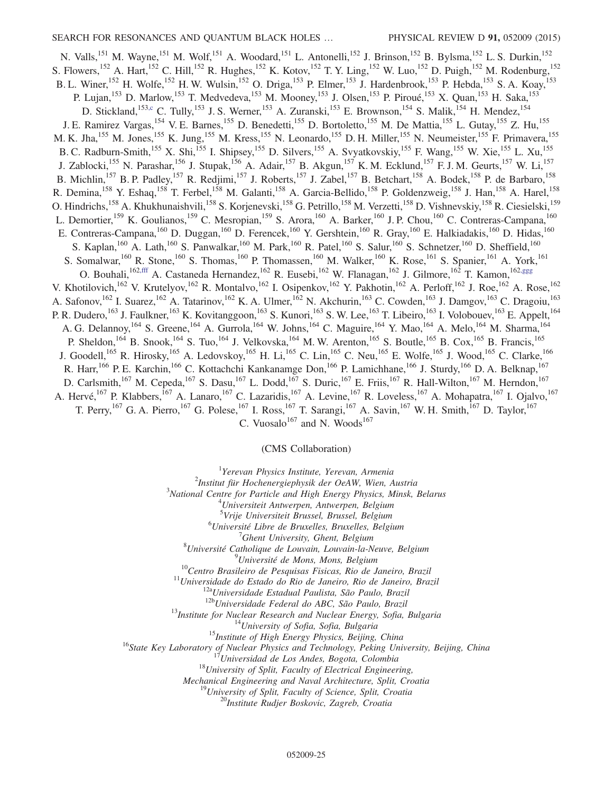<span id="page-24-0"></span>N. Valls,<sup>151</sup> M. Wayne,<sup>151</sup> M. Wolf,<sup>151</sup> A. Woodard,<sup>151</sup> L. Antonelli,<sup>152</sup> J. Brinson,<sup>152</sup> B. Bylsma,<sup>152</sup> L. S. Durkin,<sup>152</sup> S. Flowers,<sup>152</sup> A. Hart,<sup>152</sup> C. Hill,<sup>152</sup> R. Hughes,<sup>152</sup> K. Kotov,<sup>152</sup> T. Y. Ling,<sup>152</sup> W. Luo,<sup>152</sup> D. Puigh,<sup>152</sup> M. Rodenburg,<sup>152</sup> B. L. Winer,<sup>152</sup> H. Wolfe,<sup>152</sup> H. W. Wulsin,<sup>152</sup> O. Driga,<sup>153</sup> P. Elmer,<sup>153</sup> J. Hardenbrook,<sup>153</sup> P. Hebda,<sup>153</sup> S. A. Koay,<sup>153</sup> P. Lujan,<sup>153</sup> D. Marlow,<sup>153</sup> T. Medvedeva,<sup>153</sup> M. Mooney,<sup>153</sup> J. Olsen,<sup>153</sup> P. Piroué,<sup>153</sup> X. Quan,<sup>153</sup> H. Saka,<sup>153</sup> D. Stickland,<sup>15[3,c](#page-27-1)</sup> C. Tully,<sup>153</sup> J. S. Werner,<sup>153</sup> A. Zuranski,<sup>153</sup> E. Brownson,<sup>154</sup> S. Malik,<sup>154</sup> H. Mendez,<sup>154</sup> J. E. Ramirez Vargas,<sup>154</sup> V. E. Barnes,<sup>155</sup> D. Benedetti,<sup>155</sup> D. Bortoletto,<sup>155</sup> M. De Mattia,<sup>155</sup> L. Gutay,<sup>155</sup> Z. Hu,<sup>155</sup> M. K. Jha,<sup>155</sup> M. Jones,<sup>155</sup> K. Jung,<sup>155</sup> M. Kress,<sup>155</sup> N. Leonardo,<sup>155</sup> D. H. Miller,<sup>155</sup> N. Neumeister,<sup>155</sup> F. Primavera,<sup>155</sup> B. C. Radburn-Smith,<sup>155</sup> X. Shi,<sup>155</sup> I. Shipsey,<sup>155</sup> D. Silvers,<sup>155</sup> A. Svyatkovskiy,<sup>155</sup> F. Wang,<sup>155</sup> W. Xie,<sup>155</sup> L. Xu,<sup>155</sup> J. Zablocki,<sup>155</sup> N. Parashar,<sup>156</sup> J. Stupak,<sup>156</sup> A. Adair,<sup>157</sup> B. Akgun,<sup>157</sup> K. M. Ecklund,<sup>157</sup> F. J. M. Geurts,<sup>157</sup> W. Li,<sup>157</sup> B. Michlin,<sup>157</sup> B. P. Padley,<sup>157</sup> R. Redjimi,<sup>157</sup> J. Roberts,<sup>157</sup> J. Zabel,<sup>157</sup> B. Betchart,<sup>158</sup> A. Bodek,<sup>158</sup> P. de Barbaro,<sup>158</sup> R. Demina, <sup>158</sup> Y. Eshaq, <sup>158</sup> T. Ferbel, <sup>158</sup> M. Galanti, <sup>158</sup> A. Garcia-Bellido, <sup>158</sup> P. Goldenzweig, <sup>158</sup> J. Han, <sup>158</sup> A. Harel, <sup>158</sup> O. Hindrichs,<sup>158</sup> A. Khukhunaishvili,<sup>158</sup> S. Korjenevski,<sup>158</sup> G. Petrillo,<sup>158</sup> M. Verzetti,<sup>158</sup> D. Vishnevskiy,<sup>158</sup> R. Ciesielski,<sup>159</sup> L. Demortier,<sup>159</sup> K. Goulianos,<sup>159</sup> C. Mesropian,<sup>159</sup> S. Arora,<sup>160</sup> A. Barker,<sup>160</sup> J. P. Chou,<sup>160</sup> C. Contreras-Campana,<sup>160</sup> E. Contreras-Campana,<sup>160</sup> D. Duggan,<sup>160</sup> D. Ferencek,<sup>160</sup> Y. Gershtein,<sup>160</sup> R. Gray,<sup>160</sup> E. Halkiadakis,<sup>160</sup> D. Hidas,<sup>160</sup> S. Kaplan,<sup>160</sup> A. Lath,<sup>160</sup> S. Panwalkar,<sup>160</sup> M. Park,<sup>160</sup> R. Patel,<sup>160</sup> S. Salur,<sup>160</sup> S. Schnetzer,<sup>160</sup> D. Sheffield,<sup>160</sup> S. Somalwar,<sup>160</sup> R. Stone,<sup>160</sup> S. Thomas,<sup>160</sup> P. Thomassen,<sup>160</sup> M. Walker,<sup>160</sup> K. Rose,<sup>161</sup> S. Spanier,<sup>161</sup> A. York,<sup>161</sup> O. Bouhali,  $^{162, \text{fff}}$  A. Castaneda Hernandez,  $^{162}$  R. Eusebi,  $^{162}$  W. Flanagan,  $^{162}$  J. Gilmore,  $^{162}$  T. Kamon,  $^{162, \text{ggg}}$ V. Khotilovich,<sup>162</sup> V. Krutelyov,<sup>162</sup> R. Montalvo,<sup>162</sup> I. Osipenkov,<sup>162</sup> Y. Pakhotin,<sup>162</sup> A. Perloff,<sup>162</sup> J. Roe,<sup>162</sup> A. Rose,<sup>162</sup> A. Safonov,<sup>162</sup> I. Suarez,<sup>162</sup> A. Tatarinov,<sup>162</sup> K. A. Ulmer,<sup>162</sup> N. Akchurin,<sup>163</sup> C. Cowden,<sup>163</sup> J. Damgov,<sup>163</sup> C. Dragoiu,<sup>163</sup> P. R. Dudero,<sup>163</sup> J. Faulkner,<sup>163</sup> K. Kovitanggoon,<sup>163</sup> S. Kunori,<sup>163</sup> S. W. Lee,<sup>163</sup> T. Libeiro,<sup>163</sup> I. Volobouev,<sup>163</sup> E. Appelt,<sup>164</sup> A. G. Delannoy, <sup>164</sup> S. Greene, <sup>164</sup> A. Gurrola, <sup>164</sup> W. Johns, <sup>164</sup> C. Maguire, <sup>164</sup> Y. Mao, <sup>164</sup> A. Melo, <sup>164</sup> M. Sharma, <sup>164</sup> P. Sheldon,<sup>164</sup> B. Snook,<sup>164</sup> S. Tuo,<sup>164</sup> J. Velkovska,<sup>164</sup> M. W. Arenton,<sup>165</sup> S. Boutle,<sup>165</sup> B. Cox,<sup>165</sup> B. Francis,<sup>165</sup> J. Goodell,<sup>165</sup> R. Hirosky,<sup>165</sup> A. Ledovskoy,<sup>165</sup> H. Li,<sup>165</sup> C. Lin,<sup>165</sup> C. Neu,<sup>165</sup> E. Wolfe,<sup>165</sup> J. Wood,<sup>165</sup> C. Clarke,<sup>166</sup> R. Harr,<sup>166</sup> P. E. Karchin,<sup>166</sup> C. Kottachchi Kankanamge Don,<sup>166</sup> P. Lamichhane,<sup>166</sup> J. Sturdy,<sup>166</sup> D. A. Belknap,<sup>167</sup> D. Carlsmith,<sup>167</sup> M. Cepeda,<sup>167</sup> S. Dasu,<sup>167</sup> L. Dodd,<sup>167</sup> S. Duric,<sup>167</sup> E. Friis,<sup>167</sup> R. Hall-Wilton,<sup>167</sup> M. Herndon,<sup>167</sup> A. Hervé,<sup>167</sup> P. Klabbers,<sup>167</sup> A. Lanaro,<sup>167</sup> C. Lazaridis,<sup>167</sup> A. Levine,<sup>167</sup> R. Loveless,<sup>167</sup> A. Mohapatra,<sup>167</sup> I. Ojalvo,<sup>167</sup> T. Perry,<sup>167</sup> G. A. Pierro,<sup>167</sup> G. Polese,<sup>167</sup> I. Ross,<sup>167</sup> T. Sarangi,<sup>167</sup> A. Savin,<sup>167</sup> W. H. Smith,<sup>167</sup> D. Taylor,<sup>167</sup> C. Vuosalo $^{167}$  and N. Woods<sup>167</sup>

(CMS Collaboration)

<sup>1</sup>Yerevan Physics Institute, Yerevan, Armenia<sup>2</sup>Institute *Servan Physics Institute*, *New Ocal W. Wign A*  $2$ Institut für Hochenergiephysik der OeAW, Wien, Austria

 $3$ National Centre for Particle and High Energy Physics, Minsk, Belarus

 $^{4}$ Universiteit Antwerpen, Antwerpen, Belgium

<sup>5</sup>Vrije Universiteit Brussel, Brussel, Belgium<br><sup>6</sup>Université Libre de Pruxelles, Pruxelles, Belgium

<sup>6</sup>Université Libre de Bruxelles, Bruxelles, Belgium

 $^7$ Ghent University, Ghent, Belgium

 ${}^8$ Université Catholique de Louvain, Louvain-la-Neuve, Belgium  ${}^9$ Université de Mons, Mons, Belgium

<sup>9</sup>Université de Mons, Mons, Belgium<br><sup>10</sup>Centro Brasileiro de Pesquisas Fisicas, Rio de Janeiro, Brazil<br><sup>11</sup>Universidade do Estado do Rio de Janeiro, Rio de Janeiro, Brazil<br><sup>12</sup>universidade Estadual Paulista, São Paulo, B

Mechanical Engineering and Naval Architecture, Split, Croatia  $^{19}$ University of Split, Faculty of Science, Split, Croatia  $^{20}$ Institute Rudjer Boskovic, Zagreb, Croatia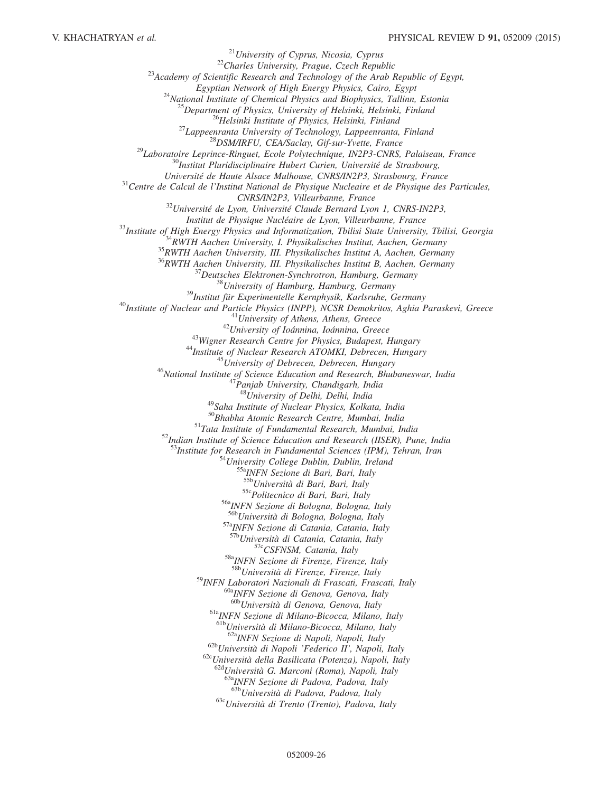<sup>21</sup>University of Cyprus, Nicosia, Cyprus<br><sup>22</sup>Charles University, Prague, Czech Republic<br><sup>23</sup>Academy of Scientific Research and Technology of the Arab Republic of Egypt,<br>Egyptian Network of High Energy Physics, Cairo, Egy <sup>24</sup>National Institute of Chemical Physics and Biophysics, Tallinn, Estonia<br><sup>25</sup>Department of Physics, University of Helsinki, Helsinki, Finland<br><sup>26</sup>Helsinki Institute of Physics, Helsinki, Finland<br><sup>27</sup>Lappeenranta Univer Université de Haute Alsace Mulhouse, CNRS/IN2P3, Strasbourg, France<br><sup>31</sup>Centre de Calcul de l'Institut National de Physique Nucleaire et de Physique des Particules,  $CNRS/IN2P3$ , Villeurbanne, France<br><sup>32</sup>Université de Lyon, Université Claude Bernard Lyon 1, CNRS-IN2P3, *Institut de Physique Nucléaire de Lyon, Villeurbanne, France*<br><sup>33</sup> *Institute of High Energy Physics and Informatization, Tbilisi State University, Tbilisi, Georgia*<br><sup>34</sup> *RWTH Aachen University, I. Physikalisches Instit* <sup>37</sup> Deutsches Elektronen-Synchrotron, Hamburg, Germany<br><sup>38</sup> University of Hamburg, Hamburg, Germany<br><sup>39</sup> Institut für Experimentelle Kernphysik, Karlsruhe, Germany<br><sup>40</sup> Institute of Nuclear and Particle Physics (INPP), N <sup>49</sup>Saha Institute of Nuclear Physics, Kolkata, India  $^{50}$ Bhabha Atomic Research Centre, Mumbai, India  $51$ Tata Institute of Fundamental Research, Mumbai, India  $52$ Indian Institute of Science Education and Research (IISER), Pune, India  $53$ Institute for Research in Fundamental Sciences (IPM), Tehran, Iran  $554$ University College Dublin, Dublin, Ireland  $554$ <br> $556$ University Sezione di Bari, Bari, Italy  $55b$ Università di Bari, Bari, Italy <sup>55c</sup>Politecnico di Bari, Bari, Italy<br><sup>56a</sup>INFN Sezione di Bologna, Bologna, Italy<br><sup>56b</sup>Università di Bologna, Bologna, Italy  $57a$ <sub>INFN</sub> Sezione di Catania, Catania, Italy  $57b$ <sub>Università di Catania, Catania, Italy</sub> <sup>57c</sup>CSFNSM, Catania, Italy <sup>58a</sup>INFN Sezione di Firenze, Firenze, Italy 58bUniversità di Firenze, Firenze, Italy <sup>59</sup>INFN Laboratori Nazionali di Frascati, Frascati, Italy<br><sup>60a</sup>INFN Sezione di Genova, Genova, Italy<br><sup>60b</sup>Università di Genova, Genova, Italy <sup>61a</sup>INFN Sezione di Milano-Bicocca, Milano, Italy <sup>61b</sup>Università di Milano-Bicocca, Milano, Italy<br><sup>62a</sup>INFN Sezione di Napoli, Napoli, Italy  $62b$ Università di Napoli 'Federico II', Napoli, Italy 62cUniversità della Basilicata (Potenza), Napoli, Italy <sup>62d</sup>Università G. Marconi (Roma), Napoli, Italy <sup>63a</sup>INFN Sezione di Padova, Padova, Italy<br><sup>63b</sup>Università di Padova, Padova, Italy <sup>63c</sup>Università di Trento (Trento), Padova, Italy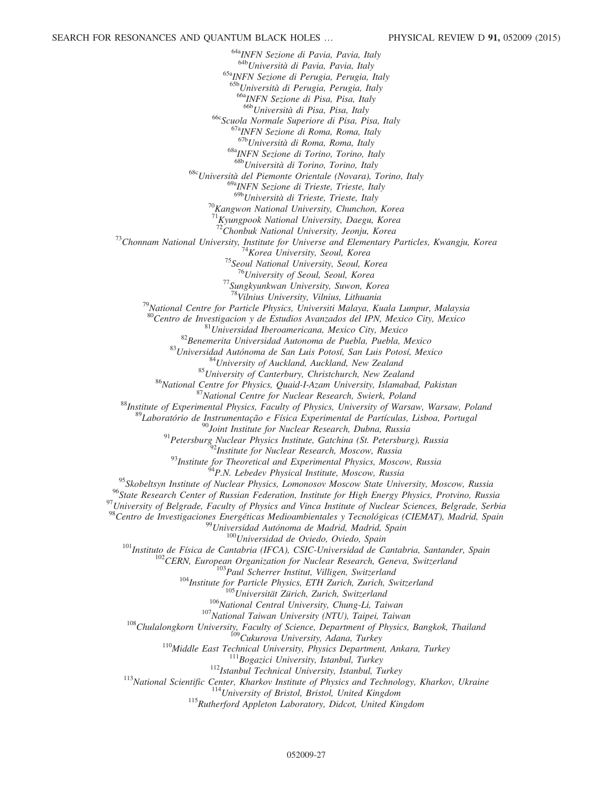$64a$ <sub>INFN</sub> Sezione di Pavia, Pavia, Italy<br> $64b$ <sub>Università di Pavia, Pavia, Italy</sub> <sup>65a</sup>INFN Sezione di Perugia, Perugia, Italy 65bUniversità di Perugia, Perugia, Italy <sup>66a</sup>INFN Sezione di Pisa, Pisa, Italy<br><sup>66b</sup>Università di Pisa, Pisa, Italy <sup>66c</sup>Scuola Normale Superiore di Pisa, Pisa, Italy<br><sup>67a</sup>INFN Sezione di Roma, Roma, Italy <sup>67b</sup>Università di Roma, Roma, Italy <sup>68a</sup>INFN Sezione di Torino, Torino, Italy<br><sup>68b</sup>Università di Torino, Torino, Italy 68cUniversità del Piemonte Orientale (Novara), Torino, Italy <sup>69a</sup>INFN Sezione di Trieste, Trieste, Italy<br><sup>69b</sup>Università di Trieste, Trieste, Italy  $^{70}$ Kangwon National University, Chunchon, Korea  $17Kyungpook National University, Daegu, Korea$ <br> $12Kyionbuk National University, Jeonju, Korea$ <sup>73</sup>Chonnam National University, *Institute for Universe and Elementary Particles, Kwangju, Korea*  $\frac{74}{10}$ Korea University, Seoul, Korea 7<sup>46</sup>University of Seoul, Seoul, Korea 76 <sup>77</sup>Sungkyunkwan University, Suwon, Korea <sup>78</sup>Vilnius University, Vilnius, Lithuania <sup>79</sup>National Centre for Particle Physics, Universiti Malaya, Kuala Lumpur, Malaysia<br><sup>80</sup>Centro de Investigacion y de Estudios Avanzados del IPN, Mexico City, Mexico <sup>81</sup>Universidad Iberoamericana, Mexico City, Mexico<br><sup>82</sup>Benemerita Universidad Autonoma de Puebla, Puebla, Mexico<br><sup>83</sup>Universidad Autonoma de San Luis Potosí, San Luis Potosí, Mexico<br><sup>84</sup>University of Auckland, Auckland, <sup>95</sup>Skobeltsyn Institute of Nuclear Physics, Lomonosov Moscow State University, Moscow, Russia <sup>96</sup>State Research Center of Russian Federation, Institute for High Energy Physics, Protvino, Russia<br><sup>97</sup>University of Belgrade, Faculty of Physics and Vinca Institute of Nuclear Sciences, Belgrade, Serbia<br><sup>98</sup>Centro de I  $\begin{small} ^{98}\textbf{Centro de Investigaciones Energéticas Medioambientales y Tecnológicas (CIEMAT), Madrid, Spain \\ ^{99}\textbf{Universidad Autómona de Madrid, Madrid, Spain \\ ^{100}\textbf{Universidad de Oviedo, Oviedo, Spain} \\ ^{101}\textbf{Instituto de Física de Cantabria (IFCA), CSLC-Universidad de Cantabria, Santander, Spain \\ ^{102}\textbf{CERN, European Organization for Nuclear Research, Geneva, Switzerland \\ ^{103}\textbf{Institute for Particle Physics, ETH Zurlich, Zurich, Switzerland \\ ^{104}\textbf{Institute for Particle Physics, ETH Zurlich, Zurich, Switzerland \\ ^{105}\textbf{Universität Zürich, Zur$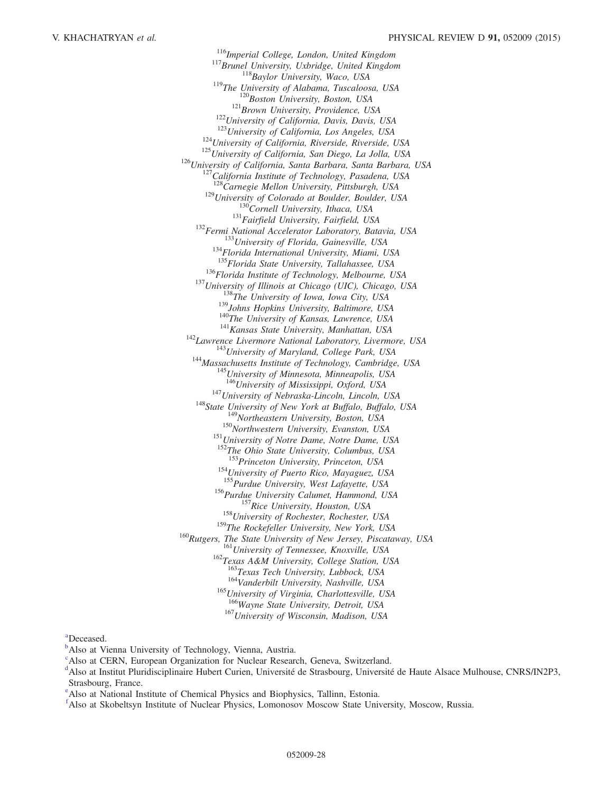<sup>116</sup>Imperial College, London, United Kingdom<br><sup>117</sup>Brunel University, Uxbridge, United Kingdom<br><sup>118</sup>Baylor University, Waco, USA<br><sup>119</sup>The University of Alabama, Tuscaloosa, USA<br><sup>120</sup>Boston University, Boston, USA<br><sup>122</sup>Brow <sup>129</sup>University of Colorado at Boulder, Boulder, USA<br><sup>130</sup>Cornell University, Ithaca, USA<br><sup>131</sup>Fairfield University, Fairfield, USA<br><sup>132</sup>Fermi National Accelerator Laboratory, Batavia, USA<br><sup>133</sup>University of Florida, Gain <sup>136</sup>Florida Institute of Technology, Melbourne, USA<br><sup>137</sup>University of Illinois at Chicago (UIC), Chicago, USA<br><sup>138</sup>The University of Iowa, Iowa City, USA<br><sup>139</sup>Johns Hopkins University, Baltimore, USA<br><sup>140</sup>The University <sup>147</sup> University of Nebraska-Lincoln, Lincoln, USA<br><sup>148</sup> State University of New York at Buffalo, Buffalo, USA<br><sup>149</sup> Northeastern University, Boston, USA<br><sup>150</sup> Northwestern University, Evanston, USA<br><sup>151</sup> University of No  $152$ The Ohio State University, Columbus, USA<br> $153$ Princeton University, Princeton, USA <sup>154</sup>University of Puerto Rico, Mayaguez, USA<br><sup>155</sup>Purdue University, West Lafayette, USA <sup>156</sup>Purdue University Calumet, Hammond, USA<br><sup>157</sup>Rice University, Houston, USA<br><sup>158</sup>University of Rochester, Rochester, USA<br><sup>159</sup>The Rockefeller University, New York, USA <sup>160</sup>Rutgers, The State University of New Jersey, Piscataway, USA <sup>161</sup>University of Tennessee, Knoxville, USA <sup>162</sup>Texas A&M University, College Station, USA <sup>163</sup>Texas Tech University, Lubbock, USA <sup>164</sup>Vanderbilt University, Nashville, USA <sup>165</sup>University of Virginia, Charlottesville, USA <sup>166</sup>Wayne State University, Detroit, USA  $167$ University of Wisconsin, Madison, USA

<span id="page-27-5"></span><sup>[a](#page-22-0)</sup>Deceased.

<span id="page-27-0"></span><sup>&</sup>lt;sup>[b](#page-18-31)</sup>Also at Vienna University of Technology, Vienna, Austria.

<span id="page-27-1"></span><sup>&</sup>lt;sup>[c](#page-18-32)</sup>Also at CERN, European Organization for Nuclear Research, Geneva, Switzerland.

<span id="page-27-2"></span><sup>&</sup>lt;sup>[d](#page-19-0)</sup>Also at Institut Pluridisciplinaire Hubert Curien, Université de Strasbourg, Université de Haute Alsace Mulhouse, CNRS/IN2P3, Strasbourg, France.

<span id="page-27-3"></span>[e](#page-19-1) Also at National Institute of Chemical Physics and Biophysics, Tallinn, Estonia.

<span id="page-27-4"></span>[f](#page-19-2) Also at Skobeltsyn Institute of Nuclear Physics, Lomonosov Moscow State University, Moscow, Russia.